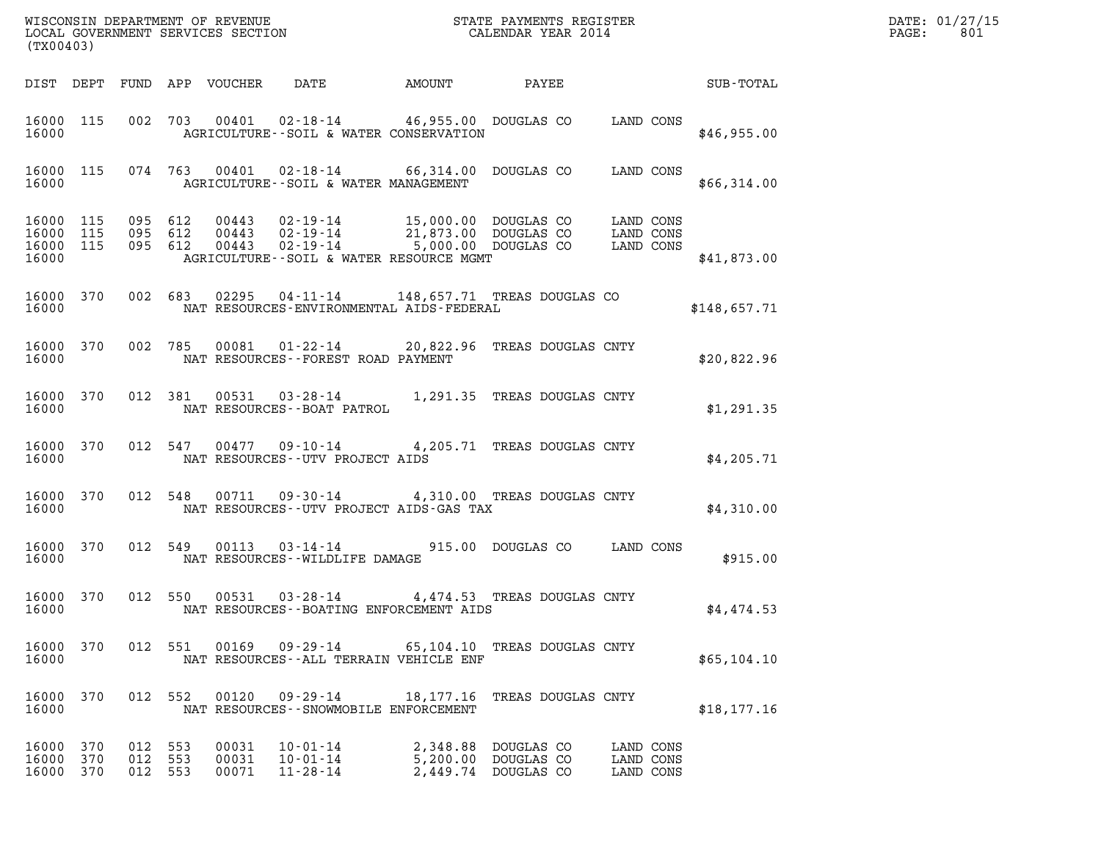| DATE: | 01/27/15 |
|-------|----------|
| PAGE: | 801      |

| (TX00403)                                |     |                               |     |                            |                                                                                                                                                                                                       |        |                                                                   |                                     | DATE: 01/27/15<br>$\mathtt{PAGE}$ :<br>801 |  |
|------------------------------------------|-----|-------------------------------|-----|----------------------------|-------------------------------------------------------------------------------------------------------------------------------------------------------------------------------------------------------|--------|-------------------------------------------------------------------|-------------------------------------|--------------------------------------------|--|
|                                          |     |                               |     | DIST DEPT FUND APP VOUCHER | DATE                                                                                                                                                                                                  | AMOUNT | PAYEE                                                             |                                     | <b>SUB-TOTAL</b>                           |  |
| 16000 115<br>16000                       |     |                               |     |                            | 002 703 00401 02-18-14 46,955.00 DOUGLAS CO LAND CONS<br>AGRICULTURE--SOIL & WATER CONSERVATION                                                                                                       |        |                                                                   |                                     | \$46,955.00                                |  |
| 16000 115<br>16000                       |     |                               |     |                            | 074 763 00401 02-18-14 66,314.00 DOUGLAS CO LAND CONS<br>AGRICULTURE--SOIL & WATER MANAGEMENT                                                                                                         |        |                                                                   |                                     | \$66,314.00                                |  |
| 16000 115<br>16000<br>16000 115<br>16000 | 115 | 095 612<br>095 612<br>095 612 |     |                            | 00443  02-19-14  15,000.00  DOUGLAS CO  LAND CONS<br>00443  02-19-14  21,873.00  DOUGLAS CO  LAND CONS<br>00443  02-19-14  5,000.00  DOUGLAS CO  LAND CONS<br>AGRICULTURE--SOIL & WATER RESOURCE MGMT |        |                                                                   |                                     | \$41,873.00                                |  |
| 16000 370<br>16000                       |     |                               |     |                            | 002 683 02295 04-11-14 148,657.71 TREAS DOUGLAS CO<br>NAT RESOURCES-ENVIRONMENTAL AIDS-FEDERAL                                                                                                        |        |                                                                   |                                     | \$148,657.71                               |  |
| 16000                                    |     |                               |     |                            | 16000 370 002 785 00081 01-22-14 20,822.96 TREAS DOUGLAS CNTY<br>NAT RESOURCES--FOREST ROAD PAYMENT                                                                                                   |        |                                                                   |                                     | \$20,822.96                                |  |
|                                          |     |                               |     |                            | $\begin{tabular}{lllllll} 16000&370&012&381&00531&03\text{-}28\text{-}14&1,291.35 \text{ TREAS DOUGLAS CNTY} \\ & \text{NAT RESOURCES}\text{-} \text{-} \text{BORT} \text{ PATROL} \end{tabular}$     |        |                                                                   |                                     | \$1,291.35                                 |  |
| 16000                                    |     |                               |     |                            | 16000 370 012 547 00477 09-10-14 4,205.71 TREAS DOUGLAS CNTY<br>NAT RESOURCES--UTV PROJECT AIDS                                                                                                       |        |                                                                   |                                     | \$4,205.71                                 |  |
| 16000 370<br>16000                       |     |                               |     |                            | 012 548 00711 09-30-14 4,310.00 TREAS DOUGLAS CNTY<br>NAT RESOURCES--UTV PROJECT AIDS-GAS TAX                                                                                                         |        |                                                                   |                                     | \$4,310.00                                 |  |
| 16000 370<br>16000                       |     |                               |     |                            | 012 549 00113 03-14-14<br>NAT RESOURCES--WILDLIFE DAMAGE                                                                                                                                              |        | 915.00 DOUGLAS CO LAND CONS                                       |                                     | \$915.00                                   |  |
| 16000                                    |     |                               |     |                            | 16000 370 012 550 00531 03-28-14 4,474.53 TREAS DOUGLAS CNTY<br>NAT RESOURCES - - BOATING ENFORCEMENT AIDS                                                                                            |        |                                                                   |                                     | \$4,474.53                                 |  |
| 16000 370<br>16000                       |     |                               |     |                            | 012 551 00169 09-29-14 65,104.10 TREAS DOUGLAS CNTY<br>NAT RESOURCES--ALL TERRAIN VEHICLE ENF                                                                                                         |        |                                                                   |                                     | \$65,104.10                                |  |
| 16000 370<br>16000                       |     |                               |     |                            | 012 552 00120 09-29-14<br>NAT RESOURCES - - SNOWMOBILE ENFORCEMENT                                                                                                                                    |        | 18,177.16 TREAS DOUGLAS CNTY                                      |                                     | \$18, 177.16                               |  |
| 16000 370<br>16000<br>16000 370          | 370 | 012 553<br>012<br>012 553     | 553 | 00031<br>00031<br>00071    | $10 - 01 - 14$<br>$10 - 01 - 14$<br>$11 - 28 - 14$                                                                                                                                                    |        | 2,348.88 DOUGLAS CO<br>5,200.00 DOUGLAS CO<br>2,449.74 DOUGLAS CO | LAND CONS<br>LAND CONS<br>LAND CONS |                                            |  |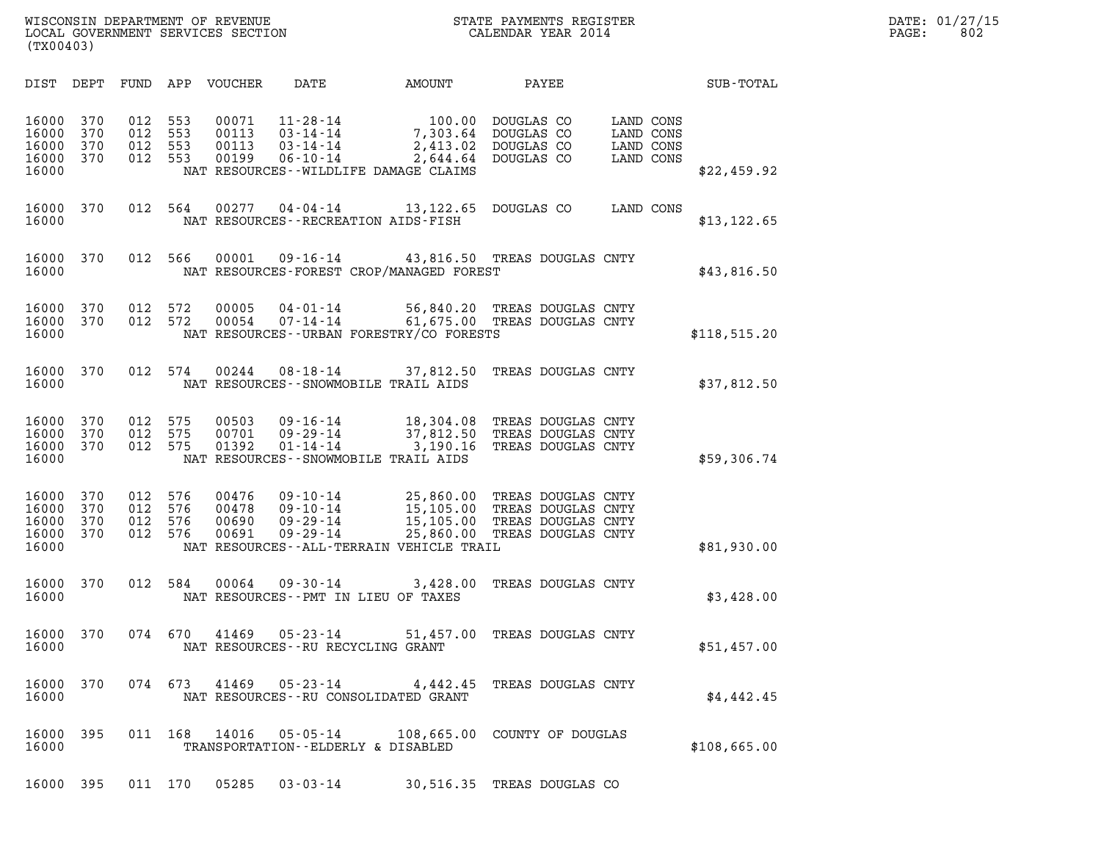| (TX00403)                                 |                          |                          |                          |                                  |                                                                      |                                                                                                   |                                                                                      |                                                  |              |  |
|-------------------------------------------|--------------------------|--------------------------|--------------------------|----------------------------------|----------------------------------------------------------------------|---------------------------------------------------------------------------------------------------|--------------------------------------------------------------------------------------|--------------------------------------------------|--------------|--|
| DIST                                      | DEPT                     | FUND                     | APP                      | VOUCHER                          | DATE                                                                 | AMOUNT                                                                                            | PAYEE                                                                                |                                                  | SUB-TOTAL    |  |
| 16000<br>16000<br>16000<br>16000<br>16000 | 370<br>370<br>370<br>370 | 012<br>012<br>012<br>012 | 553<br>553<br>553<br>553 | 00071<br>00113<br>00113<br>00199 | $11 - 28 - 14$<br>$03 - 14 - 14$<br>$03 - 14 - 14$<br>$06 - 10 - 14$ | 100.00<br>7,303.64<br>2,413.02<br>2,644.64<br>NAT RESOURCES - - WILDLIFE DAMAGE CLAIMS            | DOUGLAS CO<br>DOUGLAS CO<br>DOUGLAS CO<br>DOUGLAS CO                                 | LAND CONS<br>LAND CONS<br>LAND CONS<br>LAND CONS | \$22,459.92  |  |
| 16000<br>16000                            | 370                      | 012                      | 564                      | 00277                            | 04-04-14                                                             | 13, 122.65<br>NAT RESOURCES - - RECREATION AIDS - FISH                                            | DOUGLAS CO                                                                           | LAND CONS                                        | \$13, 122.65 |  |
| 16000<br>16000                            | 370                      | 012                      | 566                      | 00001                            | $09 - 16 - 14$                                                       | NAT RESOURCES-FOREST CROP/MANAGED FOREST                                                          | 43,816.50 TREAS DOUGLAS CNTY                                                         |                                                  | \$43,816.50  |  |
| 16000<br>16000<br>16000                   | 370<br>370               | 012<br>012               | 572<br>572               | 00005<br>00054                   | $04 - 01 - 14$<br>$07 - 14 - 14$                                     | NAT RESOURCES - - URBAN FORESTRY/CO FORESTS                                                       | 56,840.20 TREAS DOUGLAS CNTY<br>61,675.00 TREAS DOUGLAS CNTY                         |                                                  | \$118,515.20 |  |
| 16000<br>16000                            | 370                      | 012                      | 574                      | 00244                            | $08 - 18 - 14$                                                       | 37,812.50<br>NAT RESOURCES - - SNOWMOBILE TRAIL AIDS                                              | TREAS DOUGLAS CNTY                                                                   |                                                  | \$37,812.50  |  |
| 16000<br>16000<br>16000<br>16000          | 370<br>370<br>370        | 012<br>012<br>012        | 575<br>575<br>575        | 00503<br>00701<br>01392          | $09 - 16 - 14$<br>$09 - 29 - 14$<br>$01 - 14 - 14$                   | 18,304.08<br>37,812.50<br>3,190.16<br>NAT RESOURCES - - SNOWMOBILE TRAIL AIDS                     | TREAS DOUGLAS CNTY<br>TREAS DOUGLAS CNTY<br>TREAS DOUGLAS CNTY                       |                                                  | \$59,306.74  |  |
| 16000<br>16000<br>16000<br>16000<br>16000 | 370<br>370<br>370<br>370 | 012<br>012<br>012<br>012 | 576<br>576<br>576<br>576 | 00476<br>00478<br>00690<br>00691 | $09 - 10 - 14$<br>$09 - 10 - 14$<br>$09 - 29 - 14$<br>$09 - 29 - 14$ | 25,860.00<br>15,105.00<br>15,105.00<br>25,860.00<br>NAT RESOURCES - - ALL - TERRAIN VEHICLE TRAIL | TREAS DOUGLAS CNTY<br>TREAS DOUGLAS CNTY<br>TREAS DOUGLAS CNTY<br>TREAS DOUGLAS CNTY |                                                  | \$81,930.00  |  |
| 16000<br>16000                            | 370                      | 012                      | 584                      | 00064                            | $09 - 30 - 14$                                                       | 3,428.00<br>NAT RESOURCES -- PMT IN LIEU OF TAXES                                                 | TREAS DOUGLAS CNTY                                                                   |                                                  | \$3,428.00   |  |
| 16000<br>16000                            | 370                      | 074                      | 670                      | 41469                            | $05 - 23 - 14$                                                       | 51,457.00<br>NAT RESOURCES - - RU RECYCLING GRANT                                                 | TREAS DOUGLAS CNTY                                                                   |                                                  | \$51,457.00  |  |
| 16000<br>16000                            | 370                      |                          | 074 673                  | 41469                            | $05 - 23 - 14$                                                       | NAT RESOURCES - - RU CONSOLIDATED GRANT                                                           | 4,442.45 TREAS DOUGLAS CNTY                                                          |                                                  | \$4,442.45   |  |
| 16000<br>16000                            | 395                      | 011                      | 168                      | 14016                            | 05-05-14                                                             | TRANSPORTATION--ELDERLY & DISABLED                                                                | 108,665.00 COUNTY OF DOUGLAS                                                         |                                                  | \$108,665.00 |  |
|                                           |                          |                          |                          |                                  |                                                                      |                                                                                                   |                                                                                      |                                                  |              |  |

16000 395 011 170 05285 03-03-14 30,516.35 TREAS DOUGLAS CO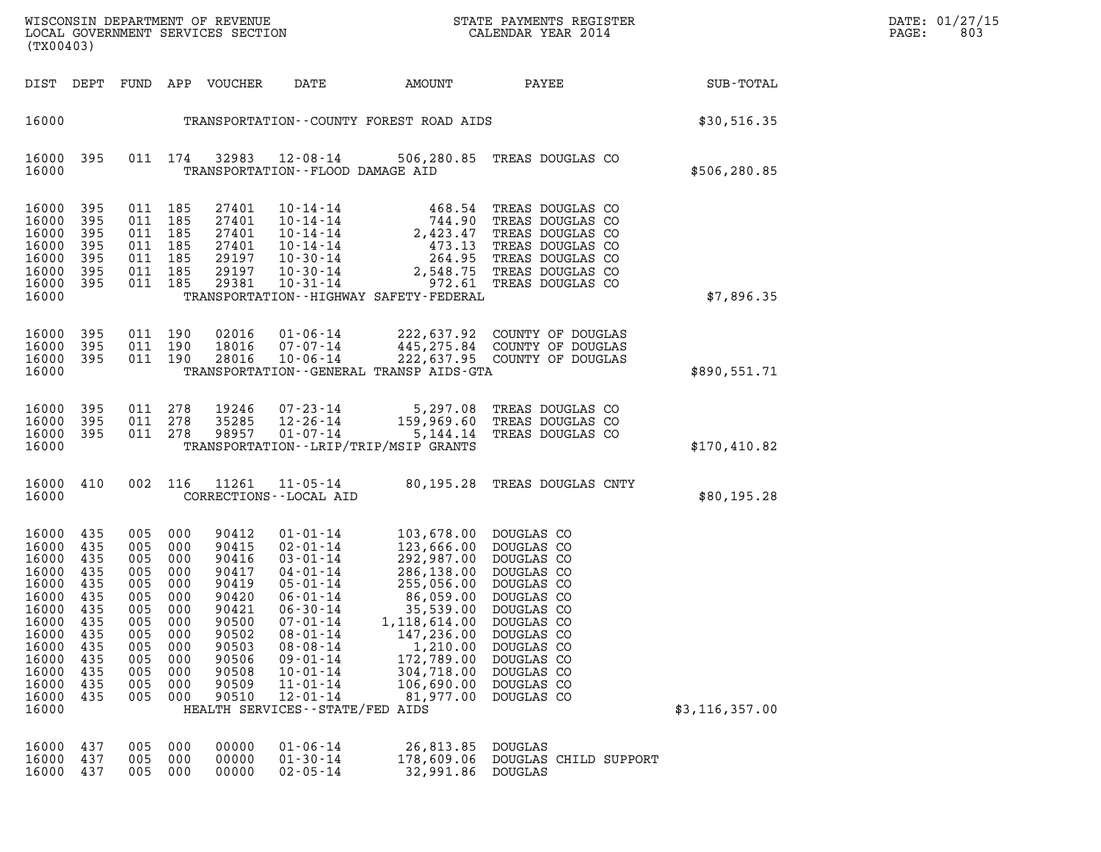| DATE: | 01/27/15 |
|-------|----------|
| PAGE: | 803      |

| (TX00403)                                                                                                                           |                                                                                                |                                                             |                                                                                                                    |                                                                                                                            | DATE: 01/27/15<br>PAGE:<br>803                                                                                                                                                                                                                                                           |                                                                                                                                                                                                      |                                                                                                                                                                              |                  |  |
|-------------------------------------------------------------------------------------------------------------------------------------|------------------------------------------------------------------------------------------------|-------------------------------------------------------------|--------------------------------------------------------------------------------------------------------------------|----------------------------------------------------------------------------------------------------------------------------|------------------------------------------------------------------------------------------------------------------------------------------------------------------------------------------------------------------------------------------------------------------------------------------|------------------------------------------------------------------------------------------------------------------------------------------------------------------------------------------------------|------------------------------------------------------------------------------------------------------------------------------------------------------------------------------|------------------|--|
|                                                                                                                                     |                                                                                                |                                                             |                                                                                                                    | DIST DEPT FUND APP VOUCHER                                                                                                 | DATE                                                                                                                                                                                                                                                                                     | AMOUNT                                                                                                                                                                                               | <b>PAYEE</b> FOR THE PAYEE                                                                                                                                                   | SUB-TOTAL        |  |
| 16000                                                                                                                               |                                                                                                |                                                             |                                                                                                                    |                                                                                                                            |                                                                                                                                                                                                                                                                                          |                                                                                                                                                                                                      | TRANSPORTATION--COUNTY FOREST ROAD AIDS                                                                                                                                      | \$30,516.35      |  |
| 16000<br>16000                                                                                                                      | 395                                                                                            |                                                             | 011 174                                                                                                            |                                                                                                                            | 32983 12-08-14<br>TRANSPORTATION--FLOOD DAMAGE AID                                                                                                                                                                                                                                       |                                                                                                                                                                                                      | 506,280.85 TREAS DOUGLAS CO                                                                                                                                                  | \$506,280.85     |  |
| 16000<br>16000<br>16000<br>16000<br>16000<br>16000<br>16000<br>16000                                                                | 395<br>395<br>395<br>395<br>395<br>395<br>395                                                  | 011 185                                                     | 011 185<br>011 185<br>011 185<br>011 185<br>011 185<br>011 185                                                     | 27401<br>27401<br>27401<br>27401<br>29197<br>29197<br>29381                                                                |                                                                                                                                                                                                                                                                                          | TRANSPORTATION - - HIGHWAY SAFETY - FEDERAL                                                                                                                                                          |                                                                                                                                                                              | \$7,896.35       |  |
| 16000<br>16000<br>16000<br>16000                                                                                                    | 395<br>395<br>395                                                                              |                                                             | 011 190<br>011 190<br>011 190                                                                                      | 02016<br>18016<br>28016                                                                                                    | $10 - 06 - 14$                                                                                                                                                                                                                                                                           | TRANSPORTATION--GENERAL TRANSP AIDS-GTA                                                                                                                                                              | 01-06-14 222,637.92 COUNTY OF DOUGLAS<br>07-07-14 445,275.84 COUNTY OF DOUGLAS<br>222,637.95 COUNTY OF DOUGLAS                                                               | \$890,551.71     |  |
| 16000<br>16000<br>16000<br>16000                                                                                                    | 395<br>395<br>395                                                                              |                                                             | 011 278<br>011 278<br>011 278                                                                                      | 19246<br>35285<br>98957                                                                                                    | $01 - 07 - 14$                                                                                                                                                                                                                                                                           | TRANSPORTATION - - LRIP/TRIP/MSIP GRANTS                                                                                                                                                             | 07-23-14 5,297.08 TREAS DOUGLAS CO<br>12-26-14 159,969.60 TREAS DOUGLAS CO<br>5,144.14 TREAS DOUGLAS CO                                                                      | \$170,410.82     |  |
| 16000<br>16000                                                                                                                      | 410                                                                                            |                                                             | 002 116                                                                                                            |                                                                                                                            | 11261 11-05-14<br>CORRECTIONS - - LOCAL AID                                                                                                                                                                                                                                              |                                                                                                                                                                                                      | 80,195.28 TREAS DOUGLAS CNTY                                                                                                                                                 | \$80,195.28      |  |
| 16000<br>16000<br>16000<br>16000<br>16000<br>16000<br>16000<br>16000<br>16000<br>16000<br>16000<br>16000<br>16000<br>16000<br>16000 | 435<br>435<br>435<br>435<br>435<br>435<br>435<br>435<br>435<br>435<br>435<br>435<br>435<br>435 | 005<br>005<br>005<br>005<br>005<br>005<br>005<br>005<br>005 | 005 000<br>005 000<br>005 000<br>005 000<br>000<br>005 000<br>000<br>000<br>000<br>000<br>000<br>000<br>000<br>000 | 90412<br>90415<br>90416<br>90417<br>90419<br>90420<br>90421<br>90500<br>90502<br>90503<br>90506<br>90508<br>90509<br>90510 | $01 - 01 - 14$<br>$02 - 01 - 14$<br>$03 - 01 - 14$<br>04-01-14<br>$05 - 01 - 14$<br>$06 - 01 - 14$<br>$06 - 30 - 14$<br>$07 - 01 - 14$<br>$08 - 01 - 14$<br>$08 - 08 - 14$<br>$09 - 01 - 14$<br>$10 - 01 - 14$<br>$11 - 01 - 14$<br>$12 - 01 - 14$<br>HEALTH SERVICES - - STATE/FED AIDS | 103,678.00 DOUGLAS CO<br>123,666.00 DOUGLAS CO<br>292,987.00 DOUGLAS CO<br>86,059.00<br>35,539.00<br>1, 118, 614.00<br>147,236.00<br>1,210.00<br>172,789.00<br>304,718.00<br>106,690.00<br>81,977.00 | 286,138.00 DOUGLAS CO<br>255,056.00 DOUGLAS CO<br>DOUGLAS CO<br>DOUGLAS CO<br>DOUGLAS CO<br>DOUGLAS CO<br>DOUGLAS CO<br>DOUGLAS CO<br>DOUGLAS CO<br>DOUGLAS CO<br>DOUGLAS CO | \$3, 116, 357.00 |  |
| 16000<br>16000<br>16000                                                                                                             | 437<br>437<br>437                                                                              | 005<br>005<br>005                                           | 000<br>000<br>000                                                                                                  | 00000<br>00000<br>00000                                                                                                    | $01 - 06 - 14$<br>$01 - 30 - 14$<br>$02 - 05 - 14$                                                                                                                                                                                                                                       | 26,813.85<br>178,609.06<br>32,991.86                                                                                                                                                                 | <b>DOUGLAS</b><br>DOUGLAS CHILD SUPPORT<br>DOUGLAS                                                                                                                           |                  |  |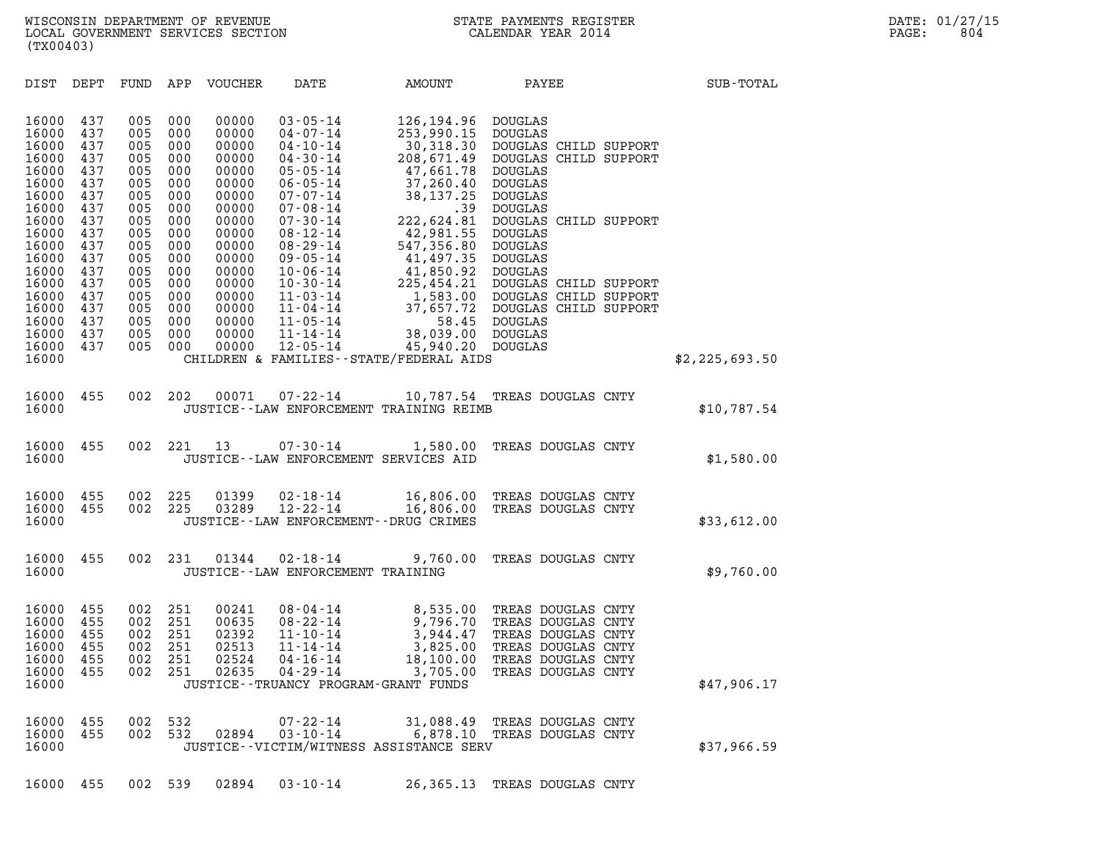(TX00403)

| (TX00403)                                                   |                                               |                                               |                                               |                                                             |                                                                                                                            |                                                                                               |                                                                                                                                  |                |
|-------------------------------------------------------------|-----------------------------------------------|-----------------------------------------------|-----------------------------------------------|-------------------------------------------------------------|----------------------------------------------------------------------------------------------------------------------------|-----------------------------------------------------------------------------------------------|----------------------------------------------------------------------------------------------------------------------------------|----------------|
| DIST                                                        | DEPT                                          | FUND                                          | APP                                           | VOUCHER                                                     | DATE                                                                                                                       | AMOUNT                                                                                        | PAYEE                                                                                                                            | SUB-TOTAL      |
| 16000<br>16000<br>16000<br>16000<br>16000<br>16000<br>16000 | 437<br>437<br>437<br>437<br>437<br>437<br>437 | 005<br>005<br>005<br>005<br>005<br>005<br>005 | 000<br>000<br>000<br>000<br>000<br>000<br>000 | 00000<br>00000<br>00000<br>00000<br>00000<br>00000<br>00000 | $03 - 05 - 14$<br>$04 - 07 - 14$<br>$04 - 10 - 14$<br>$04 - 30 - 14$<br>$05 - 05 - 14$<br>$06 - 05 - 14$<br>$07 - 07 - 14$ | 126, 194.96<br>253,990.15<br>30,318.30<br>208,671.49<br>47,661.78<br>37,260.40<br>38, 137. 25 | <b>DOUGLAS</b><br>DOUGLAS<br>DOUGLAS CHILD SUPPORT<br>DOUGLAS CHILD SUPPORT<br><b>DOUGLAS</b><br>DOUGLAS<br><b>DOUGLAS</b>       |                |
| 16000<br>16000<br>16000<br>16000<br>16000<br>16000          | 437<br>437<br>437<br>437<br>437<br>437        | 005<br>005<br>005<br>005<br>005<br>005        | 000<br>000<br>000<br>000<br>000<br>000        | 00000<br>00000<br>00000<br>00000<br>00000<br>00000          | $07 - 08 - 14$<br>$07 - 30 - 14$<br>$08 - 12 - 14$<br>$08 - 29 - 14$<br>$09 - 05 - 14$<br>$10 - 06 - 14$                   | .39<br>222,624.81<br>42,981.55<br>547,356.80<br>41,497.35<br>41,850.92                        | <b>DOUGLAS</b><br>DOUGLAS CHILD SUPPORT<br>DOUGLAS<br><b>DOUGLAS</b><br>DOUGLAS<br><b>DOUGLAS</b>                                |                |
| 16000<br>16000<br>16000<br>16000<br>16000<br>16000          | 437<br>437<br>437<br>437<br>437<br>437        | 005<br>005<br>005<br>005<br>005<br>005        | 000<br>000<br>000<br>000<br>000<br>000        | 00000<br>00000<br>00000<br>00000<br>00000<br>00000          | $10 - 30 - 14$<br>$-1 - 03 - 14$<br>$11 - 04 - 14$<br>$11 - 05 - 14$<br>$11 - 14 - 14$<br>$12 - 05 - 14$                   | 225,454.21<br>1,583.00<br>37,657.72<br>58.45<br>38,039.00<br>45,940.20                        | DOUGLAS CHILD SUPPORT<br>DOUGLAS CHILD SUPPORT<br>DOUGLAS CHILD SUPPORT<br>DOUGLAS<br>DOUGLAS<br><b>DOUGLAS</b>                  |                |
| 16000                                                       |                                               |                                               |                                               |                                                             |                                                                                                                            | CHILDREN & FAMILIES - - STATE/FEDERAL AIDS                                                    |                                                                                                                                  | \$2,225,693.50 |
| 16000<br>16000                                              | 455                                           | 002                                           | 202                                           | 00071                                                       | $07 - 22 - 14$                                                                                                             | 10,787.54<br>JUSTICE--LAW ENFORCEMENT TRAINING REIMB                                          | TREAS DOUGLAS CNTY                                                                                                               | \$10,787.54    |
| 16000<br>16000                                              | 455                                           | 002                                           | 221                                           | 13                                                          | $07 - 30 - 14$                                                                                                             | 1,580.00<br>JUSTICE--LAW ENFORCEMENT SERVICES AID                                             | TREAS DOUGLAS CNTY                                                                                                               | \$1,580.00     |
| 16000<br>16000<br>16000                                     | 455<br>455                                    | 002<br>002                                    | 225<br>225                                    | 01399<br>03289                                              | $02 - 18 - 14$<br>$12 - 22 - 14$                                                                                           | 16,806.00<br>16,806.00<br>JUSTICE - - LAW ENFORCEMENT - - DRUG CRIMES                         | TREAS DOUGLAS CNTY<br>TREAS DOUGLAS CNTY                                                                                         | \$33,612.00    |
| 16000<br>16000                                              | 455                                           | 002                                           | 231                                           | 01344                                                       | $02 - 18 - 14$<br>JUSTICE - - LAW ENFORCEMENT TRAINING                                                                     | 9,760.00                                                                                      | TREAS DOUGLAS CNTY                                                                                                               | \$9,760.00     |
| 16000<br>16000<br>16000<br>16000<br>16000<br>16000          | 455<br>455<br>455<br>455<br>455<br>455        | 002<br>002<br>002<br>002<br>002<br>002        | 251<br>251<br>251<br>251<br>251<br>251        | 00241<br>00635<br>02392<br>02513<br>02524<br>02635          | $08 - 04 - 14$<br>$08 - 22 - 14$<br>$11 - 10 - 14$<br>$11 - 14 - 14$<br>$04 - 16 - 14$<br>04-29-14                         | 8,535.00<br>9,796.70<br>3,944.47<br>3,825.00<br>18,100.00<br>3,705.00                         | TREAS DOUGLAS CNTY<br>TREAS DOUGLAS CNTY<br>TREAS DOUGLAS CNTY<br>TREAS DOUGLAS CNTY<br>TREAS DOUGLAS CNTY<br>TREAS DOUGLAS CNTY |                |
| 16000                                                       |                                               |                                               |                                               |                                                             |                                                                                                                            | JUSTICE - - TRUANCY PROGRAM - GRANT FUNDS                                                     |                                                                                                                                  | \$47,906.17    |
| 16000<br>16000<br>16000                                     | 455<br>455                                    | 002                                           | 002 532<br>532                                | 02894                                                       | $07 - 22 - 14$<br>$03 - 10 - 14$                                                                                           | 31,088.49<br>JUSTICE - - VICTIM/WITNESS ASSISTANCE SERV                                       | TREAS DOUGLAS CNTY<br>6,878.10 TREAS DOUGLAS CNTY                                                                                | \$37,966.59    |
|                                                             | 16000 455                                     |                                               | 002 539                                       | 02894                                                       | $03 - 10 - 14$                                                                                                             |                                                                                               | 26,365.13 TREAS DOUGLAS CNTY                                                                                                     |                |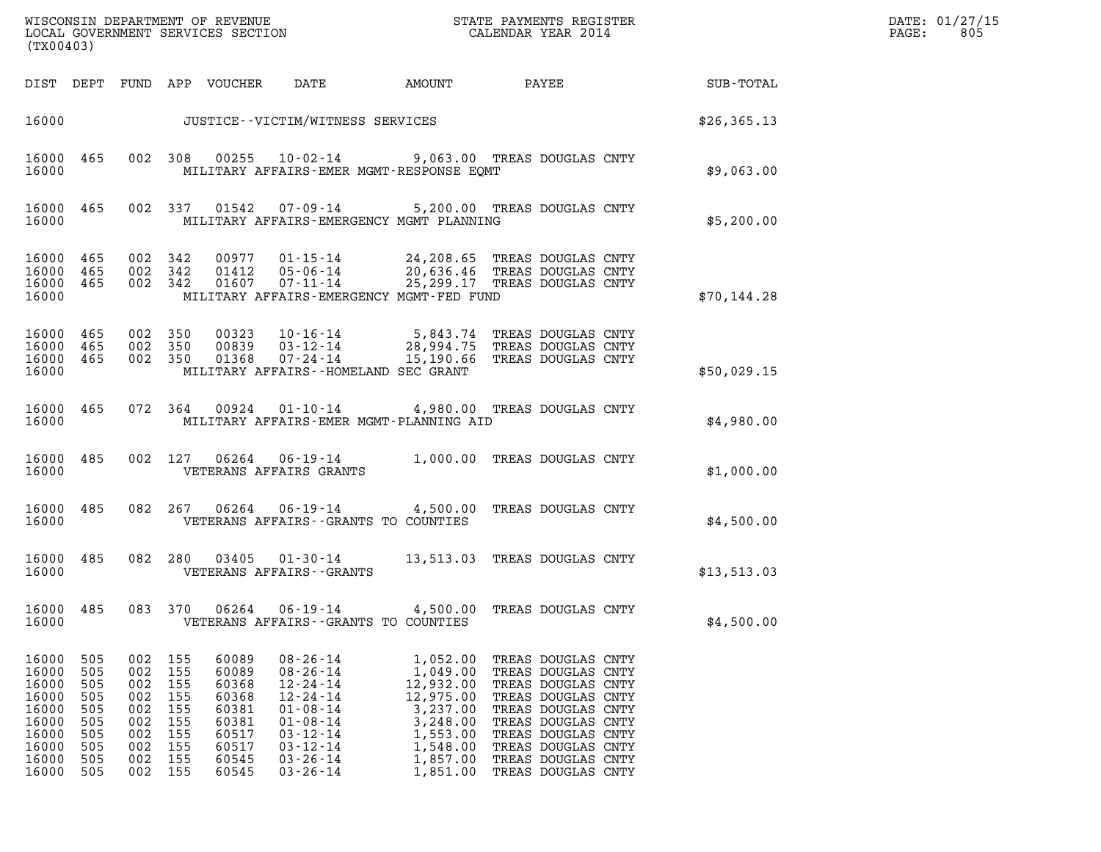| (TX00403)                                                                              |                                                                    |                                                                    |                                                                    |                                                                                        | WISCONSIN DEPARTMENT OF REVENUE<br>LOCAL GOVERNMENT SERVICES SECTION                                                                                                             |                                                                                                                        | STATE PAYMENTS REGISTER<br>CALENDAR YEAR 2014                                                                                                                                                                            |             | DATE: 01/27/15<br>PAGE:<br>805 |
|----------------------------------------------------------------------------------------|--------------------------------------------------------------------|--------------------------------------------------------------------|--------------------------------------------------------------------|----------------------------------------------------------------------------------------|----------------------------------------------------------------------------------------------------------------------------------------------------------------------------------|------------------------------------------------------------------------------------------------------------------------|--------------------------------------------------------------------------------------------------------------------------------------------------------------------------------------------------------------------------|-------------|--------------------------------|
|                                                                                        |                                                                    |                                                                    |                                                                    | DIST DEPT FUND APP VOUCHER                                                             | DATE                                                                                                                                                                             | AMOUNT                                                                                                                 | PAYEE                                                                                                                                                                                                                    | SUB-TOTAL   |                                |
| 16000                                                                                  |                                                                    |                                                                    |                                                                    |                                                                                        | JUSTICE - - VICTIM/WITNESS SERVICES                                                                                                                                              |                                                                                                                        | \$26, 365.13                                                                                                                                                                                                             |             |                                |
| 16000<br>16000                                                                         | 465                                                                |                                                                    | 002 308                                                            |                                                                                        | 00255 10-02-14                                                                                                                                                                   | MILITARY AFFAIRS-EMER MGMT-RESPONSE EQMT                                                                               | 9,063.00 TREAS DOUGLAS CNTY                                                                                                                                                                                              | \$9,063.00  |                                |
| 16000<br>16000                                                                         | 465                                                                |                                                                    | 002 337                                                            | 01542                                                                                  | 07-09-14                                                                                                                                                                         | MILITARY AFFAIRS-EMERGENCY MGMT PLANNING                                                                               | 5,200.00 TREAS DOUGLAS CNTY                                                                                                                                                                                              | \$5,200.00  |                                |
| 16000<br>16000<br>16000 465<br>16000                                                   | 465<br>465                                                         | 002 342<br>002 342                                                 | 002 342                                                            | 00977<br>01412                                                                         | 01-15-14<br>05-06-14                                                                                                                                                             | MILITARY AFFAIRS-EMERGENCY MGMT-FED FUND                                                                               | 24,208.65 TREAS DOUGLAS CNTY<br>20,636.46 TREAS DOUGLAS CNTY<br>01607  07-11-14  25,299.17  TREAS DOUGLAS CNTY                                                                                                           | \$70,144.28 |                                |
| 16000<br>16000 465<br>16000 465<br>16000                                               | 465                                                                | 002 350<br>002 350<br>002 350                                      |                                                                    | 00323<br>00839<br>01368                                                                | $10 - 16 - 14$<br>$03 - 12 - 14$<br>$07 - 24 - 14$                                                                                                                               | MILITARY AFFAIRS--HOMELAND SEC GRANT                                                                                   | 5,843.74 TREAS DOUGLAS CNTY<br>28,994.75 TREAS DOUGLAS CNTY<br>15,190.66 TREAS DOUGLAS CNTY                                                                                                                              | \$50,029.15 |                                |
| 16000<br>16000                                                                         | 465                                                                | 072 364                                                            |                                                                    | 00924                                                                                  | $01 - 10 - 14$                                                                                                                                                                   | MILITARY AFFAIRS-EMER MGMT-PLANNING AID                                                                                | 4,980.00 TREAS DOUGLAS CNTY                                                                                                                                                                                              | \$4,980.00  |                                |
| 16000<br>16000                                                                         | 485                                                                | 002 127                                                            |                                                                    | 06264                                                                                  | $06 - 19 - 14$<br>VETERANS AFFAIRS GRANTS                                                                                                                                        |                                                                                                                        | 1,000.00 TREAS DOUGLAS CNTY                                                                                                                                                                                              | \$1,000.00  |                                |
| 16000<br>16000                                                                         | 485                                                                |                                                                    | 082 267                                                            | 06264                                                                                  |                                                                                                                                                                                  | VETERANS AFFAIRS -- GRANTS TO COUNTIES                                                                                 | 06-19-14 4,500.00 TREAS DOUGLAS CNTY                                                                                                                                                                                     | \$4,500.00  |                                |
| 16000<br>16000                                                                         | 485                                                                |                                                                    | 082 280                                                            | 03405                                                                                  | 01-30-14<br>VETERANS AFFAIRS - - GRANTS                                                                                                                                          |                                                                                                                        | 13,513.03 TREAS DOUGLAS CNTY                                                                                                                                                                                             | \$13,513.03 |                                |
| 16000<br>16000                                                                         | 485                                                                | 083                                                                | 370                                                                | 06264                                                                                  | $06 - 19 - 14$                                                                                                                                                                   | 4,500.00<br>VETERANS AFFAIRS - - GRANTS TO COUNTIES                                                                    | TREAS DOUGLAS CNTY                                                                                                                                                                                                       | \$4,500.00  |                                |
| 16000<br>16000<br>16000<br>16000<br>16000<br>16000<br>16000<br>16000<br>16000<br>16000 | 505<br>505<br>505<br>505<br>505<br>505<br>505<br>505<br>505<br>505 | 002<br>002<br>002<br>002<br>002<br>002<br>002<br>002<br>002<br>002 | 155<br>155<br>155<br>155<br>155<br>155<br>155<br>155<br>155<br>155 | 60089<br>60089<br>60368<br>60368<br>60381<br>60381<br>60517<br>60517<br>60545<br>60545 | $08 - 26 - 14$<br>$08 - 26 - 14$<br>$12 - 24 - 14$<br>$12 - 24 - 14$<br>$01 - 08 - 14$<br>$01 - 08 - 14$<br>$03 - 12 - 14$<br>$03 - 12 - 14$<br>$03 - 26 - 14$<br>$03 - 26 - 14$ | 1,052.00<br>1,049.00<br>12,932.00<br>12,975.00<br>3,237.00<br>3,248.00<br>1,553.00<br>1,548.00<br>1,857.00<br>1,851.00 | TREAS DOUGLAS CNTY<br>TREAS DOUGLAS CNTY<br>TREAS DOUGLAS CNTY<br>TREAS DOUGLAS CNTY<br>TREAS DOUGLAS CNTY<br>TREAS DOUGLAS CNTY<br>TREAS DOUGLAS CNTY<br>TREAS DOUGLAS CNTY<br>TREAS DOUGLAS CNTY<br>TREAS DOUGLAS CNTY |             |                                |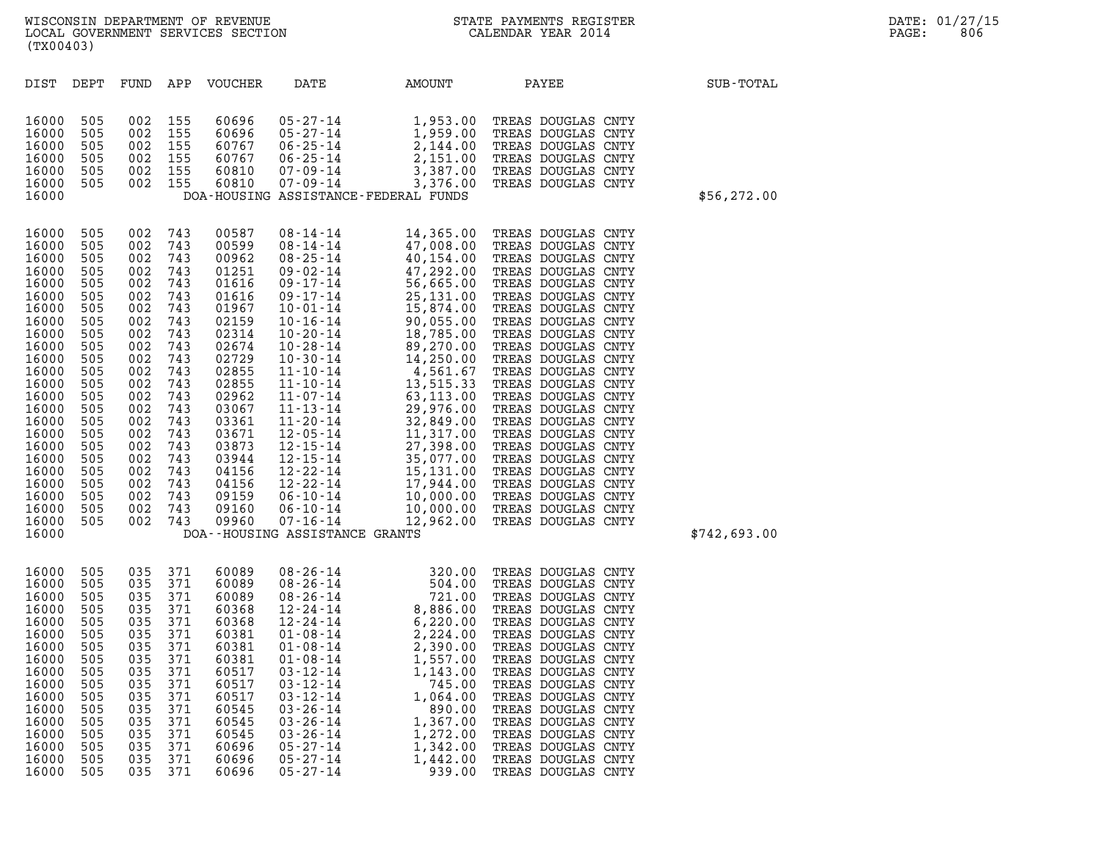|                                                                                                                                                                                                                               | (TX00403)                                                                                                                                                            |                                                                                                                                                                      |                                                                                                                                                                      |                                                                                                                                                                                                                      |                                                                                                                                                                                                                                                                                        |                                                                                                                                                                                                                                                                          |                                                                                                                                                                                                                                                                                                                                                                                                                                                                                                                                                                                                |              |  |  |  |
|-------------------------------------------------------------------------------------------------------------------------------------------------------------------------------------------------------------------------------|----------------------------------------------------------------------------------------------------------------------------------------------------------------------|----------------------------------------------------------------------------------------------------------------------------------------------------------------------|----------------------------------------------------------------------------------------------------------------------------------------------------------------------|----------------------------------------------------------------------------------------------------------------------------------------------------------------------------------------------------------------------|----------------------------------------------------------------------------------------------------------------------------------------------------------------------------------------------------------------------------------------------------------------------------------------|--------------------------------------------------------------------------------------------------------------------------------------------------------------------------------------------------------------------------------------------------------------------------|------------------------------------------------------------------------------------------------------------------------------------------------------------------------------------------------------------------------------------------------------------------------------------------------------------------------------------------------------------------------------------------------------------------------------------------------------------------------------------------------------------------------------------------------------------------------------------------------|--------------|--|--|--|
| DIST                                                                                                                                                                                                                          | DEPT                                                                                                                                                                 | FUND                                                                                                                                                                 | APP                                                                                                                                                                  | VOUCHER                                                                                                                                                                                                              | DATE                                                                                                                                                                                                                                                                                   | AMOUNT                                                                                                                                                                                                                                                                   | PAYEE                                                                                                                                                                                                                                                                                                                                                                                                                                                                                                                                                                                          | SUB-TOTAL    |  |  |  |
| 16000<br>16000<br>16000<br>16000<br>16000<br>16000<br>16000                                                                                                                                                                   | 505<br>505<br>505<br>505<br>505<br>505                                                                                                                               | 002<br>002<br>002<br>002<br>002<br>002                                                                                                                               | 155<br>155<br>155<br>155<br>155<br>155                                                                                                                               | 60696<br>60696<br>60767<br>60767<br>60810<br>60810                                                                                                                                                                   | 05-27-14<br>05-27-14<br>06-25-14<br>06-25-14<br>07-09-14<br>07-09-14                                                                                                                                                                                                                   | 1,953.00<br>1,959.00<br>2,144.00<br>2,151.00<br>3,387.00<br>3,376.00<br>DOA-HOUSING ASSISTANCE-FEDERAL FUNDS                                                                                                                                                             | TREAS DOUGLAS CNTY<br>TREAS DOUGLAS CNTY<br>TREAS DOUGLAS CNTY<br>TREAS DOUGLAS CNTY<br>TREAS DOUGLAS CNTY<br>TREAS DOUGLAS CNTY                                                                                                                                                                                                                                                                                                                                                                                                                                                               | \$56, 272.00 |  |  |  |
| 16000<br>16000<br>16000<br>16000<br>16000<br>16000<br>16000<br>16000<br>16000<br>16000<br>16000<br>16000<br>16000<br>16000<br>16000<br>16000<br>16000<br>16000<br>16000<br>16000<br>16000<br>16000<br>16000<br>16000<br>16000 | 505<br>505<br>505<br>505<br>505<br>505<br>505<br>505<br>505<br>505<br>505<br>505<br>505<br>505<br>505<br>505<br>505<br>505<br>505<br>505<br>505<br>505<br>505<br>505 | 002<br>002<br>002<br>002<br>002<br>002<br>002<br>002<br>002<br>002<br>002<br>002<br>002<br>002<br>002<br>002<br>002<br>002<br>002<br>002<br>002<br>002<br>002<br>002 | 743<br>743<br>743<br>743<br>743<br>743<br>743<br>743<br>743<br>743<br>743<br>743<br>743<br>743<br>743<br>743<br>743<br>743<br>743<br>743<br>743<br>743<br>743<br>743 | 00587<br>00599<br>00962<br>01251<br>01616<br>01616<br>01967<br>02159<br>02314<br>02674<br>02729<br>02855<br>02855<br>02962<br>03067<br>03361<br>03671<br>03873<br>03944<br>04156<br>04156<br>09159<br>09160<br>09960 | 06-10-14<br>DOA--HOUSING ASSISTANCE GRANTS                                                                                                                                                                                                                                             | 08-14-14<br>14,365.00<br>08-25-14<br>47,008.00<br>09-25-14<br>40,154.00<br>09-17-14<br>56,665.00<br>09-17-14<br>56,665.00<br>09-17-14<br>25,131.00<br>10-01-14<br>15,874.00<br>10-20-14<br>18,785.00<br>10-20-14<br>18,785.00<br>10-20-14<br>18,785.00<br>10-20-14<br>18 | TREAS DOUGLAS CNTY<br>TREAS DOUGLAS CNTY<br>TREAS DOUGLAS CNTY<br>TREAS DOUGLAS CNTY<br>TREAS DOUGLAS CNTY<br>TREAS DOUGLAS CNTY<br>TREAS DOUGLAS CNTY<br>TREAS DOUGLAS CNTY<br>TREAS DOUGLAS CNTY<br>TREAS DOUGLAS CNTY<br>TREAS DOUGLAS CNTY<br>TREAS DOUGLAS CNTY<br>TREAS DOUGLAS CNTY<br>TREAS DOUGLAS CNTY<br>TREAS DOUGLAS CNTY<br>TREAS DOUGLAS CNTY<br>TREAS DOUGLAS CNTY<br>TREAS DOUGLAS CNTY<br>TREAS DOUGLAS CNTY<br>15,131.00 TREAS DOUGLAS CNTY<br>17,944.00 TREAS DOUGLAS CNTY<br>10,000.00 TREAS DOUGLAS CNTY<br>10,000.00 TREAS DOUGLAS CNTY<br>12,962.00 TREAS DOUGLAS CNTY | \$742,693.00 |  |  |  |
| 16000<br>16000<br>16000<br>16000<br>16000<br>16000<br>16000<br>16000<br>16000<br>16000<br>16000<br>16000<br>16000<br>16000<br>16000<br>16000<br>16000                                                                         | 505<br>505<br>505<br>505<br>505<br>505<br>505<br>505<br>505<br>505<br>505<br>505<br>505<br>505<br>505<br>505<br>505                                                  | 035<br>035<br>035<br>035<br>035<br>035<br>035<br>035<br>035<br>035<br>035<br>035<br>035<br>035<br>035<br>035<br>035                                                  | 371<br>371<br>371<br>371<br>371<br>371<br>371<br>371<br>371<br>371<br>371<br>371<br>371<br>371<br>371<br>371<br>371                                                  | 60089<br>60089<br>60089<br>60368<br>60368<br>60381<br>60381<br>60381<br>60517<br>60517<br>60517<br>60545<br>60545<br>60545<br>60696<br>60696<br>60696                                                                | $08 - 26 - 14$<br>$08 - 26 - 14$<br>08-26-14<br>12-24-14<br>$12 - 24 - 14$<br>01-08-14<br>01-08-14<br>$01 - 08 - 14$<br>$03 - 12 - 14$<br>$03 - 12 - 14$<br>$03 - 12 - 14$<br>$03 - 26 - 14$<br>$03 - 26 - 14$<br>$03 - 26 - 14$<br>$05 - 27 - 14$<br>$05 - 27 - 14$<br>$05 - 27 - 14$ | 320.00<br>504.00<br>$\begin{array}{ccc} 721.00 \\ 8,886.00 \\ 6,220.00 \\ 2,224.00 \\ 2,390.00 \end{array},$<br>2,390.00<br>1,557.00<br>1,143.00<br>745.00<br>1,064.00<br>890.00<br>1,367.00<br>1,272.00<br>1,342.00<br>1,442.00<br>939.00                               | TREAS DOUGLAS CNTY<br>TREAS DOUGLAS CNTY<br>TREAS DOUGLAS CNTY<br>TREAS DOUGLAS CNTY<br>TREAS DOUGLAS CNTY<br>TREAS DOUGLAS CNTY<br>TREAS DOUGLAS CNTY<br>TREAS DOUGLAS CNTY<br>TREAS DOUGLAS CNTY<br>TREAS DOUGLAS CNTY<br>TREAS DOUGLAS CNTY<br>TREAS DOUGLAS CNTY<br>TREAS DOUGLAS CNTY<br>TREAS DOUGLAS CNTY<br>TREAS DOUGLAS CNTY<br>TREAS DOUGLAS CNTY<br>TREAS DOUGLAS CNTY                                                                                                                                                                                                             |              |  |  |  |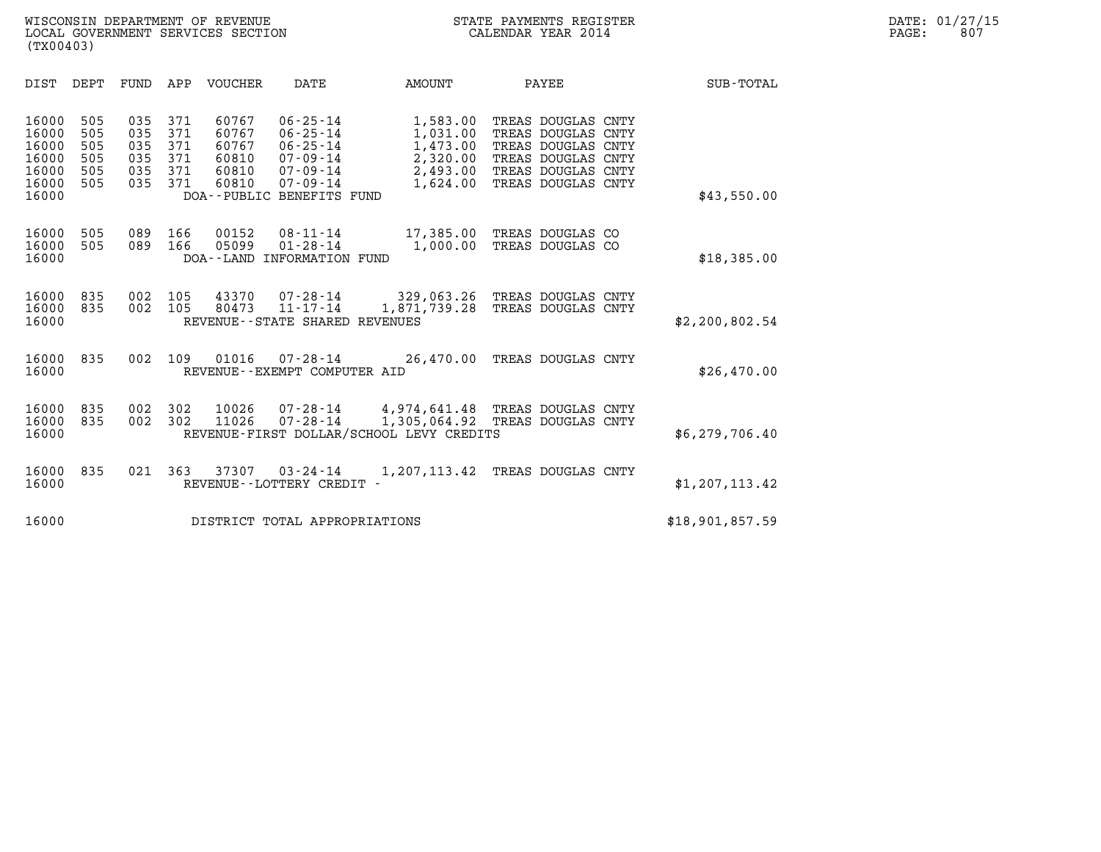| (TX00403)                                                   |                                        |                                        |                                        |                                                    |                                                                                                                           |                                                 |                                                                      |                                                                                                                                  |                  |
|-------------------------------------------------------------|----------------------------------------|----------------------------------------|----------------------------------------|----------------------------------------------------|---------------------------------------------------------------------------------------------------------------------------|-------------------------------------------------|----------------------------------------------------------------------|----------------------------------------------------------------------------------------------------------------------------------|------------------|
| DIST                                                        | DEPT                                   | <b>FUND</b>                            | APP                                    | VOUCHER                                            | DATE                                                                                                                      | AMOUNT                                          |                                                                      | PAYEE                                                                                                                            | <b>SUB-TOTAL</b> |
| 16000<br>16000<br>16000<br>16000<br>16000<br>16000<br>16000 | 505<br>505<br>505<br>505<br>505<br>505 | 035<br>035<br>035<br>035<br>035<br>035 | 371<br>371<br>371<br>371<br>371<br>371 | 60767<br>60767<br>60767<br>60810<br>60810<br>60810 | $06 - 25 - 14$<br>$06 - 25 - 14$<br>$06 - 25 - 14$<br>07-09-14<br>07-09-14<br>$07 - 09 - 14$<br>DOA--PUBLIC BENEFITS FUND |                                                 | 1,583.00<br>1,031.00<br>1,473.00<br>2,320.00<br>2,493.00<br>1,624.00 | TREAS DOUGLAS CNTY<br>TREAS DOUGLAS CNTY<br>TREAS DOUGLAS CNTY<br>TREAS DOUGLAS CNTY<br>TREAS DOUGLAS CNTY<br>TREAS DOUGLAS CNTY | \$43,550.00      |
| 16000<br>16000<br>16000                                     | 505<br>505                             | 089<br>089                             | 166<br>166                             | 00152<br>05099                                     | $08 - 11 - 14$<br>$01 - 28 - 14$<br>DOA--LAND INFORMATION FUND                                                            |                                                 | 17,385.00<br>1,000.00                                                | TREAS DOUGLAS CO<br>TREAS DOUGLAS CO                                                                                             | \$18,385.00      |
| 16000<br>16000<br>16000                                     | 835<br>835                             | 002<br>002                             | 105<br>105                             | 43370<br>80473                                     | $11 - 17 - 14$<br>REVENUE - - STATE SHARED REVENUES                                                                       | $07 - 28 - 14$ 329,063.26<br>1,871,739.28       |                                                                      | TREAS DOUGLAS CNTY<br>TREAS DOUGLAS CNTY                                                                                         | \$2,200,802.54   |
| 16000<br>16000                                              | 835                                    | 002                                    | 109                                    | 01016                                              | $07 - 28 - 14$<br>REVENUE--EXEMPT COMPUTER AID                                                                            |                                                 | 26,470.00                                                            | TREAS DOUGLAS CNTY                                                                                                               | \$26,470.00      |
| 16000<br>16000<br>16000                                     | 835<br>835                             | 002<br>002                             | 302<br>302                             | 10026<br>11026                                     | $07 - 28 - 14$<br>$07 - 28 - 14$<br>REVENUE-FIRST DOLLAR/SCHOOL LEVY CREDITS                                              | 4,974,641.48 TREAS DOUGLAS CNTY<br>1,305,064.92 |                                                                      | TREAS DOUGLAS CNTY                                                                                                               | \$6,279,706.40   |
| 16000<br>16000                                              | 835                                    | 021                                    | 363                                    | 37307                                              | $03 - 24 - 14$<br>REVENUE - - LOTTERY CREDIT -                                                                            | 1,207,113.42                                    |                                                                      | TREAS DOUGLAS CNTY                                                                                                               | \$1,207,113.42   |
| 16000                                                       |                                        |                                        |                                        |                                                    | DISTRICT TOTAL APPROPRIATIONS                                                                                             |                                                 |                                                                      |                                                                                                                                  | \$18,901,857.59  |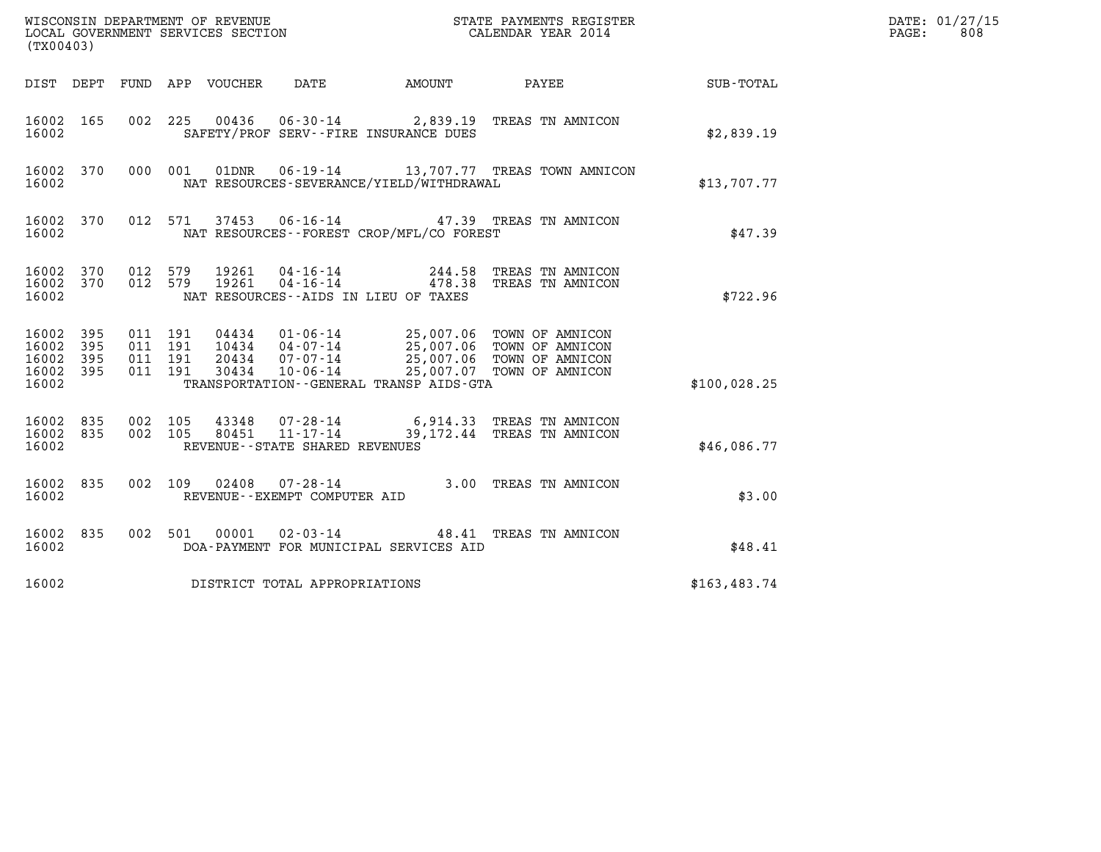| (TX00403)                                 |                            |                                          | WISCONSIN DEPARTMENT OF REVENUE<br>LOCAL GOVERNMENT SERVICES SECTION |                                                  |                                                                                      | STATE PAYMENTS REGISTER<br>CALENDAR YEAR 2014                                                                                      |              | DATE: 01/27/15<br>808<br>PAGE: |
|-------------------------------------------|----------------------------|------------------------------------------|----------------------------------------------------------------------|--------------------------------------------------|--------------------------------------------------------------------------------------|------------------------------------------------------------------------------------------------------------------------------------|--------------|--------------------------------|
| DIST DEPT                                 |                            |                                          | FUND APP VOUCHER                                                     | <b>DATE</b>                                      | AMOUNT                                                                               | PAYEE                                                                                                                              | SUB-TOTAL    |                                |
| 16002 165<br>16002                        |                            | 002                                      | 225                                                                  |                                                  | SAFETY/PROF SERV--FIRE INSURANCE DUES                                                | 00436  06-30-14  2,839.19  TREAS TN AMNICON                                                                                        | \$2,839.19   |                                |
| 16002 370<br>16002                        |                            | 000 001                                  | 01DNR                                                                |                                                  | NAT RESOURCES-SEVERANCE/YIELD/WITHDRAWAL                                             | 06-19-14 13,707.77 TREAS TOWN AMNICON                                                                                              | \$13,707.77  |                                |
| 16002 370<br>16002                        |                            |                                          | 012 571                                                              |                                                  | NAT RESOURCES - - FOREST CROP/MFL/CO FOREST                                          | 37453   06-16-14   47.39   TREAS TN AMNICON                                                                                        | \$47.39      |                                |
| 16002 370<br>16002 370<br>16002           |                            | 012 579<br>012 579                       | 19261<br>19261                                                       |                                                  | 04 - 16 - 14 244.58<br>04 - 16 - 14 478.38<br>NAT RESOURCES -- AIDS IN LIEU OF TAXES | TREAS TN AMNICON<br>TREAS TN AMNICON                                                                                               | \$722.96     |                                |
| 16002<br>16002<br>16002<br>16002<br>16002 | 395<br>395<br>395<br>- 395 | 011 191<br>011 191<br>011 191<br>011 191 | 20434<br>30434                                                       | $10434$ $04-07-14$<br>07-07-14<br>$10 - 06 - 14$ | TRANSPORTATION - - GENERAL TRANSP AIDS-GTA                                           | 04434  01-06-14  25,007.06  TOWN OF AMNICON<br>25,007.06 TOWN OF AMNICON<br>25,007.06 TOWN OF AMNICON<br>25,007.07 TOWN OF AMNICON | \$100,028.25 |                                |
| 16002<br>16002 835<br>16002               | 835                        | 002 105<br>002 105                       | 43348<br>80451                                                       | $11 - 17 - 14$<br>REVENUE--STATE SHARED REVENUES |                                                                                      | 07-28-14 6,914.33 TREAS TN AMNICON<br>39,172.44 TREAS TN AMNICON                                                                   | \$46,086.77  |                                |
| 16002 835<br>16002                        |                            |                                          | 002 109<br>02408                                                     | 07-28-14<br>REVENUE--EXEMPT COMPUTER AID         |                                                                                      | 3.00 TREAS TN AMNICON                                                                                                              | \$3.00       |                                |
| 16002 835<br>16002                        |                            |                                          | 002 501<br>00001                                                     | 02-03-14                                         | DOA-PAYMENT FOR MUNICIPAL SERVICES AID                                               | 48.41 TREAS TN AMNICON                                                                                                             | \$48.41      |                                |
| 16002                                     |                            |                                          |                                                                      | DISTRICT TOTAL APPROPRIATIONS                    |                                                                                      |                                                                                                                                    | \$163,483.74 |                                |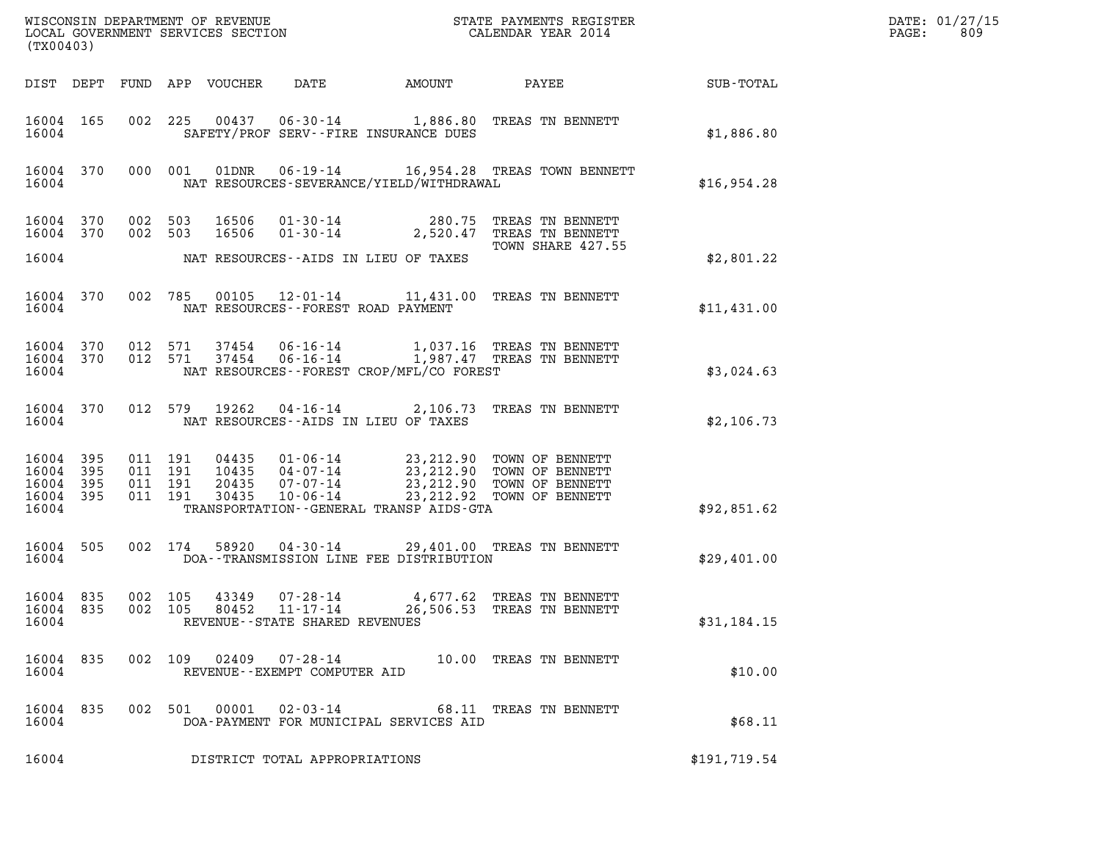| (TX00403)                                         |            |         |                               |                                  |                                              |                                                                                                                                                                       |                                                        |              | DATE: 01/27/15<br>PAGE:<br>809 |
|---------------------------------------------------|------------|---------|-------------------------------|----------------------------------|----------------------------------------------|-----------------------------------------------------------------------------------------------------------------------------------------------------------------------|--------------------------------------------------------|--------------|--------------------------------|
|                                                   |            |         |                               | DIST DEPT FUND APP VOUCHER       | DATE                                         | AMOUNT                                                                                                                                                                | PAYEE                                                  | SUB-TOTAL    |                                |
| 16004 165<br>16004                                |            |         |                               |                                  |                                              | 002 225 00437 06-30-14 1,886.80 TREAS TN BENNETT<br>SAFETY/PROF SERV--FIRE INSURANCE DUES                                                                             |                                                        | \$1,886.80   |                                |
| 16004 370<br>16004                                |            |         | 000 001                       | 01DNR                            |                                              | 06-19-14 16,954.28 TREAS TOWN BENNETT<br>NAT RESOURCES-SEVERANCE/YIELD/WITHDRAWAL                                                                                     |                                                        | \$16,954.28  |                                |
| 16004 370<br>16004 370                            |            | 002 503 | 002 503                       | 16506<br>16506                   | $01 - 30 - 14$                               | 01-30-14 280.75 TREAS TN BENNETT                                                                                                                                      | 2,520.47 TREAS TN BENNETT<br>TOWN SHARE 427.55         |              |                                |
| 16004                                             |            |         |                               |                                  |                                              | NAT RESOURCES--AIDS IN LIEU OF TAXES                                                                                                                                  |                                                        | \$2,801.22   |                                |
| 16004 370<br>16004                                |            |         |                               |                                  |                                              | 002 785 00105 12-01-14 11,431.00 TREAS TN BENNETT<br>NAT RESOURCES - - FOREST ROAD PAYMENT                                                                            |                                                        | \$11,431.00  |                                |
| 16004 370<br>16004 370<br>16004                   |            |         | 012 571<br>012 571            | 37454<br>37454                   | 06-16-14<br>$06 - 16 - 14$                   | NAT RESOURCES - - FOREST CROP/MFL/CO FOREST                                                                                                                           | 1,037.16 TREAS TN BENNETT<br>1,987.47 TREAS TN BENNETT | \$3,024.63   |                                |
| 16004 370<br>16004                                |            |         | 012 579                       | 19262                            |                                              | 04-16-14 2,106.73 TREAS TN BENNETT<br>NAT RESOURCES -- AIDS IN LIEU OF TAXES                                                                                          |                                                        | \$2,106.73   |                                |
| 16004<br>16004 395<br>16004<br>16004 395<br>16004 | 395<br>395 | 011 191 | 011 191<br>011 191<br>011 191 | 04435<br>10435<br>20435<br>30435 | 04-07-14<br>$07 - 07 - 14$<br>$10 - 06 - 14$ | 01-06-14 23,212.90 TOWN OF BENNETT<br>23,212.90 TOWN OF BENNETT<br>23,212.90 TOWN OF BENNETT<br>23, 212.92 TOWN OF BENNETT<br>TRANSPORTATION--GENERAL TRANSP AIDS-GTA |                                                        | \$92,851.62  |                                |
| 16004 505                                         |            |         | 002 174                       | 58920                            |                                              | 04-30-14 29,401.00 TREAS TN BENNETT                                                                                                                                   |                                                        |              |                                |
| 16004                                             |            |         |                               |                                  |                                              | DOA--TRANSMISSION LINE FEE DISTRIBUTION                                                                                                                               |                                                        | \$29,401.00  |                                |
| 16004 835<br>16004                                |            |         | 002 105                       | 43349                            | 07-28-14<br>REVENUE--STATE SHARED REVENUES   | 16004 835 002 105 80452 11-17-14 26,506.53 TREAS TN BENNETT                                                                                                           | 4,677.62 TREAS TN BENNETT                              | \$31,184.15  |                                |
| 16004 835<br>16004                                |            |         |                               |                                  | REVENUE--EXEMPT COMPUTER AID                 | 002 109 02409 07-28-14 10.00 TREAS TN BENNETT                                                                                                                         |                                                        | \$10.00      |                                |
| 16004 835<br>16004                                |            |         |                               |                                  |                                              | 002 501 00001 02-03-14 68.11 TREAS TN BENNETT<br>DOA-PAYMENT FOR MUNICIPAL SERVICES AID                                                                               |                                                        | \$68.11      |                                |
| 16004                                             |            |         |                               |                                  | DISTRICT TOTAL APPROPRIATIONS                |                                                                                                                                                                       |                                                        | \$191,719.54 |                                |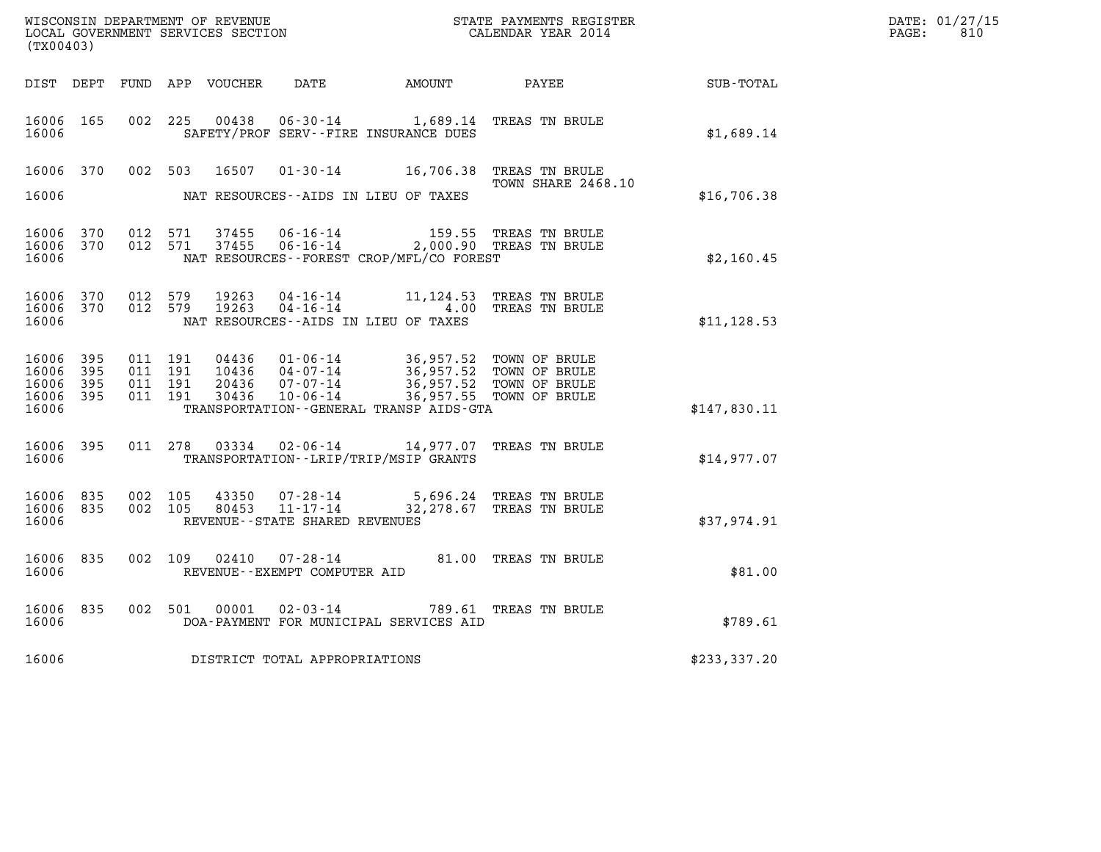| (TX00403)                                         |              |                    |                    |                |                                                  |                                                                                                                                                                                                           |                          |              | DATE: 01/27/15<br>$\mathtt{PAGE:}$<br>810 |
|---------------------------------------------------|--------------|--------------------|--------------------|----------------|--------------------------------------------------|-----------------------------------------------------------------------------------------------------------------------------------------------------------------------------------------------------------|--------------------------|--------------|-------------------------------------------|
|                                                   |              |                    |                    |                |                                                  |                                                                                                                                                                                                           |                          | SUB-TOTAL    |                                           |
| 16006 165<br>16006                                |              |                    |                    |                |                                                  | 002 225 00438 06-30-14 1,689.14 TREAS TN BRULE<br>SAFETY/PROF SERV--FIRE INSURANCE DUES                                                                                                                   |                          | \$1,689.14   |                                           |
| 16006 370                                         |              |                    | 002 503            |                |                                                  | 16507 01-30-14 16,706.38 TREAS TN BRULE                                                                                                                                                                   | TOWN SHARE 2468.10       |              |                                           |
| 16006                                             |              |                    |                    |                |                                                  | NAT RESOURCES--AIDS IN LIEU OF TAXES                                                                                                                                                                      |                          | \$16,706.38  |                                           |
| 16006 370<br>16006 370<br>16006                   |              |                    |                    |                |                                                  | 012 571 37455 06-16-14 159.55 TREAS TN BRULE<br>012 571 37455 06-16-14 2,000.90 TREAS TN BRULE<br>NAT RESOURCES--FOREST CROP/MFL/CO FOREST                                                                |                          | \$2,160.45   |                                           |
| 16006 370<br>16006 370<br>16006                   |              | 012 579            | 012 579            | 19263<br>19263 |                                                  | 04-16-14 11,124.53 TREAS TN BRULE<br>04-16-14 1.00 TREAS TN BRULE<br>NAT RESOURCES--AIDS IN LIEU OF TAXES                                                                                                 |                          | \$11, 128.53 |                                           |
| 16006 395<br>16006<br>16006<br>16006 395<br>16006 | 395<br>- 395 | 011 191<br>011 191 | 011 191<br>011 191 | 10436<br>30436 |                                                  | 04436 01-06-14 36,957.52 TOWN OF BRULE<br>10436 04-07-14 36,957.52 TOWN OF BRULE<br>20436 07-07-14 36,957.52 TOWN OF BRULE<br>10-06-14 36,957.55 TOWN OF BRULE<br>TRANSPORTATION--GENERAL TRANSP AIDS-GTA |                          | \$147,830.11 |                                           |
| 16006 395<br>16006                                |              |                    |                    |                |                                                  | 011 278 03334 02-06-14 14,977.07 TREAS TN BRULE<br>TRANSPORTATION - - LRIP/TRIP/MSIP GRANTS                                                                                                               |                          | \$14.977.07  |                                           |
| 16006 835<br>16006 835<br>16006                   |              | 002 105            | 002 105            | 43350          | 80453 11-17-14<br>REVENUE--STATE SHARED REVENUES | 07-28-14 5,696.24 TREAS TN BRULE                                                                                                                                                                          | 32,278.67 TREAS TN BRULE | \$37,974.91  |                                           |
| 16006 835<br>16006                                |              |                    |                    |                | REVENUE--EXEMPT COMPUTER AID                     | 002 109 02410 07-28-14 81.00 TREAS TN BRULE                                                                                                                                                               |                          | \$81.00      |                                           |
| 16006 835<br>16006                                |              |                    |                    |                |                                                  | 002 501 00001 02-03-14 789.61 TREAS TN BRULE<br>DOA-PAYMENT FOR MUNICIPAL SERVICES AID                                                                                                                    |                          | \$789.61     |                                           |
| 16006                                             |              |                    |                    |                | DISTRICT TOTAL APPROPRIATIONS                    |                                                                                                                                                                                                           |                          | \$233,337.20 |                                           |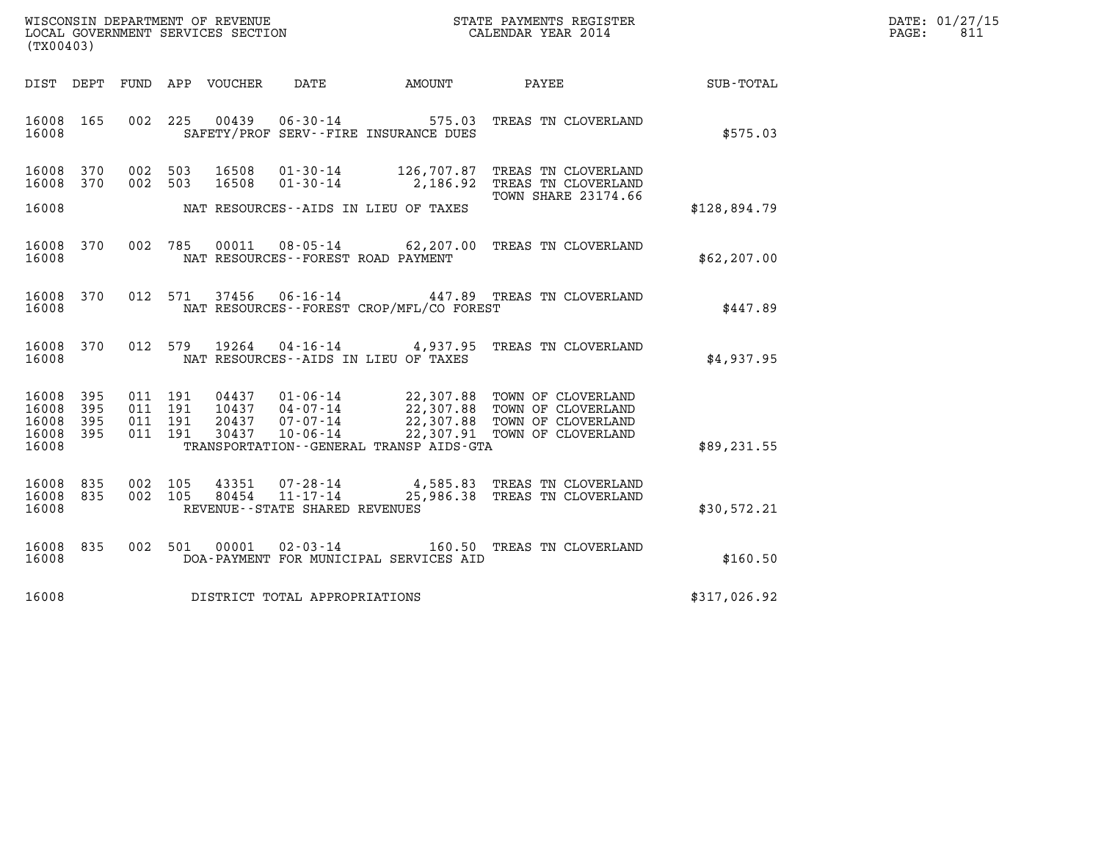| WISCONSIN DEPARTMENT OF REVENUE   | STATE PAYMENTS REGISTER | DATE: 01/27/15 |
|-----------------------------------|-------------------------|----------------|
| LOCAL GOVERNMENT SERVICES SECTION | CALENDAR YEAR 2014      | ن81<br>PAGE:   |

| (TX00403)                       |     |  |                                |                                |                                                                        | WISCONSIN DEPARTMENT OF REVENUE<br>LOCAL GOVERNMENT SERVICES SECTION<br>CALENDAR YEAR 2014                                                                                                                  |              | DATE: 01/27/15<br>PAGE: 811 |
|---------------------------------|-----|--|--------------------------------|--------------------------------|------------------------------------------------------------------------|-------------------------------------------------------------------------------------------------------------------------------------------------------------------------------------------------------------|--------------|-----------------------------|
|                                 |     |  |                                |                                |                                                                        | DIST DEPT FUND APP VOUCHER DATE AMOUNT PAYEE TOTAL                                                                                                                                                          |              |                             |
| 16008 165<br>16008              |     |  |                                |                                | 002 225 00439 06-30-14 575.03<br>SAFETY/PROF SERV--FIRE INSURANCE DUES | TREAS TN CLOVERLAND                                                                                                                                                                                         | \$575.03     |                             |
| 16008 370<br>16008 370          |     |  | 002 503 16508<br>002 503 16508 |                                |                                                                        | 01-30-14 126,707.87 TREAS TN CLOVERLAND<br>01-30-14 2,186.92 TREAS TN CLOVERLAND                                                                                                                            |              |                             |
| 16008                           |     |  |                                |                                | NAT RESOURCES--AIDS IN LIEU OF TAXES                                   | <b>TOWN SHARE 23174.66</b>                                                                                                                                                                                  | \$128,894.79 |                             |
| 16008 370<br>16008              |     |  |                                |                                | NAT RESOURCES--FOREST ROAD PAYMENT                                     | 002 785 00011 08-05-14 62,207.00 TREAS TN CLOVERLAND                                                                                                                                                        | \$62, 207.00 |                             |
| 16008<br>16008                  | 370 |  |                                |                                | NAT RESOURCES--FOREST CROP/MFL/CO FOREST                               | 012 571 37456 06-16-14 447.89 TREAS TN CLOVERLAND                                                                                                                                                           | \$447.89     |                             |
| 16008 370<br>16008              |     |  |                                |                                | NAT RESOURCES--AIDS IN LIEU OF TAXES                                   | 012 579 19264 04-16-14 4,937.95 TREAS TN CLOVERLAND                                                                                                                                                         | \$4,937.95   |                             |
| 16008 395<br>16008              | 395 |  |                                |                                |                                                                        |                                                                                                                                                                                                             |              |                             |
| 16008 395<br>16008 395<br>16008 |     |  |                                |                                | TRANSPORTATION - - GENERAL TRANSP AIDS - GTA                           |                                                                                                                                                                                                             | \$89,231.55  |                             |
| 16008 835<br>16008 835<br>16008 |     |  |                                | REVENUE--STATE SHARED REVENUES |                                                                        | $\begin{array}{cccc} 002 & 105 & 43351 & 07\text{-}28\text{-}14 & 4,585.83 & \text{TREAS TN CLOVERLAND} \\ 002 & 105 & 80454 & 11\text{-}17\text{-}14 & 25,986.38 & \text{TREAS TN CLOVERLAND} \end{array}$ | \$30,572.21  |                             |
| 16008 835<br>16008              |     |  |                                |                                | DOA-PAYMENT FOR MUNICIPAL SERVICES AID                                 | 002 501 00001 02-03-14 160.50 TREAS TN CLOVERLAND                                                                                                                                                           | \$160.50     |                             |
| 16008                           |     |  |                                | DISTRICT TOTAL APPROPRIATIONS  |                                                                        |                                                                                                                                                                                                             | \$317,026.92 |                             |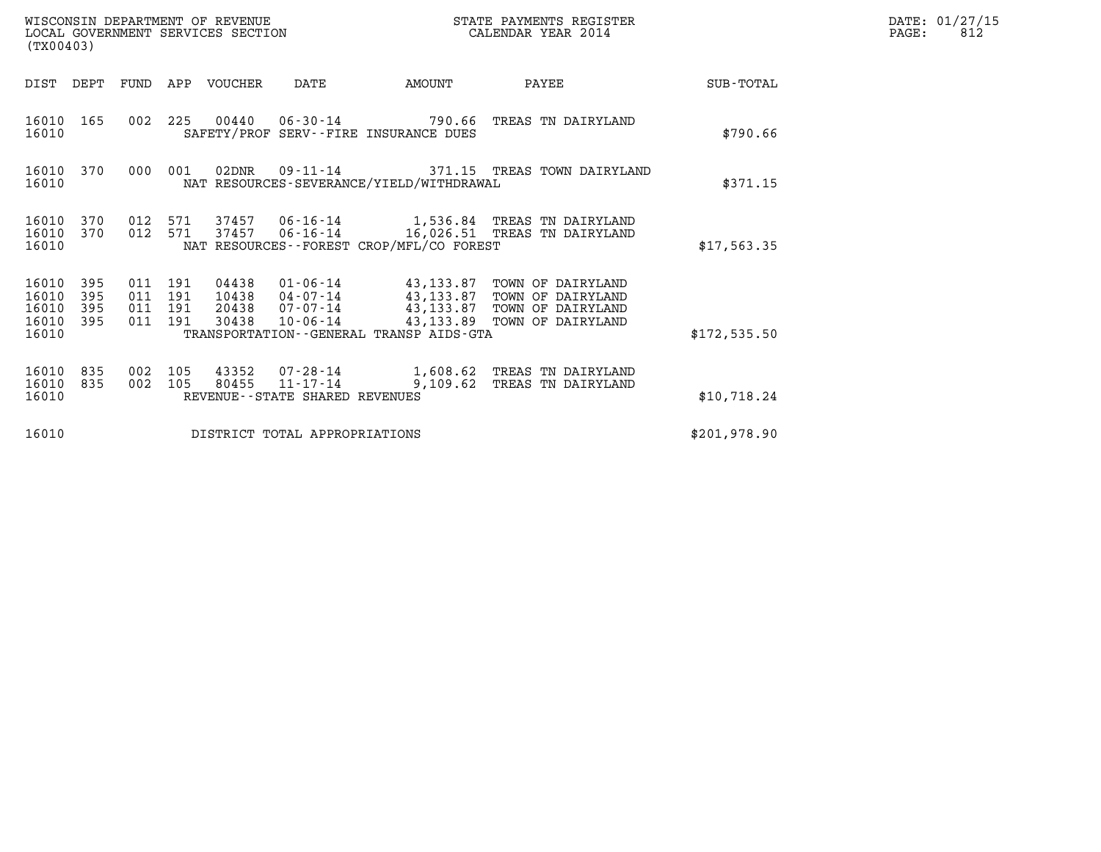| WISCONSIN DEPARTMENT OF REVENUE   | STATE PAYMENTS REGISTER | DATE: 01/27/15 |
|-----------------------------------|-------------------------|----------------|
| LOCAL GOVERNMENT SERVICES SECTION | CALENDAR YEAR 2014      | 812<br>PAGE:   |

| (TX00403)                                 |                          |                          |                          |                                  |                                                                    |                                                                                             |                                                                                  |               |
|-------------------------------------------|--------------------------|--------------------------|--------------------------|----------------------------------|--------------------------------------------------------------------|---------------------------------------------------------------------------------------------|----------------------------------------------------------------------------------|---------------|
| DIST                                      | DEPT                     | FUND                     | APP                      | VOUCHER                          | DATE                                                               | AMOUNT                                                                                      | PAYEE                                                                            | SUB-TOTAL     |
| 16010<br>16010                            | 165                      | 002                      | 225                      |                                  |                                                                    | 00440 06-30-14 790.66<br>SAFETY/PROF SERV--FIRE INSURANCE DUES                              | TREAS TN DAIRYLAND                                                               | \$790.66      |
| 16010<br>16010                            | 370                      | 000                      | 001                      | 02DNR                            | $09 - 11 - 14$                                                     | NAT RESOURCES-SEVERANCE/YIELD/WITHDRAWAL                                                    | 371.15 TREAS TOWN DAIRYLAND                                                      | \$371.15      |
| 16010<br>16010<br>16010                   | 370<br>370               | 012<br>012               | 571<br>571               | 37457                            |                                                                    | NAT RESOURCES - - FOREST CROP/MFL/CO FOREST                                                 | 06-16-14 16,026.51 TREAS TN DAIRYLAND                                            | \$17,563.35   |
| 16010<br>16010<br>16010<br>16010<br>16010 | 395<br>395<br>395<br>395 | 011<br>011<br>011<br>011 | 191<br>191<br>191<br>191 | 04438<br>10438<br>20438<br>30438 | 01-06-14<br>$04 - 07 - 14$<br>07-07-14<br>10-06-14                 | 43,133.87<br>43,133.87<br>43,133.87<br>43,133.89<br>TRANSPORTATION--GENERAL TRANSP AIDS-GTA | TOWN OF DAIRYLAND<br>TOWN OF DAIRYLAND<br>TOWN OF DAIRYLAND<br>TOWN OF DAIRYLAND | \$172, 535.50 |
| 16010<br>16010<br>16010                   | 835<br>835               | 002<br>002               | 105<br>105               | 43352<br>80455                   | $07 - 28 - 14$<br>$11 - 17 - 14$<br>REVENUE--STATE SHARED REVENUES |                                                                                             | 1,608.62 TREAS TN DAIRYLAND<br>9,109.62 TREAS TN DAIRYLAND                       | \$10,718.24   |
| 16010                                     |                          |                          |                          |                                  | DISTRICT TOTAL APPROPRIATIONS                                      |                                                                                             |                                                                                  | \$201,978.90  |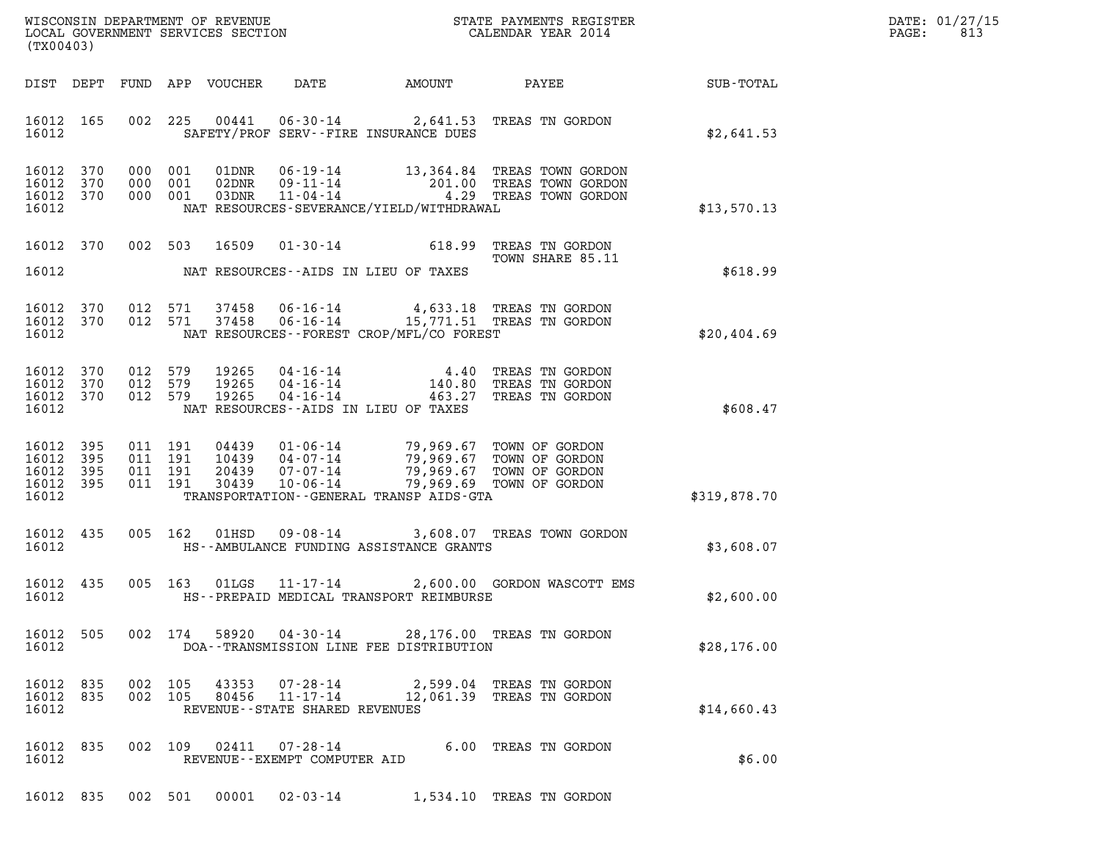| (TX00403)                                             |     |                               |                          |                                |                                            |                                                                                                                                                                                                                                  |              | DATE: 01/27/15<br>$\mathtt{PAGE:}$<br>813 |
|-------------------------------------------------------|-----|-------------------------------|--------------------------|--------------------------------|--------------------------------------------|----------------------------------------------------------------------------------------------------------------------------------------------------------------------------------------------------------------------------------|--------------|-------------------------------------------|
|                                                       |     |                               |                          |                                |                                            |                                                                                                                                                                                                                                  |              |                                           |
| 16012                                                 |     |                               |                          |                                | SAFETY/PROF SERV--FIRE INSURANCE DUES      | 16012 165 002 225 00441 06-30-14 2,641.53 TREAS TN GORDON                                                                                                                                                                        | \$2,641.53   |                                           |
| 16012 370<br>16012<br>16012 370<br>16012              | 370 | 000 001<br>000 001            | 000 001                  |                                | NAT RESOURCES-SEVERANCE/YIELD/WITHDRAWAL   |                                                                                                                                                                                                                                  | \$13,570.13  |                                           |
|                                                       |     |                               |                          |                                |                                            | 16012 370 002 503 16509 01-30-14 618.99 TREAS TN GORDON<br>TOWN SHARE 85.11                                                                                                                                                      |              |                                           |
|                                                       |     |                               |                          |                                | 16012 MAT RESOURCES--AIDS IN LIEU OF TAXES |                                                                                                                                                                                                                                  | \$618.99     |                                           |
| 16012 370<br>16012 370<br>16012                       |     |                               |                          |                                | NAT RESOURCES--FOREST CROP/MFL/CO FOREST   | 012 571 37458 06-16-14 4,633.18 TREAS TN GORDON<br>012 571 37458 06-16-14 15,771.51 TREAS TN GORDON                                                                                                                              | \$20,404.69  |                                           |
| 16012 370<br>16012 370<br>16012 370<br>16012          |     | 012 579                       | 012 579<br>012 579 19265 |                                | NAT RESOURCES--AIDS IN LIEU OF TAXES       | 19265  04-16-14   4.40 TREAS TN GORDON<br>19265  04-16-14   140.80 TREAS TN GORDON<br>19265  04-16-14   463.27 TREAS TN GORDON                                                                                                   | \$608.47     |                                           |
| 16012 395<br>16012<br>16012 395<br>16012 395<br>16012 | 395 | 011 191<br>011 191<br>011 191 | 011 191                  |                                |                                            | 04439  01-06-14  79,969.67  TOWN OF GORDON<br>10439  04-07-14  79,969.67  TOWN OF GORDON<br>20439  07-07-14  79,969.67  TOWN OF GORDON<br>30439  10-06-14  79,969.69  TOWN OF GORDON<br>TRANSPORTATION - GENERAL TRANSP AIDS-GTA | \$319,878.70 |                                           |
| 16012 435<br>16012                                    |     |                               |                          |                                | HS--AMBULANCE FUNDING ASSISTANCE GRANTS    | 005 162 01HSD 09-08-14 3,608.07 TREAS TOWN GORDON                                                                                                                                                                                | \$3,608.07   |                                           |
| 16012 435<br>16012                                    |     |                               |                          |                                | HS--PREPAID MEDICAL TRANSPORT REIMBURSE    | 005 163 01LGS 11-17-14 2,600.00 GORDON WASCOTT EMS                                                                                                                                                                               | \$2,600.00   |                                           |
| 16012 505<br>16012                                    |     |                               |                          |                                | DOA--TRANSMISSION LINE FEE DISTRIBUTION    | 002 174 58920 04-30-14 28,176.00 TREAS TN GORDON                                                                                                                                                                                 | \$28,176.00  |                                           |
| 16012 835<br>16012 835<br>16012                       |     | 002 105<br>002 105            | 43353<br>80456           | REVENUE--STATE SHARED REVENUES |                                            | 07-28-14 2,599.04 TREAS TN GORDON<br>11-17-14 12,061.39 TREAS TN GORDON                                                                                                                                                          | \$14,660.43  |                                           |
| 16012 835<br>16012                                    |     |                               | 002 109 02411            | REVENUE--EXEMPT COMPUTER AID   |                                            | 07-28-14 6.00 TREAS TN GORDON                                                                                                                                                                                                    | \$6.00       |                                           |

16012 835 002 501 00001 02-03-14 1,534.10 TREAS TN GORDON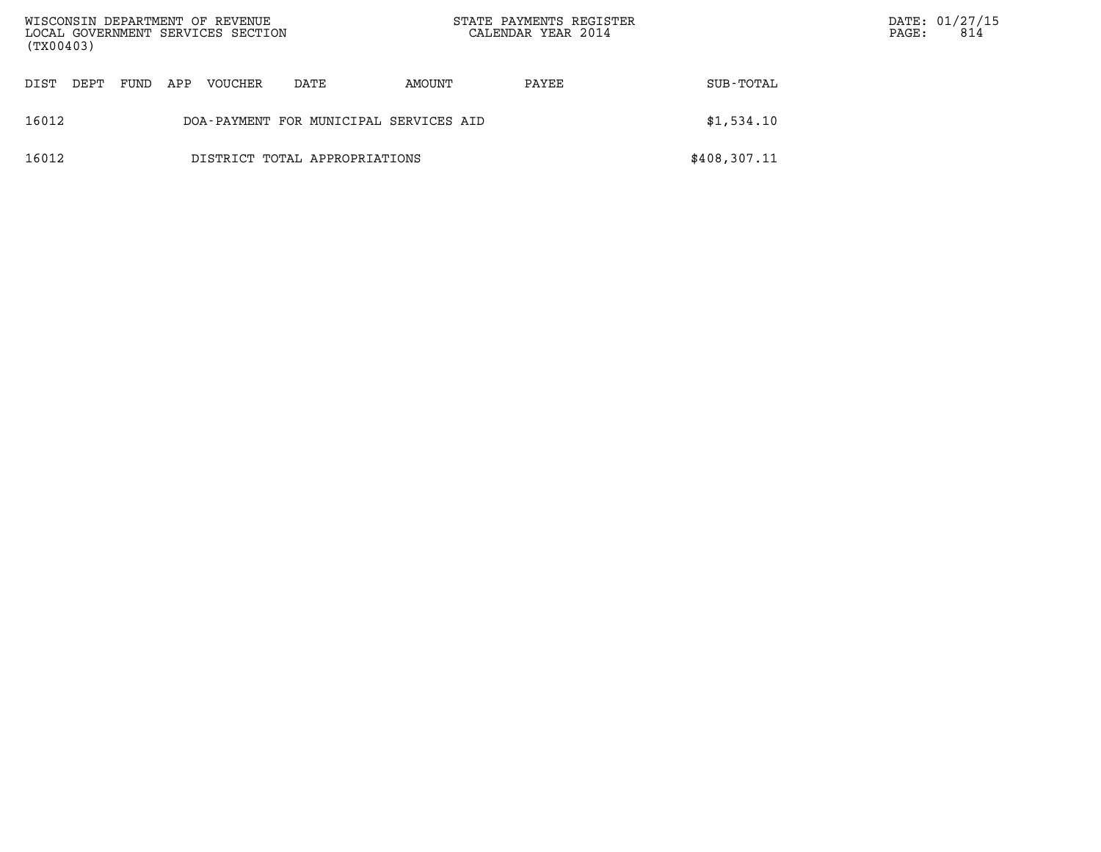| (TX00403) |      |      |     | WISCONSIN DEPARTMENT OF REVENUE<br>LOCAL GOVERNMENT SERVICES SECTION |                                        | STATE PAYMENTS REGISTER<br>CALENDAR YEAR 2014 |       |              | PAGE: | DATE: 01/27/15<br>814 |
|-----------|------|------|-----|----------------------------------------------------------------------|----------------------------------------|-----------------------------------------------|-------|--------------|-------|-----------------------|
| DIST      | DEPT | FUND | APP | <b>VOUCHER</b>                                                       | DATE                                   | AMOUNT                                        | PAYEE | SUB-TOTAL    |       |                       |
| 16012     |      |      |     |                                                                      | DOA-PAYMENT FOR MUNICIPAL SERVICES AID |                                               |       | \$1,534.10   |       |                       |
| 16012     |      |      |     |                                                                      | DISTRICT TOTAL APPROPRIATIONS          |                                               |       | \$408,307.11 |       |                       |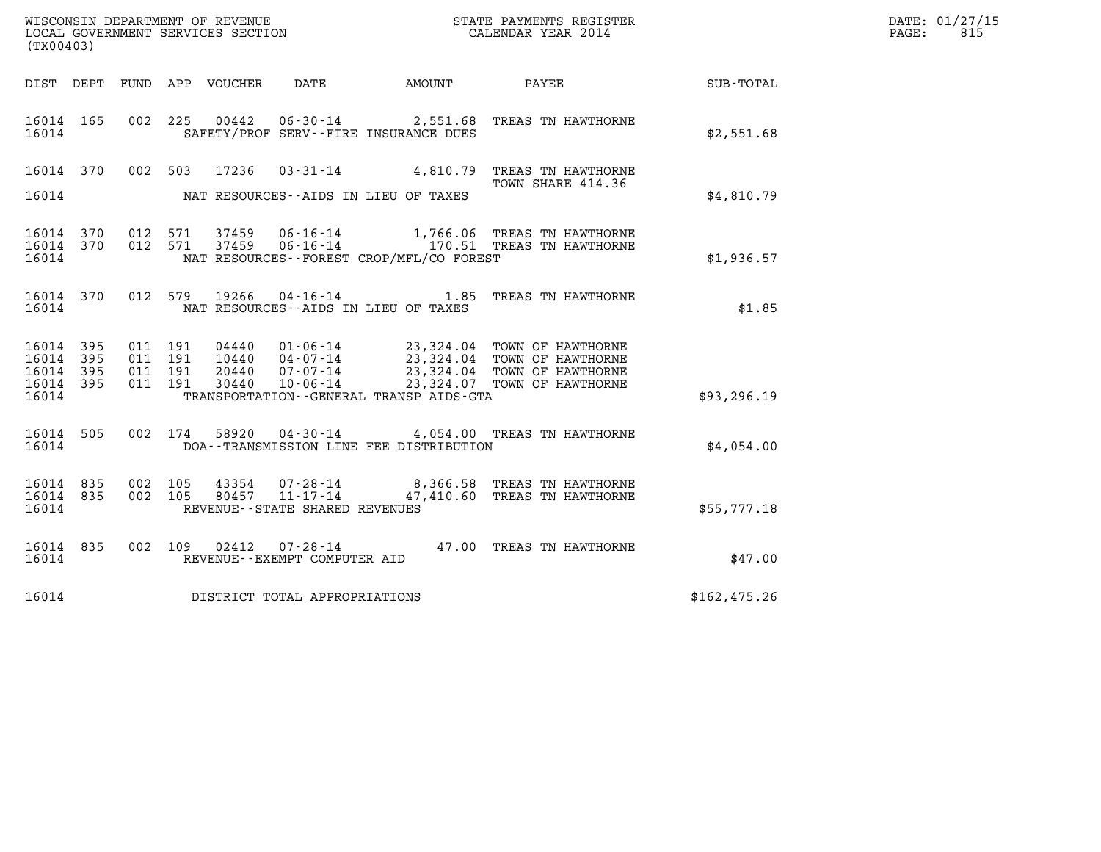| (TX00403)                                         |            |                                          |                               |                                                                 |                                             |                                                                                                                                            |              | DATE: 01/27/15<br>$\mathtt{PAGE}$ :<br>815 |
|---------------------------------------------------|------------|------------------------------------------|-------------------------------|-----------------------------------------------------------------|---------------------------------------------|--------------------------------------------------------------------------------------------------------------------------------------------|--------------|--------------------------------------------|
|                                                   |            |                                          | DIST DEPT FUND APP VOUCHER    | DATE                                                            | AMOUNT                                      | PAYEE                                                                                                                                      | SUB-TOTAL    |                                            |
| 16014 165<br>16014                                |            |                                          | 002 225<br>00442              |                                                                 | SAFETY/PROF SERV--FIRE INSURANCE DUES       | 06-30-14 2,551.68 TREAS TN HAWTHORNE                                                                                                       | \$2,551.68   |                                            |
| 16014 370<br>16014                                |            |                                          | 002 503<br>17236              |                                                                 | NAT RESOURCES--AIDS IN LIEU OF TAXES        | 03-31-14 4,810.79 TREAS TN HAWTHORNE<br>TOWN SHARE 414.36                                                                                  | \$4,810.79   |                                            |
| 16014 370<br>16014                                |            | 16014 370 012 571<br>012 571             | 37459<br>37459                | $06 - 16 - 14$                                                  | NAT RESOURCES - - FOREST CROP/MFL/CO FOREST | 1,766.06 TREAS TN HAWTHORNE<br>06-16-14 170.51 TREAS TN HAWTHORNE                                                                          | \$1,936.57   |                                            |
| 16014 370<br>16014                                |            | 012 579                                  | 19266                         | 04 - 16 - 14                                                    | NAT RESOURCES -- AIDS IN LIEU OF TAXES      | 1.85 TREAS TN HAWTHORNE                                                                                                                    | \$1.85       |                                            |
| 16014<br>16014 395<br>16014<br>16014 395<br>16014 | 395<br>395 | 011 191<br>011 191<br>011 191<br>011 191 | 04440<br>20440<br>30440       | 10440  04-07-14<br>07-07-14<br>10-06-14                         | TRANSPORTATION--GENERAL TRANSP AIDS-GTA     | 01-06-14 23,324.04 TOWN OF HAWTHORNE<br>04-07-14 23,324.04 TOWN OF HAWTHORNE<br>23,324.04 TOWN OF HAWTHORNE<br>23,324.07 TOWN OF HAWTHORNE | \$93, 296.19 |                                            |
| 16014 505<br>16014                                |            |                                          | 002 174<br>58920              |                                                                 | DOA--TRANSMISSION LINE FEE DISTRIBUTION     | 04-30-14 4,054.00 TREAS TN HAWTHORNE                                                                                                       | \$4,054.00   |                                            |
| 16014<br>16014 835<br>16014                       | 835        | 002 105<br>002 105                       | 43354<br>80457                | 07-28-14<br>$11 - 17 - 14$<br>REVENUE - - STATE SHARED REVENUES |                                             | 8,366.58 TREAS TN HAWTHORNE<br>47,410.60 TREAS TN HAWTHORNE                                                                                | \$55,777.18  |                                            |
| 16014 835<br>16014                                |            |                                          | 002 109 02412                 | $07 - 28 - 14$<br>REVENUE--EXEMPT COMPUTER AID                  |                                             | 47.00 TREAS TN HAWTHORNE                                                                                                                   | \$47.00      |                                            |
| 16014                                             |            |                                          | DISTRICT TOTAL APPROPRIATIONS |                                                                 |                                             |                                                                                                                                            | \$162,475.26 |                                            |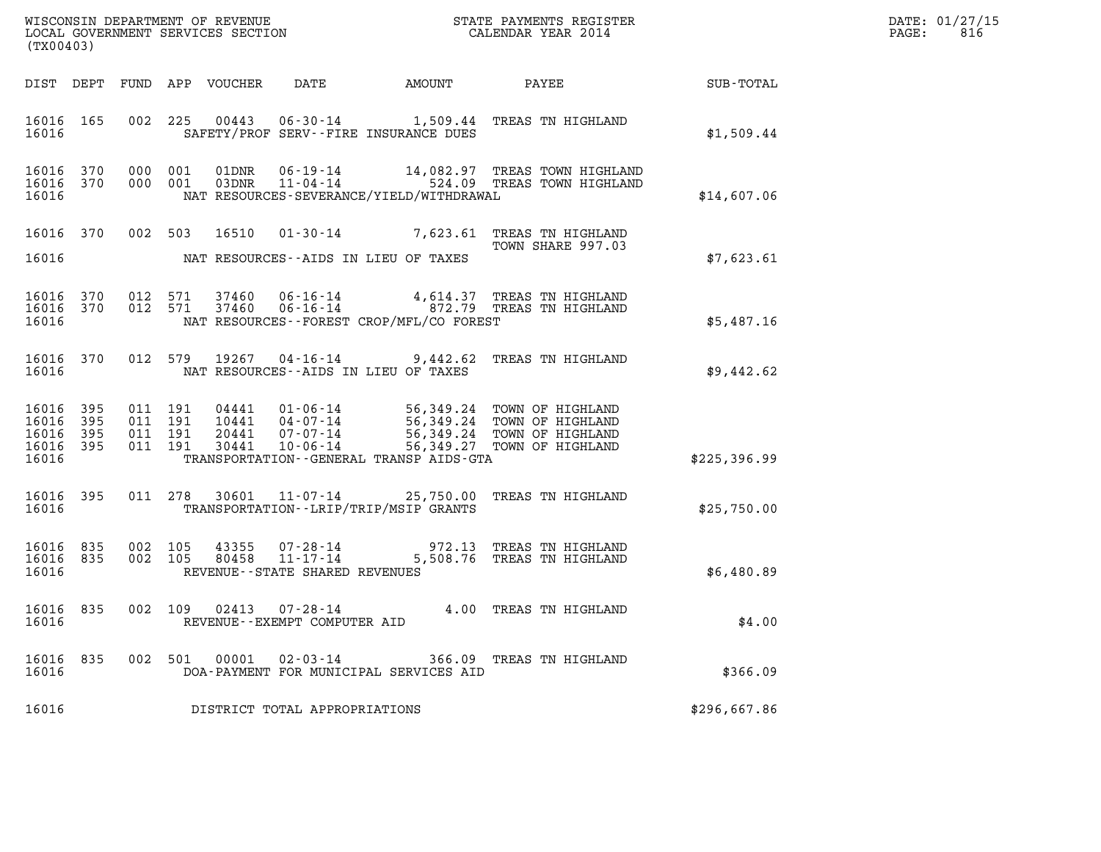| DATE: | 01/27/15 |
|-------|----------|
| PAGE: | 816      |

| (TX00403)                                     |                   |                                          | LOCAL GOVERNMENT SERVICES SECTION       |                                                           |                                          |                                                                                                                                                                   |              | DATE: 01/27/15<br>$\mathtt{PAGE}$ :<br>816 |
|-----------------------------------------------|-------------------|------------------------------------------|-----------------------------------------|-----------------------------------------------------------|------------------------------------------|-------------------------------------------------------------------------------------------------------------------------------------------------------------------|--------------|--------------------------------------------|
|                                               |                   |                                          | DIST DEPT FUND APP VOUCHER              | DATE                                                      |                                          | AMOUNT PAYEE                                                                                                                                                      | SUB-TOTAL    |                                            |
| 16016 165<br>16016                            |                   |                                          |                                         |                                                           | SAFETY/PROF SERV--FIRE INSURANCE DUES    | 002 225 00443 06-30-14 1,509.44 TREAS TN HIGHLAND                                                                                                                 | \$1,509.44   |                                            |
| 16016 370<br>16016 370<br>16016               |                   | 000 001<br>000 001                       |                                         |                                                           | NAT RESOURCES-SEVERANCE/YIELD/WITHDRAWAL |                                                                                                                                                                   | \$14,607.06  |                                            |
| 16016 370<br>16016                            |                   |                                          | NAT RESOURCES--AIDS IN LIEU OF TAXES    |                                                           |                                          | 002 503 16510 01-30-14 7,623.61 TREAS TN HIGHLAND<br>TOWN SHARE 997.03                                                                                            | \$7,623.61   |                                            |
| 16016 370<br>16016<br>16016                   | 370               | 012 571<br>012 571                       | 37460<br>37460                          |                                                           | NAT RESOURCES--FOREST CROP/MFL/CO FOREST |                                                                                                                                                                   | \$5,487.16   |                                            |
| 16016 370<br>16016                            |                   |                                          | 012 579                                 |                                                           | NAT RESOURCES -- AIDS IN LIEU OF TAXES   | 19267  04-16-14  9,442.62  TREAS TN HIGHLAND                                                                                                                      | \$9,442.62   |                                            |
| 16016 395<br>16016<br>16016<br>16016<br>16016 | 395<br>395<br>395 | 011 191<br>011 191<br>011 191<br>011 191 | 30441                                   | $10 - 06 - 14$                                            | TRANSPORTATION--GENERAL TRANSP AIDS-GTA  | 04441 01-06-14 56,349.24 TOWN OF HIGHLAND<br>10441 04-07-14 56,349.24 TOWN OF HIGHLAND<br>20441 07-07-14 56,349.24 TOWN OF HIGHLAND<br>56,349.27 TOWN OF HIGHLAND | \$225,396.99 |                                            |
| 16016 395<br>16016                            |                   |                                          |                                         |                                                           | TRANSPORTATION - - LRIP/TRIP/MSIP GRANTS | 011 278 30601 11-07-14 25,750.00 TREAS TN HIGHLAND                                                                                                                | \$25,750.00  |                                            |
| 16016 835<br>16016 835<br>16016               |                   | 002 105<br>002 105                       | 80458<br>REVENUE--STATE SHARED REVENUES | 43355 07-28-14<br>$11 - 17 - 14$                          |                                          | 972.13 TREAS TN HIGHLAND<br>5,508.76 TREAS TN HIGHLAND                                                                                                            | \$6,480.89   |                                            |
| 16016 835<br>16016                            |                   | 002 109                                  |                                         | $02413$ $07 - 28 - 14$<br>REVENUE - - EXEMPT COMPUTER AID |                                          | 4.00 TREAS TN HIGHLAND                                                                                                                                            | \$4.00       |                                            |
| 16016<br>16016                                | 835               | 002 501                                  | 00001                                   | $02 - 03 - 14$                                            | DOA-PAYMENT FOR MUNICIPAL SERVICES AID   | 366.09 TREAS TN HIGHLAND                                                                                                                                          | \$366.09     |                                            |
| 16016                                         |                   |                                          |                                         | DISTRICT TOTAL APPROPRIATIONS                             |                                          |                                                                                                                                                                   | \$296,667.86 |                                            |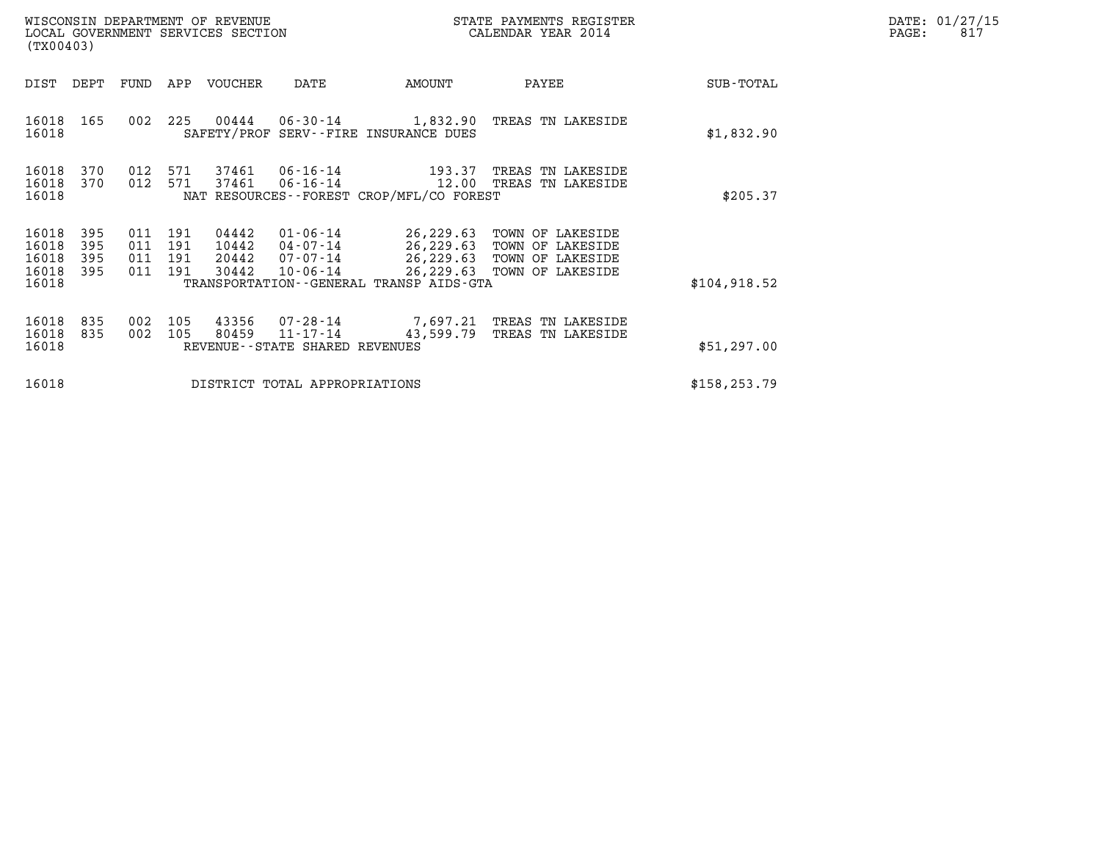| WISCONSIN DEPARTMENT OF REVENUE<br>LOCAL GOVERNMENT SERVICES SECTION<br>(TX00403) |                          |                          |                                  |                                                                                          |                                              | STATE PAYMENTS REGISTER<br>CALENDAR YEAR 2014                                                                        |               | DATE: 01/27/15<br>PAGE:<br>817 |
|-----------------------------------------------------------------------------------|--------------------------|--------------------------|----------------------------------|------------------------------------------------------------------------------------------|----------------------------------------------|----------------------------------------------------------------------------------------------------------------------|---------------|--------------------------------|
| DIST<br>DEPT                                                                      | FUND                     | APP                      | VOUCHER                          | DATE                                                                                     | AMOUNT                                       | PAYEE                                                                                                                | SUB-TOTAL     |                                |
| 16018<br>165<br>16018                                                             | 002                      | 225                      | 00444                            |                                                                                          | SAFETY/PROF SERV--FIRE INSURANCE DUES        | 06-30-14 1,832.90 TREAS TN LAKESIDE                                                                                  | \$1,832.90    |                                |
| 16018<br>370<br>16018<br>370<br>16018                                             | 012<br>012               | 571<br>571               | 37461<br>37461                   | 06-16-14<br>06-16-14 12.00 TREAS TN LAKESIDE<br>NAT RESOURCES--FOREST CROP/MFL/CO FOREST | \$205.37                                     |                                                                                                                      |               |                                |
| 16018<br>395<br>16018<br>395<br>16018<br>395<br>16018<br>395<br>16018             | 011<br>011<br>011<br>011 | 191<br>191<br>191<br>191 | 04442<br>10442<br>20442<br>30442 | 01-06-14<br>04-07-14<br>07-07-14<br>$10 - 06 - 14$                                       | TRANSPORTATION - - GENERAL TRANSP AIDS - GTA | 26,229.63 TOWN OF LAKESIDE<br>26,229.63 TOWN OF LAKESIDE<br>26,229.63 TOWN OF LAKESIDE<br>26,229.63 TOWN OF LAKESIDE | \$104, 918.52 |                                |
| 16018<br>835<br>16018<br>835<br>16018                                             | 002<br>002               | 105<br>105               | 43356<br>80459                   | 07-28-14<br>11-17-14<br>REVENUE--STATE SHARED REVENUES                                   | 43,599.79                                    | 7,697.21 TREAS TN LAKESIDE<br>TREAS TN LAKESIDE                                                                      | \$51,297.00   |                                |
| 16018                                                                             |                          |                          |                                  | DISTRICT TOTAL APPROPRIATIONS                                                            |                                              |                                                                                                                      | \$158, 253.79 |                                |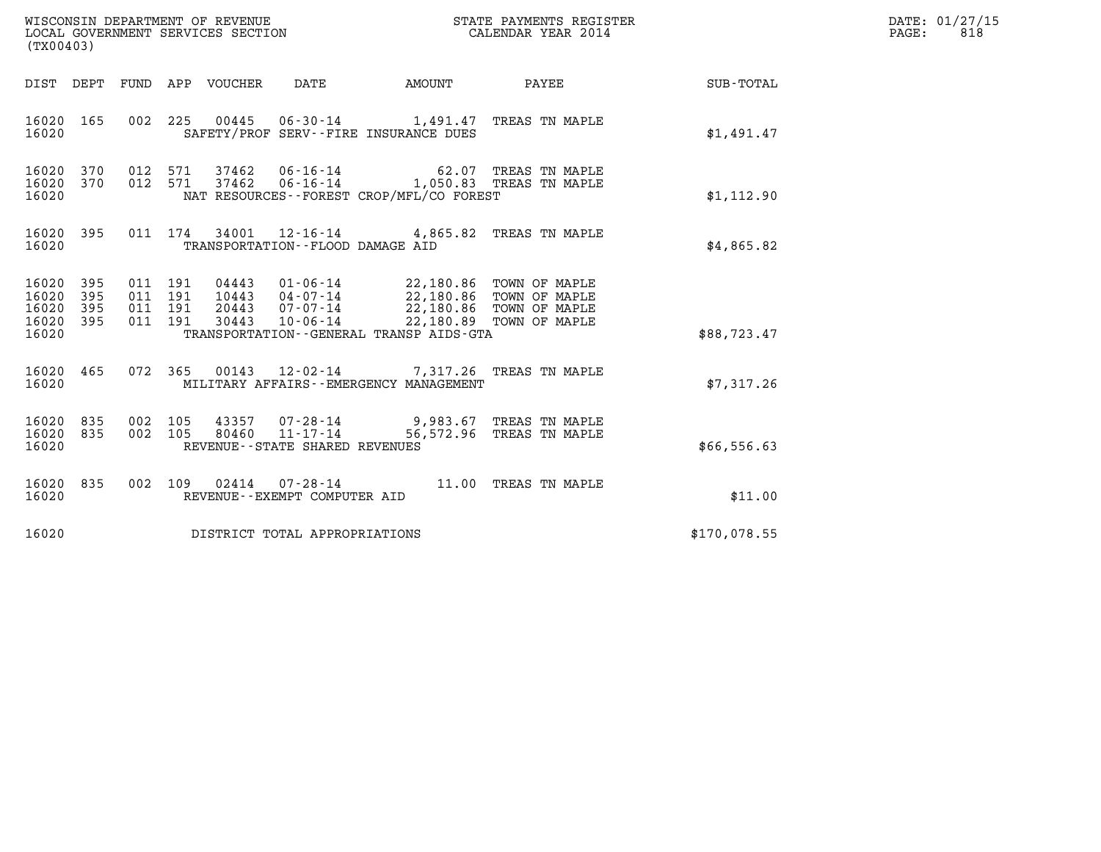| (TX00403)                                     |                     |                                          |         | WISCONSIN DEPARTMENT OF REVENUE<br>LOCAL GOVERNMENT SERVICES SECTION |                                                     |                                                                                                                                                          | STATE PAYMENTS REGISTER<br>CALENDAR YEAR 2014 |              | DATE: 01/27/15<br>$\mathtt{PAGE:}$<br>818 |
|-----------------------------------------------|---------------------|------------------------------------------|---------|----------------------------------------------------------------------|-----------------------------------------------------|----------------------------------------------------------------------------------------------------------------------------------------------------------|-----------------------------------------------|--------------|-------------------------------------------|
|                                               |                     |                                          |         | DIST DEPT FUND APP VOUCHER DATE                                      |                                                     | AMOUNT                                                                                                                                                   | <b>PAYEE</b>                                  | SUB-TOTAL    |                                           |
| 16020 165<br>16020                            |                     |                                          |         |                                                                      |                                                     | 002 225 00445 06-30-14 1,491.47 TREAS TN MAPLE<br>SAFETY/PROF SERV--FIRE INSURANCE DUES                                                                  |                                               | \$1,491.47   |                                           |
| 16020 370<br>16020 370<br>16020               |                     | 012 571                                  | 012 571 |                                                                      |                                                     | 37462   06-16-14   62.07 TREAS TN MAPLE<br>37462   06-16-14   1,050.83 TREAS TN MAPLE<br>NAT RESOURCES--FOREST CROP/MFL/CO FOREST                        |                                               | \$1,112.90   |                                           |
| 16020 395<br>16020                            |                     |                                          |         |                                                                      | TRANSPORTATION - - FLOOD DAMAGE AID                 | 011 174 34001 12-16-14 4,865.82 TREAS TN MAPLE                                                                                                           |                                               | \$4,865.82   |                                           |
| 16020 395<br>16020<br>16020<br>16020<br>16020 | 395<br>395<br>- 395 | 011 191<br>011 191<br>011 191<br>011 191 |         | 10443<br>20443<br>30443                                              | $07 - 07 - 14$<br>$10 - 06 - 14$                    | 04443  01-06-14  22,180.86  TOWN OF MAPLE<br>04-07-14 22,180.86 TOWN OF MAPLE<br>22,180.86 TOWN OF MAPLE<br>TRANSPORTATION - - GENERAL TRANSP AIDS - GTA | 22,180.89 TOWN OF MAPLE                       | \$88,723.47  |                                           |
| 16020 465<br>16020                            |                     | 072 365                                  |         |                                                                      |                                                     | 00143 12-02-14 7,317.26 TREAS TN MAPLE<br>MILITARY AFFAIRS - - EMERGENCY MANAGEMENT                                                                      |                                               | \$7,317.26   |                                           |
| 16020 835<br>16020<br>16020                   | 835                 | 002 105<br>002 105                       |         |                                                                      | 80460 11-17-14<br>REVENUE - - STATE SHARED REVENUES | 43357 07-28-14 9,983.67 TREAS TN MAPLE                                                                                                                   | 56,572.96 TREAS TN MAPLE                      | \$66,556.63  |                                           |
| 16020 835<br>16020                            |                     |                                          |         |                                                                      | REVENUE--EXEMPT COMPUTER AID                        | 002 109 02414 07-28-14 11.00 TREAS TN MAPLE                                                                                                              |                                               | \$11.00      |                                           |
| 16020                                         |                     |                                          |         |                                                                      | DISTRICT TOTAL APPROPRIATIONS                       |                                                                                                                                                          |                                               | \$170,078.55 |                                           |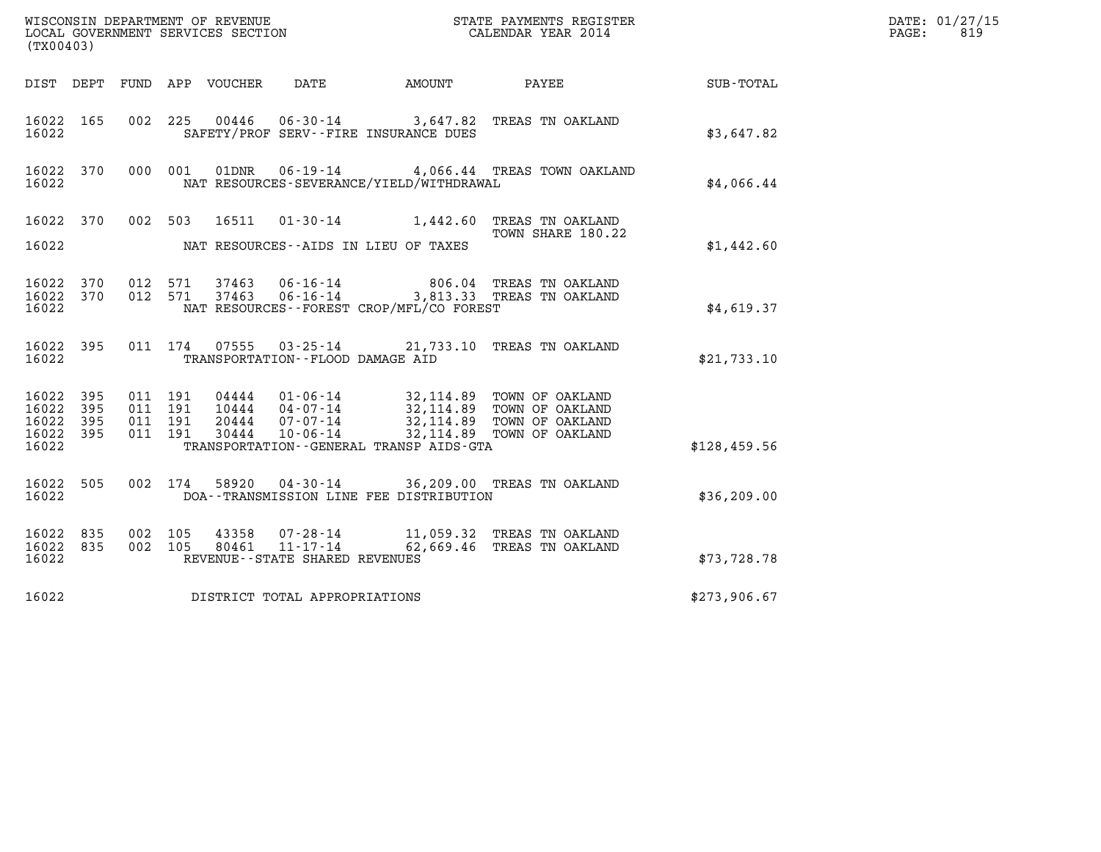| (TX00403)                                             |           |                               |         |                                 |                                                              |                                              |                                                                                                                                                                              | and the state of the state of the state of the state of the state of the state of the state of the state of th<br>The state of the state of the state of the state of the state of the state of the state of the state of the st | DATE: 01/27/15<br>PAGE:<br>819 |
|-------------------------------------------------------|-----------|-------------------------------|---------|---------------------------------|--------------------------------------------------------------|----------------------------------------------|------------------------------------------------------------------------------------------------------------------------------------------------------------------------------|----------------------------------------------------------------------------------------------------------------------------------------------------------------------------------------------------------------------------------|--------------------------------|
|                                                       |           |                               |         | DIST DEPT FUND APP VOUCHER DATE |                                                              | AMOUNT                                       | PAYEE                                                                                                                                                                        | SUB-TOTAL                                                                                                                                                                                                                        |                                |
| 16022 165<br>16022                                    |           |                               |         |                                 |                                                              | SAFETY/PROF SERV--FIRE INSURANCE DUES        | 002 225 00446 06-30-14 3,647.82 TREAS TN OAKLAND                                                                                                                             | \$3,647.82                                                                                                                                                                                                                       |                                |
| 16022                                                 | 16022 370 |                               |         |                                 |                                                              | NAT RESOURCES-SEVERANCE/YIELD/WITHDRAWAL     | 000 001 01DNR 06-19-14 4,066.44 TREAS TOWN OAKLAND                                                                                                                           | \$4.066.44                                                                                                                                                                                                                       |                                |
| 16022 370<br>16022                                    |           |                               | 002 503 |                                 |                                                              | NAT RESOURCES--AIDS IN LIEU OF TAXES         | 16511  01-30-14   1,442.60   TREAS TN OAKLAND<br>TOWN SHARE 180.22                                                                                                           | \$1,442.60                                                                                                                                                                                                                       |                                |
| 16022 370<br>16022                                    |           | 16022 370 012 571<br>012 571  |         | 37463                           | 37463 06-16-14                                               | NAT RESOURCES--FOREST CROP/MFL/CO FOREST     | 806.04 TREAS TN OAKLAND<br>06-16-14 3,813.33 TREAS TN OAKLAND                                                                                                                | \$4,619.37                                                                                                                                                                                                                       |                                |
| 16022 395<br>16022                                    |           |                               |         | 011 174 07555                   | TRANSPORTATION -- FLOOD DAMAGE AID                           |                                              | 03-25-14 21,733.10 TREAS TN OAKLAND                                                                                                                                          | \$21,733.10                                                                                                                                                                                                                      |                                |
| 16022 395<br>16022 395<br>16022<br>16022 395<br>16022 | - 395     | 011 191<br>011 191<br>011 191 | 011 191 |                                 |                                                              | TRANSPORTATION - - GENERAL TRANSP AIDS - GTA | 04444 01-06-14 32,114.89 TOWN OF OAKLAND<br>10444 04-07-14 32,114.89 TOWN OF OAKLAND<br>20444 07-07-14 32,114.89 TOWN OF OAKLAND<br>30444 10-06-14 32,114.89 TOWN OF OAKLAND | \$128,459.56                                                                                                                                                                                                                     |                                |
| 16022 505<br>16022                                    |           |                               | 002 174 | 58920                           |                                                              | DOA--TRANSMISSION LINE FEE DISTRIBUTION      | 04-30-14 36,209.00 TREAS TN OAKLAND                                                                                                                                          | \$36, 209.00                                                                                                                                                                                                                     |                                |
| 16022 835<br>16022 835<br>16022                       |           | 002 105                       | 002 105 | 43358<br>80461                  | 07-28-14<br>$11 - 17 - 14$<br>REVENUE--STATE SHARED REVENUES |                                              | 11,059.32 TREAS TN OAKLAND<br>62,669.46 TREAS TN OAKLAND                                                                                                                     | \$73,728.78                                                                                                                                                                                                                      |                                |
| 16022                                                 |           |                               |         |                                 | DISTRICT TOTAL APPROPRIATIONS                                |                                              |                                                                                                                                                                              | \$273,906.67                                                                                                                                                                                                                     |                                |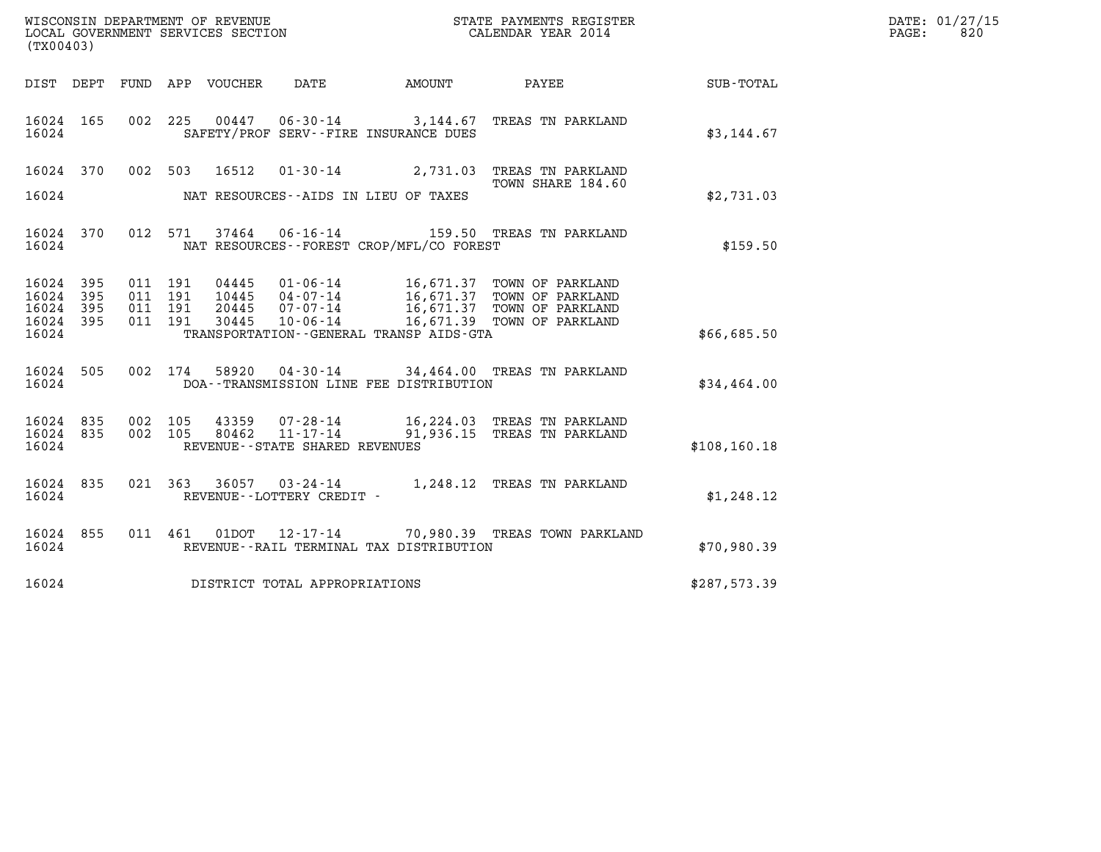| DATE: | 01/27/15 |
|-------|----------|
| PAGE: | 820      |

| (TX00403)                       |     |  |                    |                            |                                   |                                          |                                                                                                                                                                                          |               | DATE: 01/27/15<br>820<br>PAGE: |
|---------------------------------|-----|--|--------------------|----------------------------|-----------------------------------|------------------------------------------|------------------------------------------------------------------------------------------------------------------------------------------------------------------------------------------|---------------|--------------------------------|
|                                 |     |  |                    | DIST DEPT FUND APP VOUCHER | DATE                              | AMOUNT                                   | PAYEE                                                                                                                                                                                    | SUB-TOTAL     |                                |
| 16024 165<br>16024              |     |  |                    |                            |                                   | SAFETY/PROF SERV--FIRE INSURANCE DUES    | 002 225 00447 06-30-14 3,144.67 TREAS TN PARKLAND                                                                                                                                        | \$3,144.67    |                                |
|                                 |     |  |                    |                            |                                   |                                          | 16024 370 002 503 16512 01-30-14 2,731.03 TREAS TN PARKLAND<br>TOWN SHARE 184.60                                                                                                         |               |                                |
| 16024                           |     |  |                    |                            |                                   | NAT RESOURCES--AIDS IN LIEU OF TAXES     |                                                                                                                                                                                          | \$2,731.03    |                                |
| 16024 370<br>16024              |     |  |                    |                            |                                   | NAT RESOURCES--FOREST CROP/MFL/CO FOREST | 012 571 37464 06-16-14 159.50 TREAS TN PARKLAND                                                                                                                                          | \$159.50      |                                |
| 16024 395<br>16024              | 395 |  | 011 191<br>011 191 |                            |                                   |                                          |                                                                                                                                                                                          |               |                                |
| 16024 395<br>16024 395<br>16024 |     |  | 011 191<br>011 191 |                            |                                   | TRANSPORTATION--GENERAL TRANSP AIDS-GTA  | 04445  01-06-14  16,671.37 TOWN OF PARKLAND<br>10445  04-07-14  16,671.37 TOWN OF PARKLAND<br>20445  07-07-14  16,671.37 TOWN OF PARKLAND<br>30445  10-06-14  16,671.39 TOWN OF PARKLAND | \$66,685.50   |                                |
| 16024<br>16024                  | 505 |  |                    |                            |                                   | DOA--TRANSMISSION LINE FEE DISTRIBUTION  | 002 174 58920 04-30-14 34,464.00 TREAS TN PARKLAND                                                                                                                                       | \$34,464.00   |                                |
| 16024 835<br>16024 835          |     |  | 002 105<br>002 105 |                            |                                   |                                          | 43359  07-28-14   16,224.03   TREAS   TN PARKLAND<br>80462   11-17-14   91,936.15   TREAS   TN PARKLAND                                                                                  |               |                                |
| 16024                           |     |  |                    |                            | REVENUE - - STATE SHARED REVENUES |                                          |                                                                                                                                                                                          | \$108, 160.18 |                                |
| 16024 835<br>16024              |     |  |                    |                            | REVENUE--LOTTERY CREDIT -         |                                          | 021 363 36057 03-24-14 1,248.12 TREAS TN PARKLAND                                                                                                                                        | \$1,248.12    |                                |
| 16024 855<br>16024              |     |  |                    |                            |                                   | REVENUE--RAIL TERMINAL TAX DISTRIBUTION  | 011  461  01DOT  12-17-14  70,980.39 TREAS TOWN PARKLAND                                                                                                                                 | \$70,980.39   |                                |
| 16024                           |     |  |                    |                            | DISTRICT TOTAL APPROPRIATIONS     |                                          |                                                                                                                                                                                          | \$287,573.39  |                                |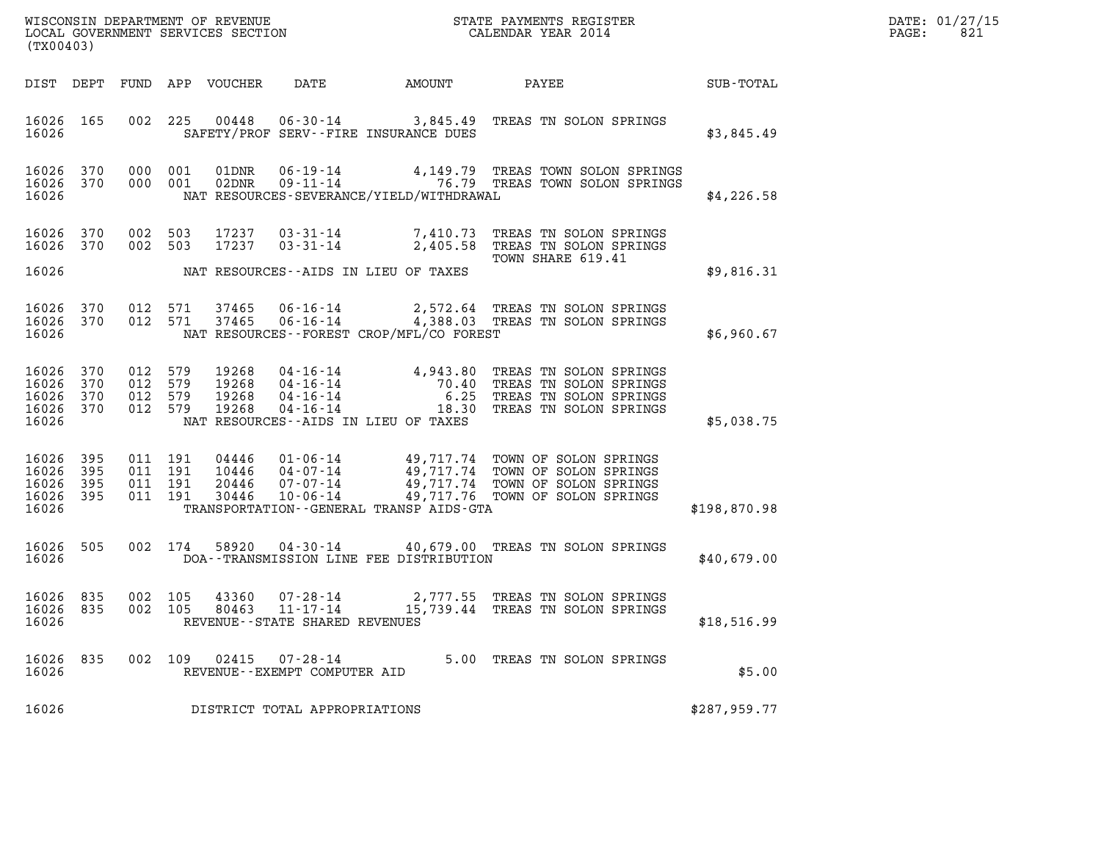| DATE: | 01/27/15 |
|-------|----------|
| PAGE: | 821      |

|                                                       | (TX00403)              |                                          |         |                                  |                                                                      |                                             | DATE: 01/27/15<br>PAGE:<br>821                                                                                                                                                                                                                     |              |  |
|-------------------------------------------------------|------------------------|------------------------------------------|---------|----------------------------------|----------------------------------------------------------------------|---------------------------------------------|----------------------------------------------------------------------------------------------------------------------------------------------------------------------------------------------------------------------------------------------------|--------------|--|
|                                                       |                        |                                          |         | DIST DEPT FUND APP VOUCHER       | DATE                                                                 | <b>AMOUNT</b>                               | PAYEE                                                                                                                                                                                                                                              | SUB-TOTAL    |  |
| 16026 165<br>16026                                    |                        |                                          |         |                                  | SAFETY/PROF SERV--FIRE INSURANCE DUES                                |                                             | 002 225 00448 06-30-14 3,845.49 TREAS TN SOLON SPRINGS                                                                                                                                                                                             | \$3,845.49   |  |
| 16026                                                 | 16026 370<br>16026 370 | 000 001<br>000 001                       |         |                                  |                                                                      | NAT RESOURCES-SEVERANCE/YIELD/WITHDRAWAL    | 01DNR  06-19-14  4,149.79  TREAS TOWN SOLON SPRINGS<br>02DNR  09-11-14  76.79  TREAS TOWN SOLON SPRINGS                                                                                                                                            | \$4,226.58   |  |
| 16026 370<br>16026 370                                |                        | 002 503<br>002 503                       |         | 17237<br>17237                   |                                                                      |                                             | 03-31-14 7,410.73 TREAS TN SOLON SPRINGS<br>03-31-14 2,405.58 TREAS TN SOLON SPRINGS                                                                                                                                                               |              |  |
| 16026                                                 |                        |                                          |         |                                  | NAT RESOURCES--AIDS IN LIEU OF TAXES                                 |                                             | TOWN SHARE 619.41                                                                                                                                                                                                                                  | \$9,816.31   |  |
| 16026 370<br>16026 370<br>16026                       |                        | 012 571<br>012 571                       |         | 37465<br>37465                   |                                                                      | NAT RESOURCES - - FOREST CROP/MFL/CO FOREST | 06-16-14 2,572.64 TREAS TN SOLON SPRINGS<br>06-16-14 4,388.03 TREAS TN SOLON SPRINGS                                                                                                                                                               | \$6,960.67   |  |
| 16026 370<br>16026<br>16026 370<br>16026 370<br>16026 | 370                    | 012 579<br>012 579<br>012 579<br>012 579 |         | 19268<br>19268<br>19268<br>19268 | NAT RESOURCES--AIDS IN LIEU OF TAXES                                 |                                             | 04-16-14<br>04-16-14<br>04-16-14<br>04-16-14<br>04-16-14<br>04-16-14<br>04-16-14<br>04-16-14<br>04-16-14<br>04-16-14<br>04-16-14<br>04-16-14<br>04-16-14<br>04-16-14<br>04-16-14<br>04-16-14<br>04-16-14<br>04-16-14<br>04-16-14<br>04-16-14<br>04 | \$5,038.75   |  |
| 16026 395<br>16026<br>16026 395<br>16026 395<br>16026 | 395                    | 011 191<br>011 191<br>011 191<br>011 191 |         | 04446<br>10446<br>20446<br>30446 |                                                                      | TRANSPORTATION--GENERAL TRANSP AIDS-GTA     | 01-06-14<br>04-07-14<br>07-07-14<br>07-07-14<br>07-06-14<br>09,717.74 TOWN OF SOLON SPRINGS<br>07-06-14<br>09,717.76 TOWN OF SOLON SPRINGS                                                                                                         | \$198,870.98 |  |
| 16026                                                 | 16026 505              |                                          | 002 174 | 58920                            |                                                                      | DOA--TRANSMISSION LINE FEE DISTRIBUTION     | 04-30-14 40,679.00 TREAS TN SOLON SPRINGS                                                                                                                                                                                                          | \$40,679.00  |  |
| 16026 835<br>16026 835<br>16026                       |                        | 002 105                                  |         | 43360                            | 07-28-14<br>002 105 80463 11-17-14<br>REVENUE--STATE SHARED REVENUES |                                             | 2,777.55 TREAS TN SOLON SPRINGS<br>15,739.44 TREAS TN SOLON SPRINGS                                                                                                                                                                                | \$18,516.99  |  |
| 16026 835<br>16026                                    |                        |                                          |         |                                  | 002 109 02415 07-28-14<br>REVENUE - - EXEMPT COMPUTER AID            |                                             | 5.00 TREAS TN SOLON SPRINGS                                                                                                                                                                                                                        | \$5.00       |  |
| 16026                                                 |                        |                                          |         |                                  | DISTRICT TOTAL APPROPRIATIONS                                        |                                             |                                                                                                                                                                                                                                                    | \$287,959.77 |  |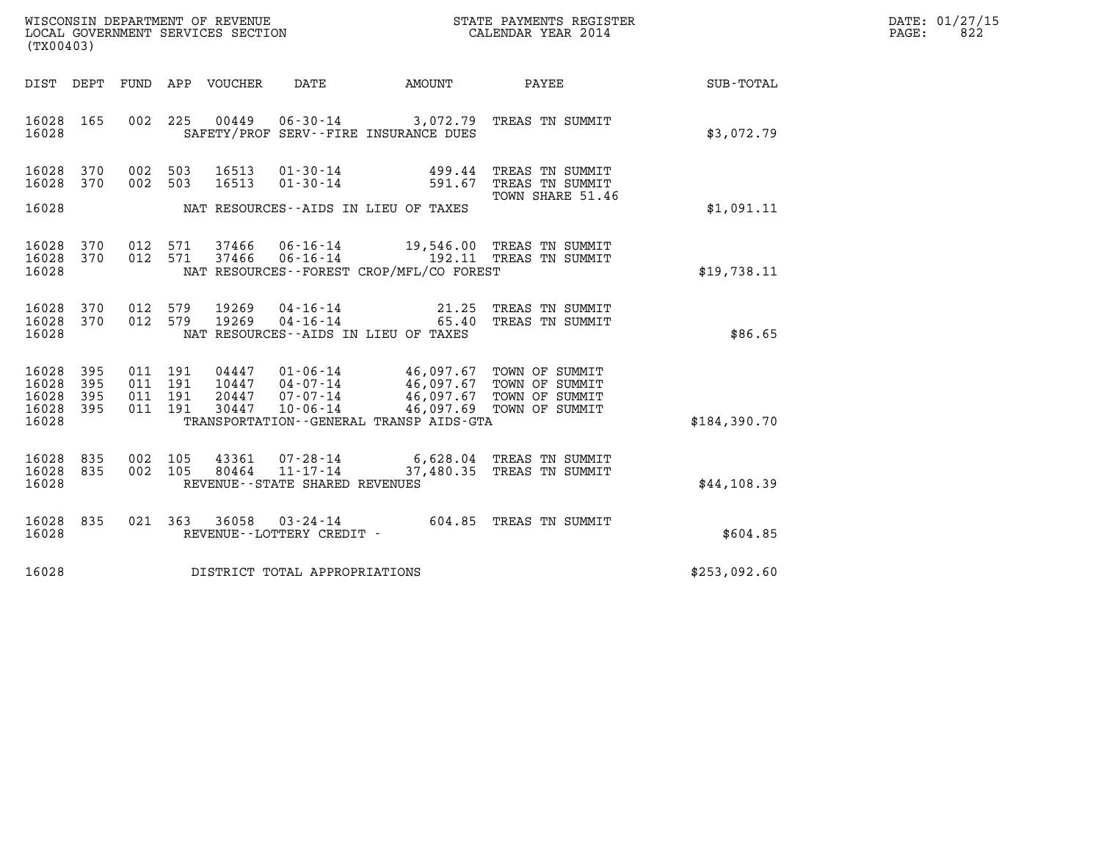| WISCONSIN DEPARTMENT OF REVENUE   | STATE PAYMENTS REGISTER | DATE: 01/27/15 |
|-----------------------------------|-------------------------|----------------|
| LOCAL GOVERNMENT SERVICES SECTION | CALENDAR YEAR 2014      | 822<br>PAGE:   |

|                                               | (TX00403)         |                    |                               |                |                                |                                                                                                                                                                                                                                 | DATE: 01/27/15<br>PAGE:<br>822                                                          |              |  |
|-----------------------------------------------|-------------------|--------------------|-------------------------------|----------------|--------------------------------|---------------------------------------------------------------------------------------------------------------------------------------------------------------------------------------------------------------------------------|-----------------------------------------------------------------------------------------|--------------|--|
| DIST DEPT                                     |                   |                    |                               |                |                                |                                                                                                                                                                                                                                 | FUND APP VOUCHER DATE AMOUNT PAYEE                                                      | SUB-TOTAL    |  |
| 16028 165<br>16028                            |                   |                    |                               |                |                                | SAFETY/PROF SERV--FIRE INSURANCE DUES                                                                                                                                                                                           | 002 225 00449 06-30-14 3,072.79 TREAS TN SUMMIT                                         | \$3,072.79   |  |
| 16028 370<br>16028 370                        |                   | 002 503<br>002 503 |                               | 16513<br>16513 |                                | 01-30-14 499.44<br>01-30-14 591.67                                                                                                                                                                                              | TREAS TN SUMMIT<br>TREAS TN SUMMIT                                                      |              |  |
| 16028                                         |                   |                    |                               |                |                                | NAT RESOURCES--AIDS IN LIEU OF TAXES                                                                                                                                                                                            | TOWN SHARE 51.46                                                                        | \$1,091.11   |  |
| 16028 370<br>16028 370<br>16028               |                   |                    | 012 571<br>012 571            |                |                                | NAT RESOURCES--FOREST CROP/MFL/CO FOREST                                                                                                                                                                                        | 37466  06-16-14  19,546.00 TREAS TN SUMMIT<br>37466  06-16-14  192.11 TREAS TN SUMMIT   | \$19,738.11  |  |
| 16028 370<br>16028 370<br>16028               |                   | 012 579<br>012 579 |                               | 19269<br>19269 |                                | NAT RESOURCES--AIDS IN LIEU OF TAXES                                                                                                                                                                                            | 04-16-14 21.25 TREAS TN SUMMIT<br>04-16-14 65.40 TREAS TN SUMMIT                        | \$86.65      |  |
| 16028<br>16028<br>16028<br>16028 395<br>16028 | 395<br>395<br>395 | 011 191            | 011 191<br>011 191<br>011 191 |                |                                | 04447  01-06-14  46,097.67  TOWN OF SUMMIT<br>10447  04-07-14  46,097.67  TOWN OF SUMMIT<br>20447  07-07-14  46,097.67  TOWN OF SUMMIT<br>30447  10-06-14  46,097.69  TOWN OF SUMMIT<br>TRANSPORTATION--GENERAL TRANSP AIDS-GTA |                                                                                         | \$184,390.70 |  |
| 16028 835<br>16028 835<br>16028               |                   |                    | 002 105<br>002 105            |                | REVENUE--STATE SHARED REVENUES |                                                                                                                                                                                                                                 | 43361  07-28-14  6,628.04 TREAS TN SUMMIT<br>80464  11-17-14  37,480.35 TREAS TN SUMMIT | \$44,108.39  |  |
| 16028 835<br>16028                            |                   |                    |                               |                | REVENUE--LOTTERY CREDIT -      |                                                                                                                                                                                                                                 | 021 363 36058 03-24-14 604.85 TREAS TN SUMMIT                                           | \$604.85     |  |
| 16028                                         |                   |                    |                               |                | DISTRICT TOTAL APPROPRIATIONS  |                                                                                                                                                                                                                                 |                                                                                         | \$253,092.60 |  |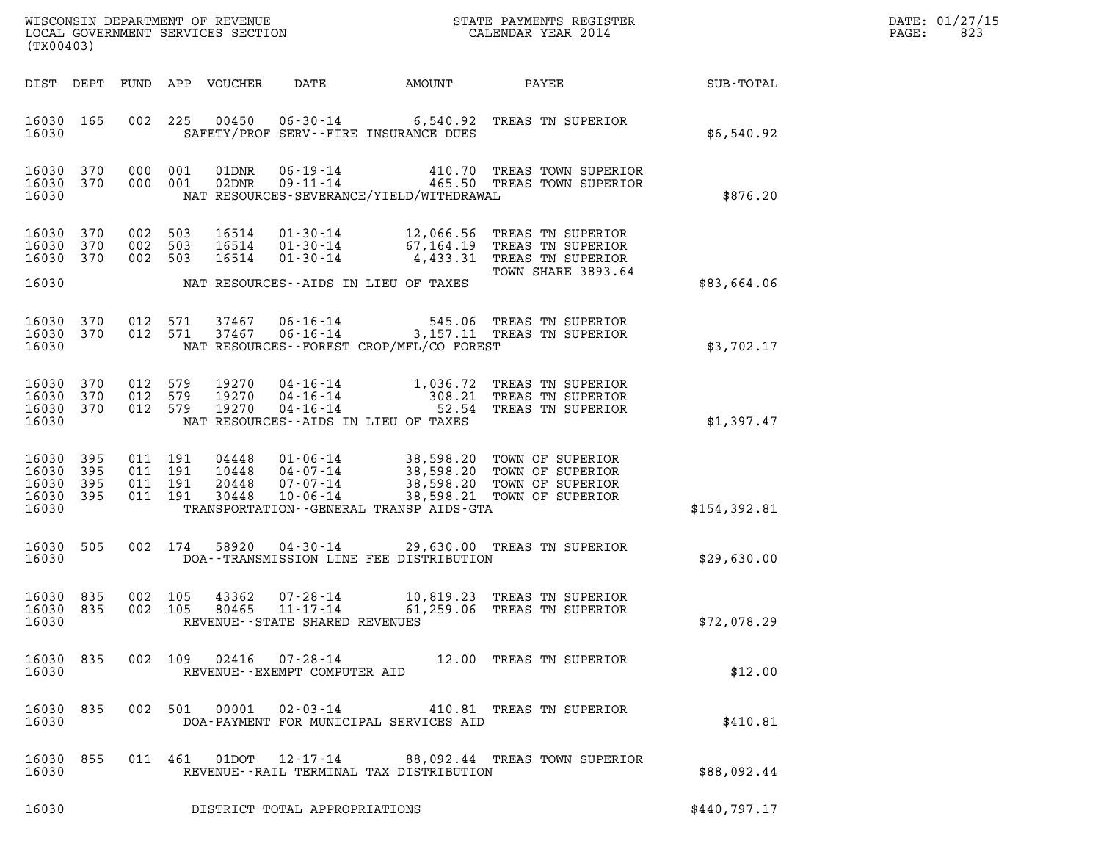| DATE: | 01/27/15 |
|-------|----------|
| PAGE: | 823      |

| STATE PAYMENTS REGISTER<br>CALENDAR YEAR 2014<br>WISCONSIN DEPARTMENT OF REVENUE<br>LOCAL GOVERNMENT SERVICES SECTION<br>(TX00403) |                          |                           |                                      |                                  |                                                                |                                                    |                                                                                                                         | DATE: 01/27/15<br>PAGE:<br>823 |  |
|------------------------------------------------------------------------------------------------------------------------------------|--------------------------|---------------------------|--------------------------------------|----------------------------------|----------------------------------------------------------------|----------------------------------------------------|-------------------------------------------------------------------------------------------------------------------------|--------------------------------|--|
| DIST DEPT                                                                                                                          |                          |                           |                                      | FUND APP VOUCHER                 | DATE                                                           | AMOUNT                                             | PAYEE                                                                                                                   | SUB-TOTAL                      |  |
| 16030 165<br>16030                                                                                                                 |                          | 002                       | 225                                  | 00450                            |                                                                | SAFETY/PROF SERV--FIRE INSURANCE DUES              | 06-30-14 6,540.92 TREAS TN SUPERIOR                                                                                     | \$6,540.92                     |  |
| 16030<br>16030 370<br>16030                                                                                                        | 370                      | 000 001                   | 000 001                              | 01DNR<br>02DNR                   | 06 - 19 - 14<br>09 - 11 - 14                                   | NAT RESOURCES-SEVERANCE/YIELD/WITHDRAWAL           | 410.70 TREAS TOWN SUPERIOR<br>465.50 TREAS TOWN SUPERIOR                                                                | \$876.20                       |  |
| 16030<br>16030<br>16030 370                                                                                                        | 370<br>370               | 002<br>002 503            | 503<br>002 503                       | 16514<br>16514<br>16514          | $01 - 30 - 14$<br>$01 - 30 - 14$                               |                                                    | 01-30-14 12,066.56 TREAS TN SUPERIOR<br>67,164.19 TREAS TN SUPERIOR<br>4,433.31 TREAS TN SUPERIOR<br>TOWN SHARE 3893.64 |                                |  |
| 16030                                                                                                                              |                          |                           |                                      |                                  |                                                                | NAT RESOURCES--AIDS IN LIEU OF TAXES               |                                                                                                                         | \$83,664.06                    |  |
| 16030 370<br>16030 370<br>16030                                                                                                    |                          | 012 571                   | 012 571                              | 37467<br>37467                   | 06-16-14                                                       | 545.06<br>NAT RESOURCES--FOREST CROP/MFL/CO FOREST | TREAS TN SUPERIOR<br>06-16-14 3,157.11 TREAS TN SUPERIOR                                                                | \$3,702.17                     |  |
| 16030<br>16030<br>16030<br>16030                                                                                                   | 370<br>370<br>370        | 012<br>012 579<br>012 579 | 579                                  | 19270<br>19270<br>19270          | 04-16-14<br>04-16-14<br>04 - 16 - 14                           | NAT RESOURCES--AIDS IN LIEU OF TAXES               | 1,036.72 TREAS TN SUPERIOR<br>308.21 TREAS TN SUPERIOR<br>52.54 TREAS TN SUPERIOR                                       | \$1,397.47                     |  |
| 16030<br>16030<br>16030<br>16030<br>16030                                                                                          | 395<br>395<br>395<br>395 | 011                       | 011 191<br>011 191<br>191<br>011 191 | 04448<br>10448<br>20448<br>30448 | $01 - 06 - 14$<br>04-07-14<br>$07 - 07 - 14$<br>$10 - 06 - 14$ | TRANSPORTATION--GENERAL TRANSP AIDS-GTA            | 38,598.20 TOWN OF SUPERIOR<br>38,598.20 TOWN OF SUPERIOR<br>38,598.20 TOWN OF SUPERIOR<br>38,598.21 TOWN OF SUPERIOR    | \$154,392.81                   |  |
| 16030 505<br>16030                                                                                                                 |                          |                           | 002 174                              | 58920                            | 04-30-14                                                       | DOA--TRANSMISSION LINE FEE DISTRIBUTION            | 29,630.00 TREAS TN SUPERIOR                                                                                             | \$29,630.00                    |  |
| 16030 835<br>16030 835<br>16030                                                                                                    |                          |                           | 002 105                              | 43362                            | 07-28-14<br>REVENUE--STATE SHARED REVENUES                     |                                                    | 10,819.23 TREAS TN SUPERIOR<br>002 105 80465 11-17-14 61,259.06 TREAS TN SUPERIOR                                       | \$72,078.29                    |  |
| 16030 835<br>16030                                                                                                                 |                          |                           |                                      |                                  | REVENUE--EXEMPT COMPUTER AID                                   |                                                    | 002 109 02416 07-28-14 12.00 TREAS TN SUPERIOR                                                                          | \$12.00                        |  |
| 16030 835<br>16030                                                                                                                 |                          |                           |                                      |                                  |                                                                | DOA-PAYMENT FOR MUNICIPAL SERVICES AID             | 002 501 00001 02-03-14 410.81 TREAS TN SUPERIOR                                                                         | \$410.81                       |  |
| 16030 855<br>16030                                                                                                                 |                          |                           |                                      |                                  |                                                                | REVENUE--RAIL TERMINAL TAX DISTRIBUTION            | 011 461 01DOT 12-17-14 88,092.44 TREAS TOWN SUPERIOR                                                                    | \$88,092.44                    |  |
| 16030                                                                                                                              |                          |                           |                                      |                                  | DISTRICT TOTAL APPROPRIATIONS                                  |                                                    |                                                                                                                         | \$440,797.17                   |  |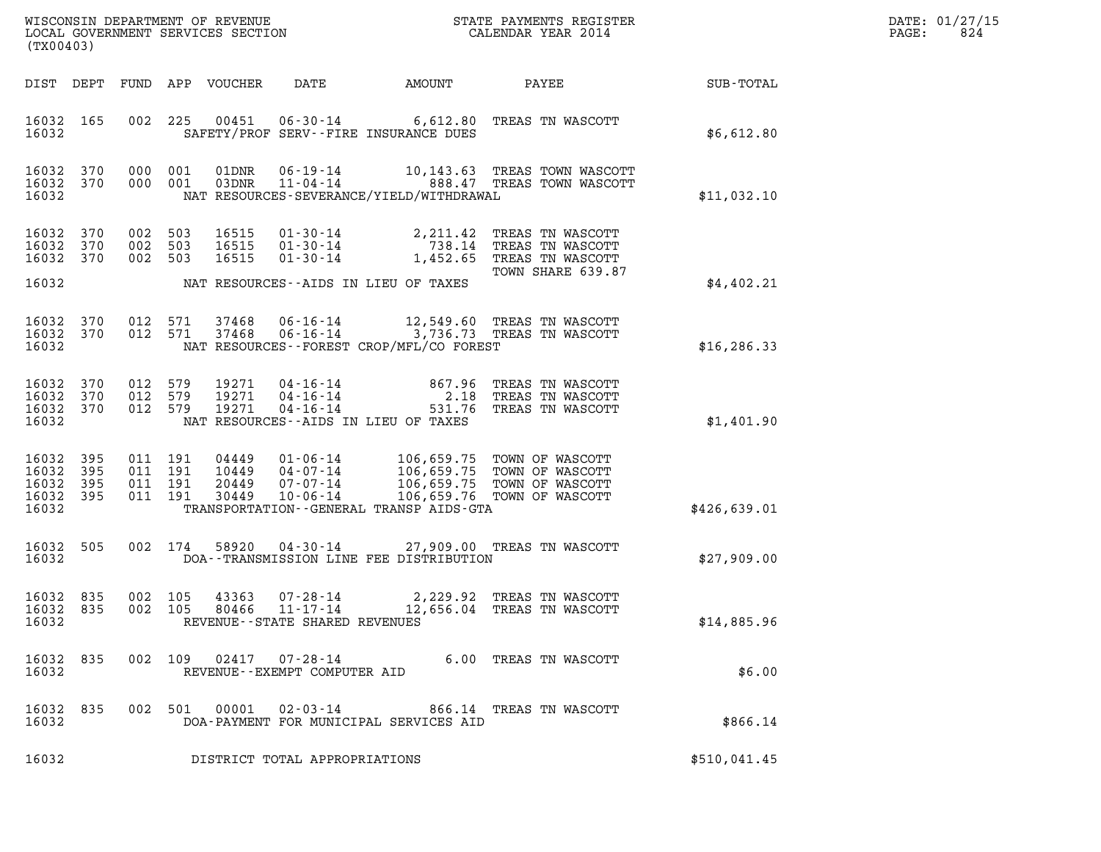| DATE: | 01/27/15 |
|-------|----------|
| PAGE: | 824      |

|                                               | STATE PAYMENTS REGISTER<br>CALENDAR YEAR 2014<br>WISCONSIN DEPARTMENT OF REVENUE<br>LOCAL GOVERNMENT SERVICES SECTION<br>(TX00403) |                                          |                                  |                                                    |                                                  |                                                                                                                      |              | DATE: 01/27/15<br>PAGE:<br>824 |
|-----------------------------------------------|------------------------------------------------------------------------------------------------------------------------------------|------------------------------------------|----------------------------------|----------------------------------------------------|--------------------------------------------------|----------------------------------------------------------------------------------------------------------------------|--------------|--------------------------------|
| DIST DEPT                                     |                                                                                                                                    |                                          | FUND APP VOUCHER                 | DATE                                               | AMOUNT                                           | PAYEE                                                                                                                | SUB-TOTAL    |                                |
| 16032 165<br>16032                            |                                                                                                                                    | 002                                      | 225<br>00451                     |                                                    | SAFETY/PROF SERV--FIRE INSURANCE DUES            | 06-30-14 6,612.80 TREAS TN WASCOTT                                                                                   | \$6,612.80   |                                |
| 16032 370<br>16032 370<br>16032               |                                                                                                                                    | 000 001<br>000 001                       |                                  |                                                    | NAT RESOURCES-SEVERANCE/YIELD/WITHDRAWAL         | 01DNR  06-19-14   10,143.63 TREAS TOWN WASCOTT<br>03DNR  11-04-14   888.47 TREAS TOWN WASCOTT                        | \$11,032.10  |                                |
| 16032<br>16032 370<br>16032 370               | 370                                                                                                                                | 002 503<br>002 503<br>002 503            | 16515<br>16515<br>16515          | $01 - 30 - 14$<br>$01 - 30 - 14$                   |                                                  | 01-30-14 2, 211.42 TREAS TN WASCOTT<br>738.14 TREAS TN WASCOTT<br>1,452.65 TREAS TN WASCOTT<br>TOWN SHARE 639.87     |              |                                |
| 16032                                         |                                                                                                                                    |                                          |                                  |                                                    | NAT RESOURCES--AIDS IN LIEU OF TAXES             |                                                                                                                      | \$4,402.21   |                                |
| 16032 370<br>16032 370<br>16032               |                                                                                                                                    | 012 571<br>012 571                       |                                  |                                                    | NAT RESOURCES--FOREST CROP/MFL/CO FOREST         | 37468  06-16-14  12,549.60  TREAS TN WASCOTT<br>37468  06-16-14  3,736.73  TREAS TN WASCOTT                          | \$16, 286.33 |                                |
| 16032<br>16032 370<br>16032 370<br>16032      | 370                                                                                                                                | 012 579<br>012 579<br>012 579            | 19271<br>19271<br>19271          | $04 - 16 - 14$<br>$04 - 16 - 14$<br>$04 - 16 - 14$ | 867.96<br>NAT RESOURCES -- AIDS IN LIEU OF TAXES | TREAS TN WASCOTT<br>2.18 TREAS TN WASCOTT<br>531.76 TREAS TN WASCOTT                                                 | \$1,401.90   |                                |
| 16032<br>16032<br>16032<br>16032 395<br>16032 | 395<br>395<br>395                                                                                                                  | 011 191<br>011 191<br>011 191<br>011 191 | 04449<br>10449<br>20449<br>30449 | 01-06-14<br>04-07-14<br>07-07-14<br>$10 - 06 - 14$ | TRANSPORTATION - - GENERAL TRANSP AIDS - GTA     | 106,659.75 TOWN OF WASCOTT<br>106,659.75 TOWN OF WASCOTT<br>106,659.75 TOWN OF WASCOTT<br>106,659.76 TOWN OF WASCOTT | \$426,639.01 |                                |
| 16032<br>16032                                | 505                                                                                                                                |                                          | 002 174                          |                                                    | DOA--TRANSMISSION LINE FEE DISTRIBUTION          | 58920  04-30-14  27,909.00 TREAS TN WASCOTT                                                                          | \$27,909.00  |                                |
| 16032 835<br>16032 835<br>16032               |                                                                                                                                    | 002 105                                  | 43363<br>002 105                 | 07-28-14<br>REVENUE - - STATE SHARED REVENUES      |                                                  | 2,229.92 TREAS TN WASCOTT<br>80466  11-17-14  12,656.04  TREAS TN WASCOTT                                            | \$14,885.96  |                                |
| 16032 835<br>16032                            |                                                                                                                                    |                                          |                                  | REVENUE--EXEMPT COMPUTER AID                       |                                                  | 002 109 02417 07-28-14 6.00 TREAS TN WASCOTT                                                                         | \$6.00       |                                |
| 16032 835<br>16032                            |                                                                                                                                    |                                          |                                  |                                                    | DOA-PAYMENT FOR MUNICIPAL SERVICES AID           | 002 501 00001 02-03-14 866.14 TREAS TN WASCOTT                                                                       | \$866.14     |                                |
| 16032                                         |                                                                                                                                    |                                          |                                  | DISTRICT TOTAL APPROPRIATIONS                      |                                                  |                                                                                                                      | \$510,041.45 |                                |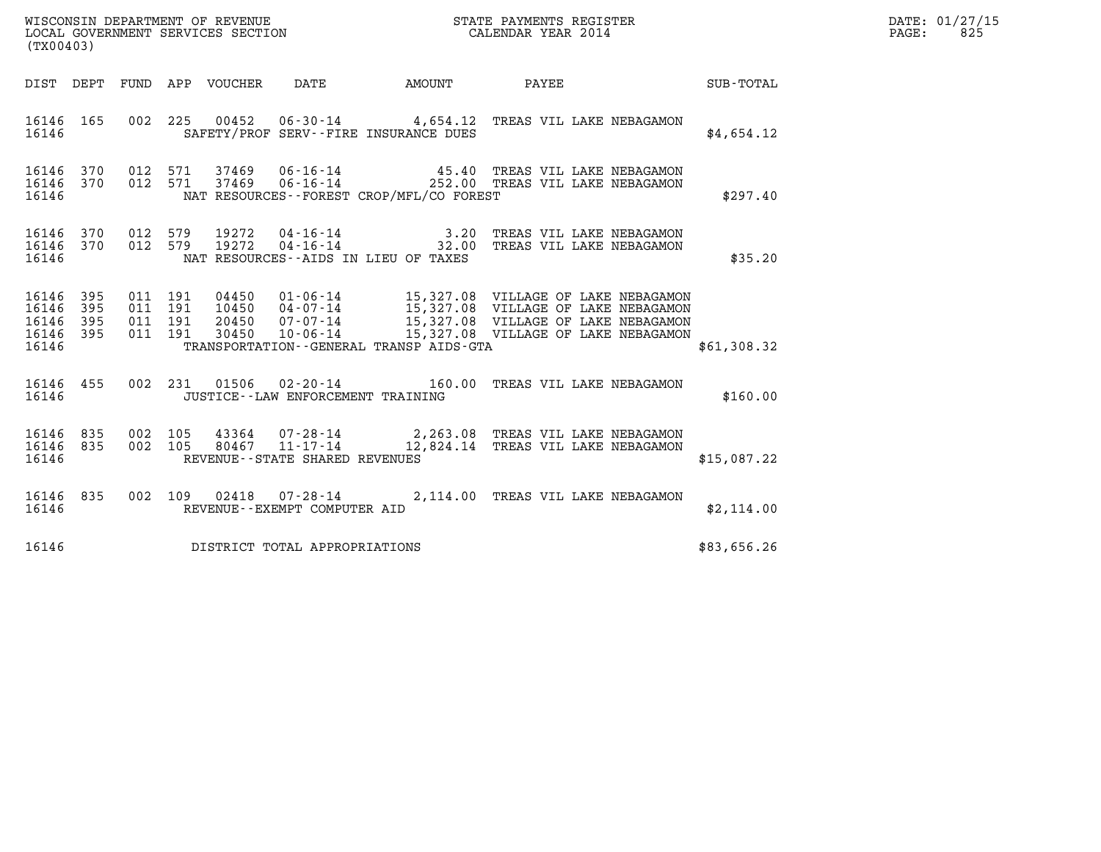| (TX00403)                                         |            |                               |         |                                      | WISCONSIN DEPARTMENT OF REVENUE<br>LOCAL GOVERNMENT SERVICES SECTION FOR THE STATE PAYMENTS REGISTER<br>(TX00403)                                                                                                                                                                |  | $\mathbb{R}^n$ | DATE: 01/27/15<br>PAGE: 825 |
|---------------------------------------------------|------------|-------------------------------|---------|--------------------------------------|----------------------------------------------------------------------------------------------------------------------------------------------------------------------------------------------------------------------------------------------------------------------------------|--|----------------|-----------------------------|
|                                                   |            |                               |         |                                      | DIST DEPT FUND APP VOUCHER DATE AMOUNT PAYEE TOTAL                                                                                                                                                                                                                               |  |                |                             |
| 16146                                             |            |                               |         |                                      | 16146  165  002  225  00452  06-30-14  4,654.12  TREAS VIL LAKE NEBAGAMON<br>SAFETY/PROF SERV--FIRE INSURANCE DUES                                                                                                                                                               |  | \$4,654.12     |                             |
| 16146                                             |            |                               |         |                                      | 16146 370 012 571 37469 06-16-14 45.40 TREAS VIL LAKE NEBAGAMON 16146 370 012 571 37469 06-16-14 252.00 TREAS VIL LAKE NEBAGAMON<br>NAT RESOURCES - - FOREST CROP/MFL/CO FOREST                                                                                                  |  | \$297.40       |                             |
| 16146                                             |            |                               |         |                                      | 16146 370 012 579 19272 04-16-14 3.20 TREAS VIL LAKE NEBAGAMON 16146 370 012 579 19272 04-16-14 32.00 TREAS VIL LAKE NEBAGAMON<br>NAT RESOURCES--AIDS IN LIEU OF TAXES                                                                                                           |  | \$35.20        |                             |
| 16146 395<br>16146<br>16146<br>16146 395<br>16146 | 395<br>395 | 011 191<br>011 191<br>011 191 | 011 191 |                                      | 04450  01-06-14  15,327.08  VILLAGE OF LAKE NEBAGAMON<br>10450  04-07-14  15,327.08  VILLAGE OF LAKE NEBAGAMON<br>20450  07-07-14  15,327.08  VILLAGE OF LAKE NEBAGAMON<br>30450  10-06-14  15,327.08  VILLAGE OF LAKE NEBAGAMON<br>TRANSPORTATION - - GENERAL TRANSP AIDS - GTA |  | \$61,308.32    |                             |
|                                                   |            |                               |         |                                      |                                                                                                                                                                                                                                                                                  |  |                |                             |
| 16146                                             |            |                               |         | JUSTICE - - LAW ENFORCEMENT TRAINING | 16146 455 002 231 01506 02-20-14 160.00 TREAS VIL LAKE NEBAGAMON                                                                                                                                                                                                                 |  | \$160.00       |                             |
| 16146                                             |            |                               |         | REVENUE--STATE SHARED REVENUES       | 16146 835 002 105 43364 07-28-14 2,263.08 TREAS VIL LAKE NEBAGAMON 16146 835 002 105 80467 11-17-14 12,824.14 TREAS VIL LAKE NEBAGAMON                                                                                                                                           |  | \$15,087.22    |                             |
| 16146                                             |            |                               |         | REVENUE--EXEMPT COMPUTER AID         | 16146 835 002 109 02418 07-28-14 2,114.00 TREAS VIL LAKE NEBAGAMON                                                                                                                                                                                                               |  | \$2,114.00     |                             |
| 16146                                             |            |                               |         | DISTRICT TOTAL APPROPRIATIONS        |                                                                                                                                                                                                                                                                                  |  | \$83,656.26    |                             |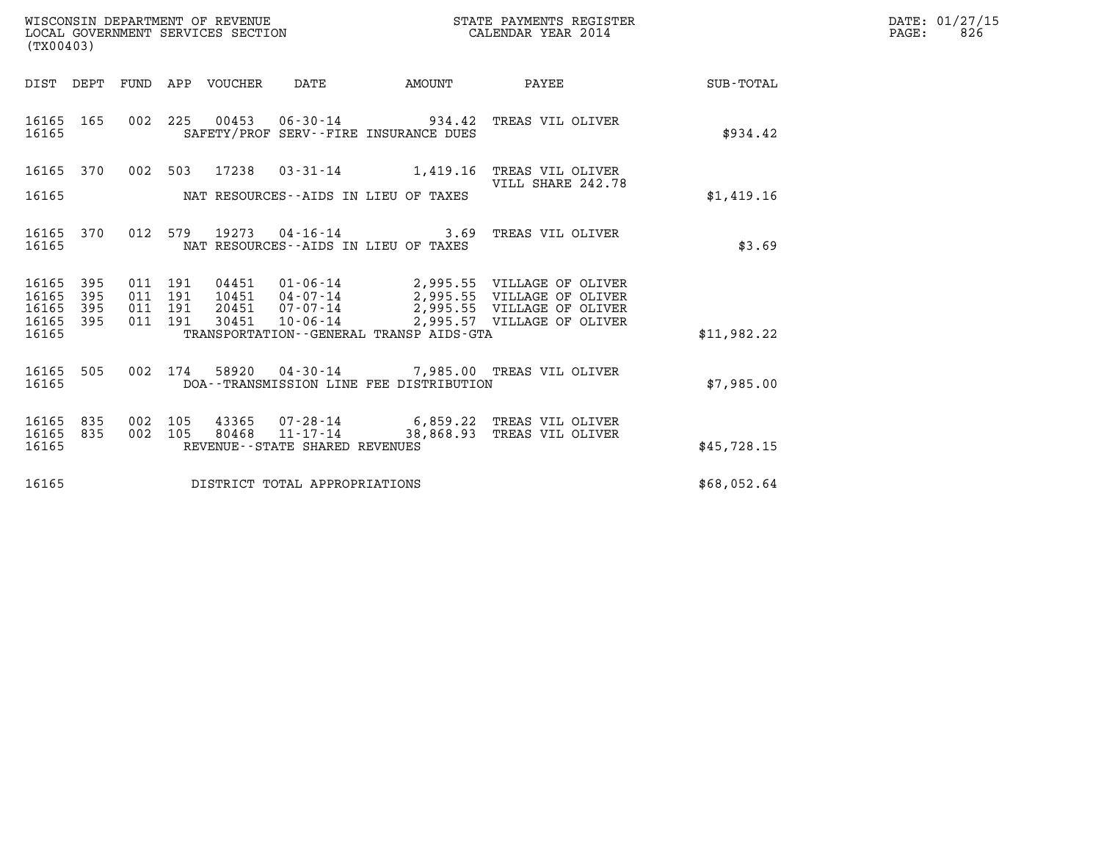| WISCONSIN DEPARTMENT OF REVENUE   | STATE PAYMENTS REGISTER | DATE: 01/27/15 |
|-----------------------------------|-------------------------|----------------|
| LOCAL GOVERNMENT SERVICES SECTION | CALENDAR YEAR 2014      | 826<br>PAGE:   |

|                                        | WISCONSIN DEPARTMENT OF REVENUE<br>STATE PAYMENTS REGISTER<br>LOCAL GOVERNMENT SERVICES SECTION<br>CALENDAR YEAR 2014<br>(TX00403) |            |            |                |                                   |                                                               |                                                                  |                  |  |
|----------------------------------------|------------------------------------------------------------------------------------------------------------------------------------|------------|------------|----------------|-----------------------------------|---------------------------------------------------------------|------------------------------------------------------------------|------------------|--|
| DIST                                   | DEPT                                                                                                                               | FUND       | APP        | VOUCHER        | DATE                              | <b>EXAMPLE THE PROPERTY OF AMOUNT</b>                         | PAYEE                                                            | <b>SUB-TOTAL</b> |  |
| 16165<br>16165                         | 165                                                                                                                                | 002        | 225        |                |                                   | SAFETY/PROF SERV--FIRE INSURANCE DUES                         | TREAS VIL OLIVER                                                 | \$934.42         |  |
| 16165                                  | 370                                                                                                                                | 002        | 503        | 17238          | $03 - 31 - 14$                    | 1,419.16                                                      | TREAS VIL OLIVER<br>VILL SHARE 242.78                            |                  |  |
| 16165                                  |                                                                                                                                    |            |            |                |                                   | NAT RESOURCES--AIDS IN LIEU OF TAXES                          |                                                                  | \$1,419.16       |  |
| 16165<br>16165                         | 370                                                                                                                                | 012        | 579        |                |                                   | 19273 04-16-14 3.69<br>NAT RESOURCES -- AIDS IN LIEU OF TAXES | TREAS VIL OLIVER                                                 | \$3.69           |  |
| 16165<br>16165                         | 395<br>395                                                                                                                         | 011<br>011 | 191<br>191 | 04451<br>10451 | $01 - 06 - 14$<br>04-07-14        |                                                               | 2,995.55 VILLAGE OF OLIVER<br>2,995.55 VILLAGE OF OLIVER         |                  |  |
| 16165<br>16165                         | 395<br>395                                                                                                                         | 011<br>011 | 191<br>191 | 20451<br>30451 | $07 - 07 - 14$<br>10-06-14        |                                                               | 2,995.55 VILLAGE OF OLIVER<br>2,995.57 VILLAGE OF OLIVER         |                  |  |
| 16165                                  |                                                                                                                                    |            |            |                |                                   | TRANSPORTATION - - GENERAL TRANSP AIDS - GTA                  |                                                                  | \$11,982.22      |  |
| 16165<br>16165                         | 505                                                                                                                                | 002        | 174        |                |                                   | DOA--TRANSMISSION LINE FEE DISTRIBUTION                       | 58920  04-30-14  7,985.00 TREAS VIL OLIVER                       | \$7,985.00       |  |
| 16165<br>16165                         | 835<br>835                                                                                                                         | 002<br>002 | 105<br>105 | 43365<br>80468 | $11 - 17 - 14$                    |                                                               | 07-28-14 6,859.22 TREAS VIL OLIVER<br>38,868.93 TREAS VIL OLIVER |                  |  |
| 16165                                  |                                                                                                                                    |            |            |                | REVENUE - - STATE SHARED REVENUES |                                                               |                                                                  | \$45,728.15      |  |
| 16165<br>DISTRICT TOTAL APPROPRIATIONS |                                                                                                                                    |            |            |                |                                   |                                                               | \$68,052.64                                                      |                  |  |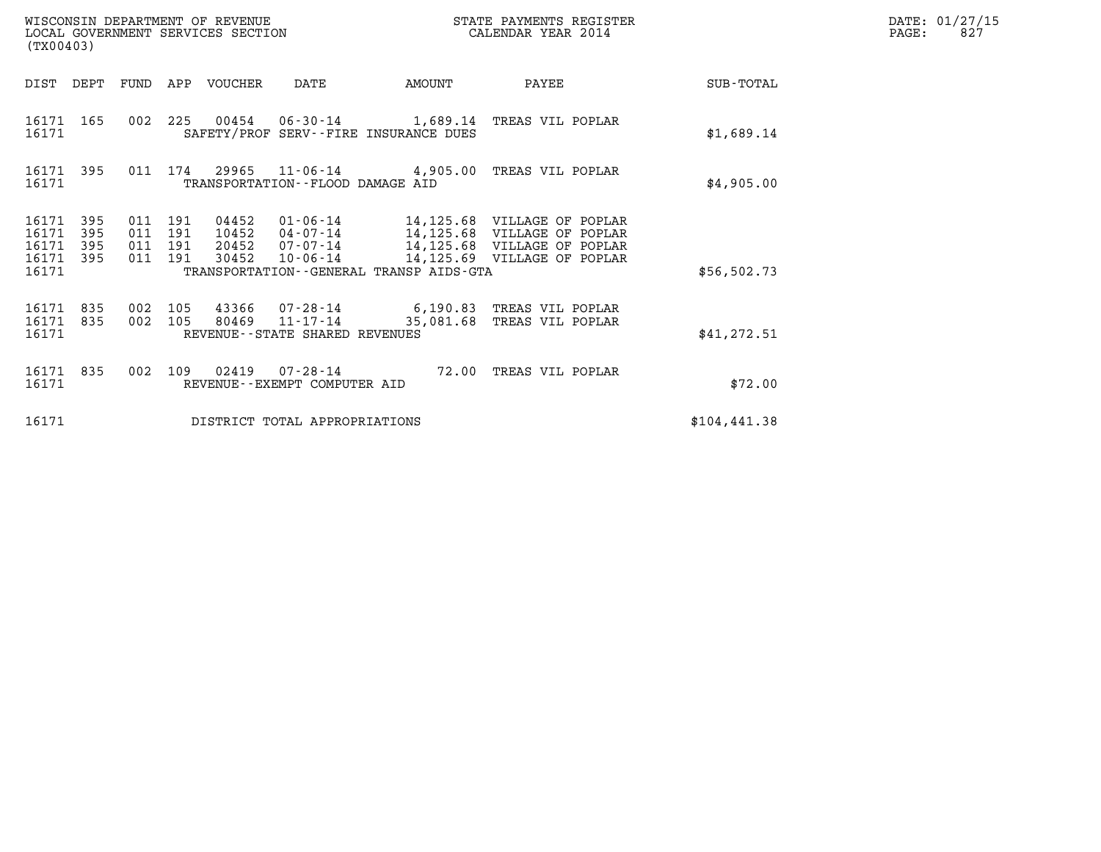| (TX00403)                                 |                          |                                          |     | WISCONSIN DEPARTMENT OF REVENUE<br>LOCAL GOVERNMENT SERVICES SECTION |                                                     |                                         | STATE PAYMENTS REGISTER<br>CALENDAR YEAR 2014                |              | DATE: 01/27/15<br>PAGE:<br>827 |
|-------------------------------------------|--------------------------|------------------------------------------|-----|----------------------------------------------------------------------|-----------------------------------------------------|-----------------------------------------|--------------------------------------------------------------|--------------|--------------------------------|
| DIST DEPT                                 |                          |                                          |     | FUND APP VOUCHER                                                     | DATE                                                | AMOUNT                                  | PAYEE                                                        | SUB-TOTAL    |                                |
| 16171 165<br>16171                        |                          |                                          |     |                                                                      |                                                     | SAFETY/PROF SERV--FIRE INSURANCE DUES   | 002 225 00454 06-30-14 1,689.14 TREAS VIL POPLAR             | \$1,689.14   |                                |
| 16171 395<br>16171                        |                          |                                          |     |                                                                      | TRANSPORTATION--FLOOD DAMAGE AID                    |                                         | 011 174 29965 11-06-14 4,905.00 TREAS VIL POPLAR             | \$4,905.00   |                                |
| 16171<br>16171<br>16171<br>16171<br>16171 | 395<br>395<br>395<br>395 | 011 191<br>011 191<br>011 191<br>011 191 |     | 04452<br>10452<br>20452<br>30452                                     | $07 - 07 - 14$<br>10-06-14                          | TRANSPORTATION--GENERAL TRANSP AIDS-GTA | 14,125.68 VILLAGE OF POPLAR<br>14,125.69 VILLAGE OF POPLAR   | \$56,502.73  |                                |
| 16171 835<br>16171<br>16171               | 835                      | 002 105<br>002 105                       |     |                                                                      | 80469 11-17-14<br>REVENUE - - STATE SHARED REVENUES | 35,081.68                               | 43366 07-28-14 6,190.83 TREAS VIL POPLAR<br>TREAS VIL POPLAR | \$41, 272.51 |                                |
| 16171<br>16171                            | 835                      | 002                                      | 109 |                                                                      | REVENUE - - EXEMPT COMPUTER AID                     |                                         | 72.00 TREAS VIL POPLAR                                       | \$72.00      |                                |
| 16171                                     |                          |                                          |     |                                                                      | DISTRICT TOTAL APPROPRIATIONS                       |                                         |                                                              | \$104,441.38 |                                |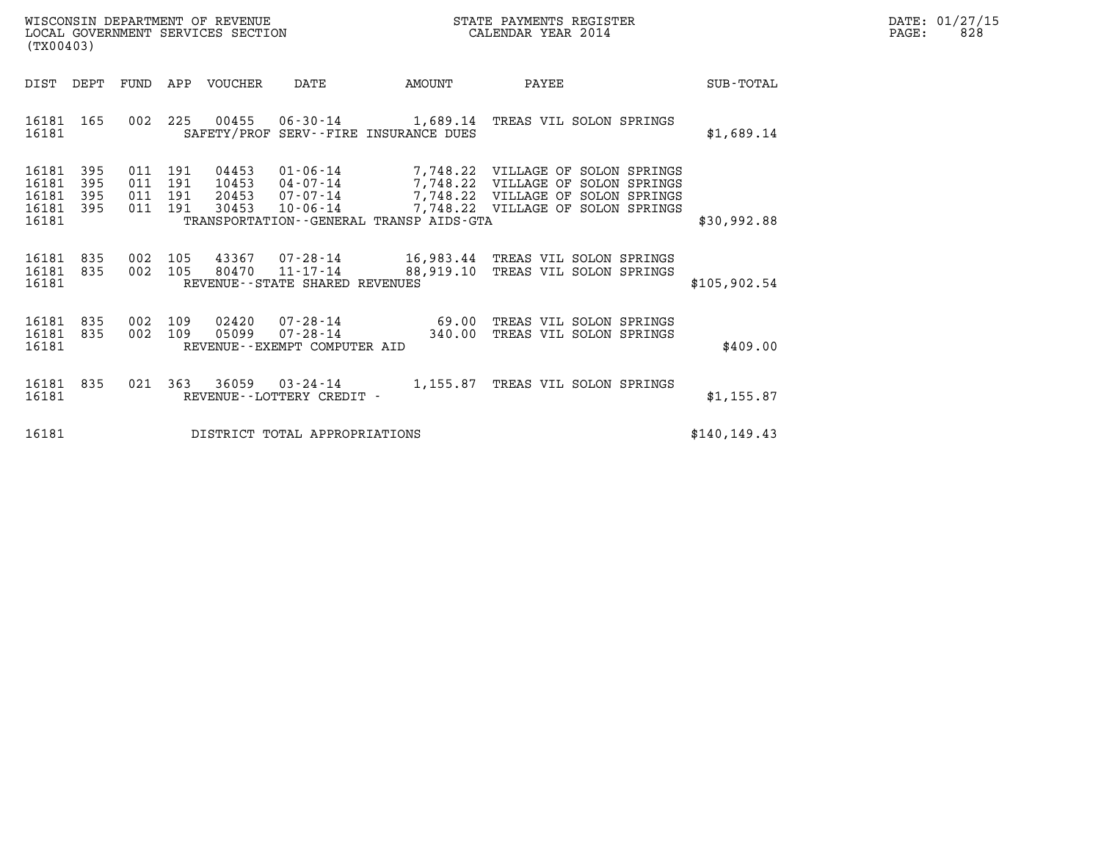| WISCONSIN DEPARTMENT OF REVENUE   | STATE PAYMENTS REGISTER | DATE: 01/27/15 |
|-----------------------------------|-------------------------|----------------|
| LOCAL GOVERNMENT SERVICES SECTION | CALENDAR YEAR 2014      | 828<br>PAGE:   |

|                                           | (TX00403)                  |                          |                          |                                  |                                                    |                                         |                                                                                                                                                           |               |
|-------------------------------------------|----------------------------|--------------------------|--------------------------|----------------------------------|----------------------------------------------------|-----------------------------------------|-----------------------------------------------------------------------------------------------------------------------------------------------------------|---------------|
| DIST                                      | DEPT                       | FUND                     | APP                      | VOUCHER                          | DATE                                               | AMOUNT                                  | PAYEE                                                                                                                                                     | SUB-TOTAL     |
| 16181<br>16181                            | 165                        | 002                      | 225                      |                                  |                                                    | SAFETY/PROF SERV--FIRE INSURANCE DUES   | 00455  06-30-14   1,689.14   TREAS VIL SOLON SPRINGS                                                                                                      | \$1,689.14    |
| 16181<br>16181<br>16181<br>16181<br>16181 | 395<br>395<br>395<br>- 395 | 011<br>011<br>011<br>011 | 191<br>191<br>191<br>191 | 04453<br>10453<br>20453<br>30453 | $01 - 06 - 14$<br>$07 - 07 - 14$<br>$10 - 06 - 14$ | TRANSPORTATION--GENERAL TRANSP AIDS-GTA | 7,748.22 VILLAGE OF SOLON SPRINGS<br>04-07-14 7,748.22 VILLAGE OF SOLON SPRINGS<br>7,748.22 VILLAGE OF SOLON SPRINGS<br>7,748.22 VILLAGE OF SOLON SPRINGS | \$30,992.88   |
| 16181<br>16181<br>16181                   | 835<br>835                 | 002<br>002               | 105<br>105               | 80470                            | REVENUE--STATE SHARED REVENUES                     |                                         | 43367 07-28-14 16,983.44 TREAS VIL SOLON SPRINGS<br>11-17-14 88,919.10 TREAS VIL SOLON SPRINGS                                                            | \$105,902.54  |
| 16181<br>16181<br>16181                   | 835<br>835                 | 002<br>002               | 109<br>109               | 02420<br>05099                   | $07 - 28 - 14$<br>REVENUE--EXEMPT COMPUTER AID     | 340.00                                  | 07-28-14 69.00 TREAS VIL SOLON SPRINGS<br>TREAS VIL SOLON SPRINGS                                                                                         | \$409.00      |
| 16181<br>16181                            | 835                        | 021                      | 363                      | 36059                            | $03 - 24 - 14$<br>REVENUE - - LOTTERY CREDIT -     | 1,155.87                                | TREAS VIL SOLON SPRINGS                                                                                                                                   | \$1,155.87    |
| 16181                                     |                            |                          |                          |                                  | DISTRICT TOTAL APPROPRIATIONS                      |                                         |                                                                                                                                                           | \$140, 149.43 |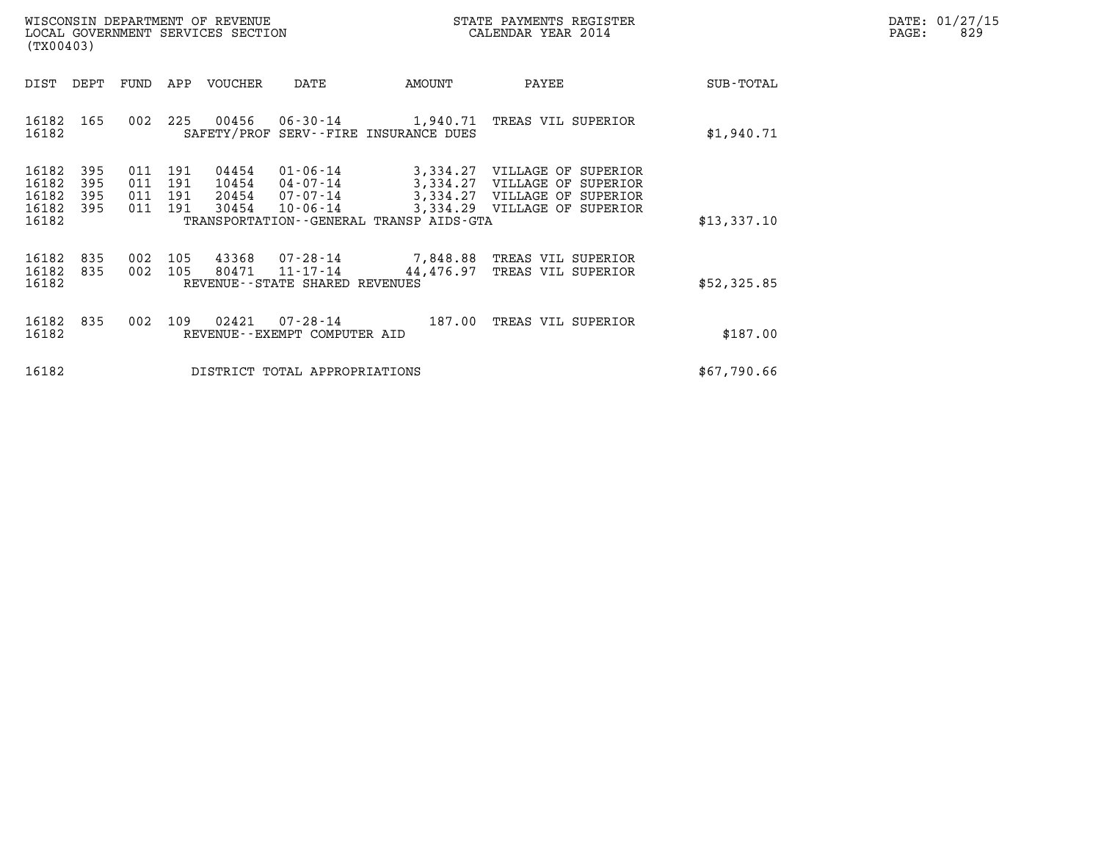| WISCONSIN DEPARTMENT OF REVENUE   | STATE PAYMENTS REGISTER | DATE: 01/27/15 |
|-----------------------------------|-------------------------|----------------|
| LOCAL GOVERNMENT SERVICES SECTION | CALENDAR YEAR 2014      | 829<br>PAGE:   |

| WISCONSIN DEPARTMENT OF REVENUE<br>LOCAL GOVERNMENT SERVICES SECTION<br>(TX00403) |            |                                  |                                  |                                                                |                                                     | STATE PAYMENTS REGISTER<br>CALENDAR YEAR 2014                                                                       |             | DATE: 01/27/15<br>PAGE:<br>829 |
|-----------------------------------------------------------------------------------|------------|----------------------------------|----------------------------------|----------------------------------------------------------------|-----------------------------------------------------|---------------------------------------------------------------------------------------------------------------------|-------------|--------------------------------|
| DIST DEPT                                                                         |            |                                  | FUND APP VOUCHER                 | DATE                                                           | AMOUNT                                              | PAYEE                                                                                                               | SUB-TOTAL   |                                |
| 16182<br>165<br>16182                                                             | 002        |                                  | 225 00456                        |                                                                | SAFETY/PROF SERV--FIRE INSURANCE DUES               | 06-30-14 1,940.71 TREAS VIL SUPERIOR                                                                                | \$1,940.71  |                                |
| 16182<br>395<br>395<br>16182<br>16182<br>395<br>16182<br>395<br>16182             | 011<br>011 | 191<br>191<br>011 191<br>011 191 | 04454<br>10454<br>20454<br>30454 | $01 - 06 - 14$<br>$04 - 07 - 14$<br>07-07-14<br>$10 - 06 - 14$ | 3,334.27<br>TRANSPORTATION--GENERAL TRANSP AIDS-GTA | 3,334.27 VILLAGE OF SUPERIOR<br>VILLAGE OF SUPERIOR<br>3,334.27 VILLAGE OF SUPERIOR<br>3,334.29 VILLAGE OF SUPERIOR | \$13,337.10 |                                |
| 16182<br>835<br>16182<br>835<br>16182                                             | 002        | 105<br>002 105                   | 80471                            | 11-17-14<br>REVENUE--STATE SHARED REVENUES                     | 44,476.97                                           | TREAS VIL SUPERIOR<br>TREAS VIL SUPERIOR                                                                            | \$52,325.85 |                                |
| 16182<br>835<br>16182                                                             | 002        | 109                              | 02421                            | REVENUE--EXEMPT COMPUTER AID                                   | 07-28-14 187.00                                     | TREAS VIL SUPERIOR                                                                                                  | \$187.00    |                                |
| 16182                                                                             |            |                                  |                                  | DISTRICT TOTAL APPROPRIATIONS                                  | \$67,790.66                                         |                                                                                                                     |             |                                |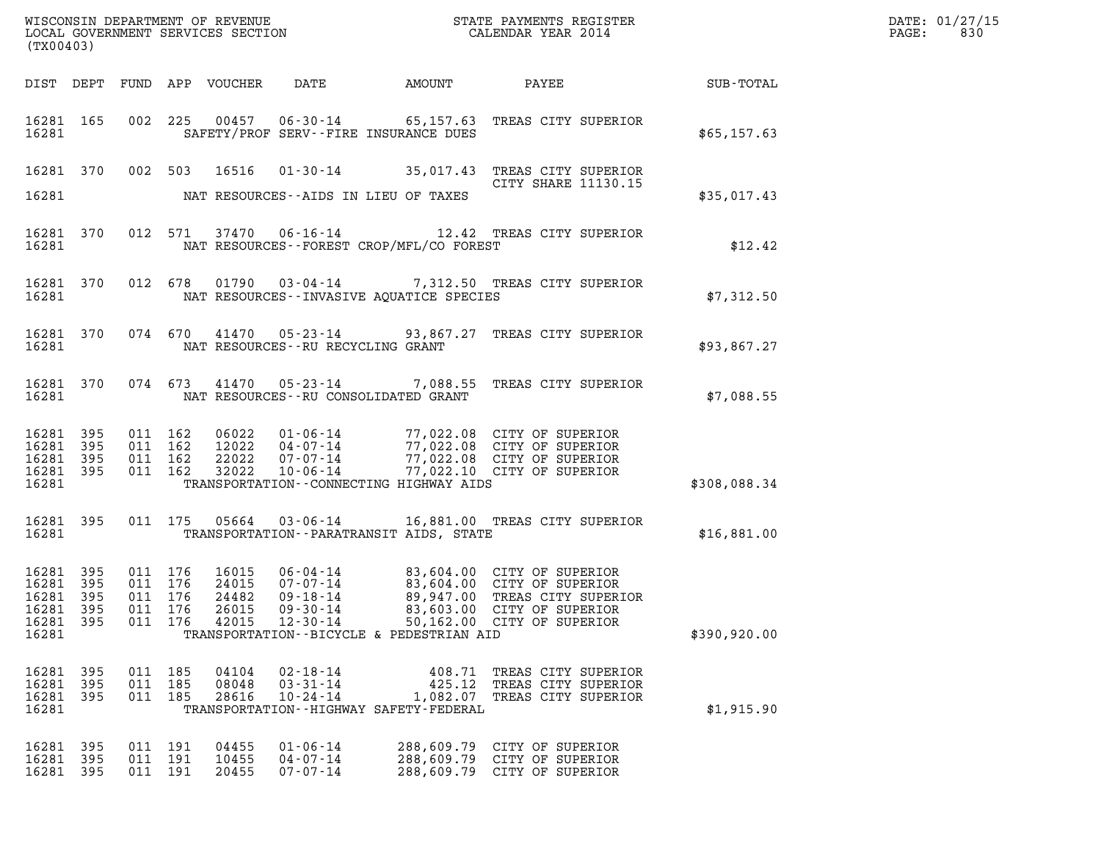| (TX00403)                                                              |                    |                                                     |         |                         |                                                    |                                                       |                                                                                                                                                                                              |              | DATE: 01/27/15<br>$\mathtt{PAGE}$ :<br>830 |
|------------------------------------------------------------------------|--------------------|-----------------------------------------------------|---------|-------------------------|----------------------------------------------------|-------------------------------------------------------|----------------------------------------------------------------------------------------------------------------------------------------------------------------------------------------------|--------------|--------------------------------------------|
|                                                                        |                    |                                                     |         |                         |                                                    |                                                       | DIST DEPT FUND APP VOUCHER DATE AMOUNT PAYEE TOTAL                                                                                                                                           |              |                                            |
|                                                                        | 16281              |                                                     |         |                         |                                                    | SAFETY/PROF SERV--FIRE INSURANCE DUES                 | 16281 165 002 225 00457 06-30-14 65,157.63 TREAS CITY SUPERIOR                                                                                                                               | \$65,157.63  |                                            |
|                                                                        |                    |                                                     |         |                         |                                                    |                                                       | 16281 370 002 503 16516 01-30-14 35,017.43 TREAS CITY SUPERIOR<br>CITY SHARE 11130.15                                                                                                        |              |                                            |
|                                                                        |                    |                                                     |         |                         |                                                    | 16281 NAT RESOURCES--AIDS IN LIEU OF TAXES            |                                                                                                                                                                                              | \$35,017.43  |                                            |
|                                                                        |                    |                                                     |         |                         |                                                    | 16281 NAT RESOURCES--FOREST CROP/MFL/CO FOREST        | 16281 370 012 571 37470 06-16-14 12.42 TREAS CITY SUPERIOR                                                                                                                                   | \$12.42      |                                            |
|                                                                        |                    |                                                     |         |                         |                                                    | 16281 NAT RESOURCES--INVASIVE AQUATICE SPECIES        | 16281 370 012 678 01790 03-04-14 7,312.50 TREAS CITY SUPERIOR                                                                                                                                | \$7,312.50   |                                            |
|                                                                        |                    |                                                     |         |                         | 16281 NAT RESOURCES--RU RECYCLING GRANT            |                                                       | 16281 370 074 670 41470 05-23-14 93,867.27 TREAS CITY SUPERIOR                                                                                                                               | \$93,867.27  |                                            |
|                                                                        |                    |                                                     |         |                         |                                                    | 16281 NAT RESOURCES--RU CONSOLIDATED GRANT            | 16281 370 074 673 41470 05-23-14 7,088.55 TREAS CITY SUPERIOR                                                                                                                                | \$7,088.55   |                                            |
| 16281 395<br>16281 395<br>16281 395                                    | 16281 395<br>16281 | 011 162<br>011 162<br>011 162                       | 011 162 |                         |                                                    | TRANSPORTATION -- CONNECTING HIGHWAY AIDS             | 06022  01-06-14  77,022.08  CITY OF SUPERIOR<br>12022  04-07-14  77,022.08  CITY OF SUPERIOR<br>22022  07-07-14  77,022.08  CITY OF SUPERIOR<br>32022  10-06-14  77,022.10  CITY OF SUPERIOR | \$308,088.34 |                                            |
|                                                                        | 16281              |                                                     |         |                         |                                                    | TRANSPORTATION -- PARATRANSIT AIDS, STATE             | 16281 395 011 175 05664 03-06-14 16,881.00 TREAS CITY SUPERIOR                                                                                                                               | \$16,881.00  |                                            |
| 16281 395<br>16281 395<br>16281 395<br>16281 395<br>16281 395<br>16281 |                    | 011 176<br>011 176<br>011 176<br>011 176<br>011 176 |         | 24482<br>26015<br>42015 | 09-18-14<br>$09 - 30 - 14$<br>$12 - 30 - 14$       | TRANSPORTATION--BICYCLE & PEDESTRIAN AID              | 16015  06-04-14  83,604.00  CITY OF SUPERIOR<br>24015  07-07-14  83,604.00  CITY OF SUPERIOR<br>89,947.00 TREAS CITY SUPERIOR<br>83,603.00 CITY OF SUPERIOR<br>50,162.00 CITY OF SUPERIOR    | \$390,920.00 |                                            |
| 16281 395<br>16281<br>16281 395<br>16281                               | 395                | 011 185<br>011 185<br>011 185                       |         | 04104<br>08048<br>28616 | 02-18-14<br>$03 - 31 - 14$<br>$10 - 24 - 14$       | 425.12<br>TRANSPORTATION - - HIGHWAY SAFETY - FEDERAL | 408.71 TREAS CITY SUPERIOR<br>TREAS CITY SUPERIOR<br>1,082.07 TREAS CITY SUPERIOR                                                                                                            | \$1,915.90   |                                            |
| 16281 395<br>16281<br>16281 395                                        | 395                | 011 191<br>011 191<br>011 191                       |         | 04455<br>10455<br>20455 | $01 - 06 - 14$<br>$04 - 07 - 14$<br>$07 - 07 - 14$ |                                                       | 288,609.79 CITY OF SUPERIOR<br>288,609.79 CITY OF SUPERIOR<br>288,609.79 CITY OF SUPERIOR                                                                                                    |              |                                            |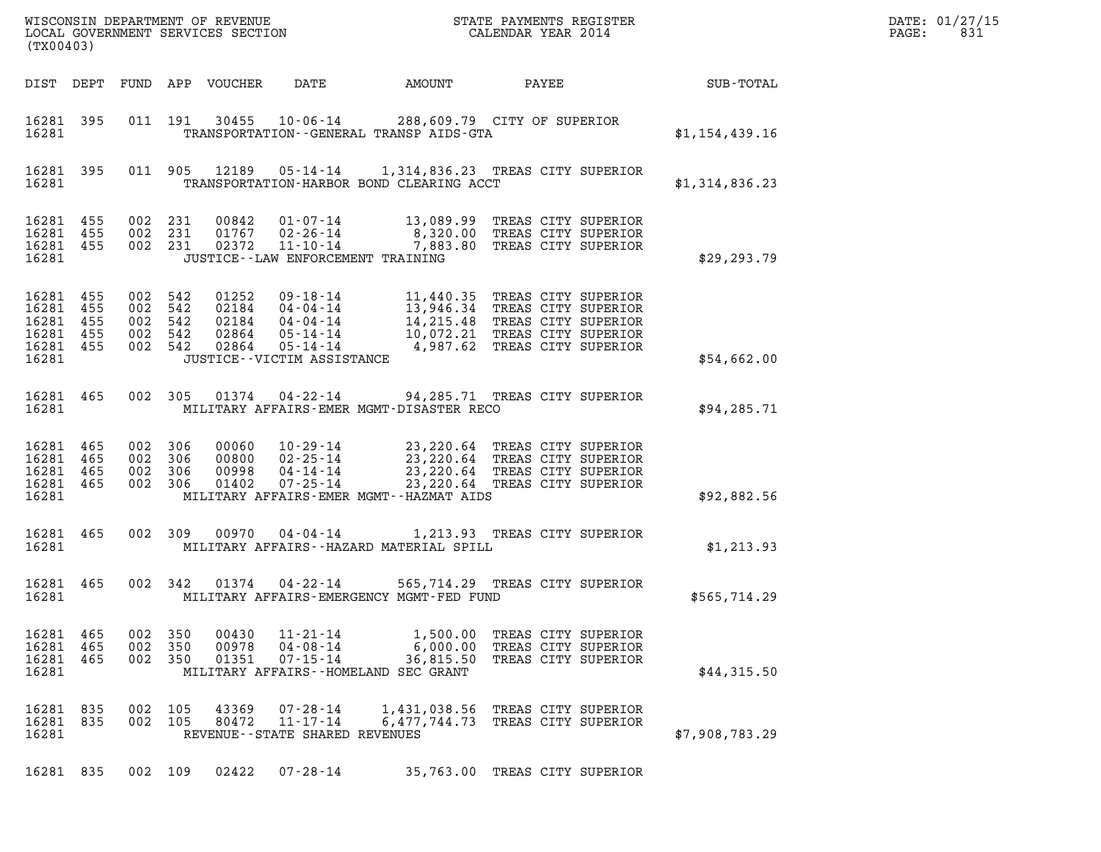| (TX00403)                                                              |     |                                          |                            |                                                                       |                                                                                                                                                                                                                                                 |                                                                                     |                | DATE: 01/27/15<br>$\mathtt{PAGE}$ :<br>831 |
|------------------------------------------------------------------------|-----|------------------------------------------|----------------------------|-----------------------------------------------------------------------|-------------------------------------------------------------------------------------------------------------------------------------------------------------------------------------------------------------------------------------------------|-------------------------------------------------------------------------------------|----------------|--------------------------------------------|
|                                                                        |     |                                          | DIST DEPT FUND APP VOUCHER | DATE                                                                  | AMOUNT PAYEE SUB-TOTAL                                                                                                                                                                                                                          |                                                                                     |                |                                            |
| 16281 395<br>16281                                                     |     |                                          |                            |                                                                       | 011 191 30455 10-06-14 288,609.79 CITY OF SUPERIOR<br>TRANSPORTATION - - GENERAL TRANSP AIDS - GTA                                                                                                                                              |                                                                                     | \$1,154,439.16 |                                            |
| 16281 395<br>16281                                                     |     |                                          |                            |                                                                       | 011 905 12189 05-14-14 1,314,836.23 TREAS CITY SUPERIOR<br>TRANSPORTATION-HARBOR BOND CLEARING ACCT                                                                                                                                             |                                                                                     | \$1,314,836.23 |                                            |
| 16281 455<br>16281 455<br>16281 455<br>16281                           |     |                                          |                            |                                                                       | 002 231 00842 01-07-14 13,089.99 TREAS CITY SUPERIOR<br>002 231 01767 02-26-14 8,320.00 TREAS CITY SUPERIOR<br>002 231 02372 11-10-14 7,883.80 TREAS CITY SUPERIOR<br>JUSTICE--LAW ENFORCEMENT TRAINING                                         |                                                                                     | \$29,293.79    |                                            |
| 16281 455<br>16281 455<br>16281 455<br>16281 455<br>16281 455<br>16281 |     |                                          |                            | JUSTICE - - VICTIM ASSISTANCE                                         | 002 542 01252 09-18-14 11,440.35 TREAS CITY SUPERIOR<br>002 542 02184 04-04-14 13,946.34 TREAS CITY SUPERIOR<br>002 542 02184 04-04-14 14,215.48 TREAS CITY SUPERIOR<br>002 542 02864 05-14-14 10,072.21 TREAS CITY SUPERIOR<br>002 54          |                                                                                     | \$54,662.00    |                                            |
| 16281 465<br>16281                                                     |     |                                          |                            |                                                                       | 002 305 01374 04-22-14 94,285.71 TREAS CITY SUPERIOR<br>MILITARY AFFAIRS-EMER MGMT-DISASTER RECO                                                                                                                                                |                                                                                     | \$94,285.71    |                                            |
| 16281 465<br>16281 465<br>16281 465<br>16281 465<br>16281              |     | 002 306<br>002 306<br>002 306<br>002 306 |                            |                                                                       | 00060  10-29-14  23,220.64 TREAS CITY SUPERIOR<br>00800  02-25-14  23,220.64 TREAS CITY SUPERIOR<br>00998  04-14-14  23,220.64 TREAS CITY SUPERIOR<br>01402  07-25-14  23,220.64 TREAS CITY SUPERIOR<br>MILITARY AFFAIRS-EMER MGMT--HAZMAT AIDS |                                                                                     | \$92,882.56    |                                            |
| 16281 465                                                              |     |                                          |                            |                                                                       | 002 309 00970 04-04-14 1,213.93 TREAS CITY SUPERIOR<br>MILITARY AFFAIRS--HAZARD MATERIAL SPILL                                                                                                                                                  |                                                                                     | \$1, 213.93    |                                            |
| 16281 465<br>16281                                                     |     |                                          |                            | 002 342 01374 04-22-14                                                | MILITARY AFFAIRS-EMERGENCY MGMT-FED FUND                                                                                                                                                                                                        | 565,714.29 TREAS CITY SUPERIOR                                                      | \$565,714.29   |                                            |
| 16281 465<br>16281 465<br>16281 465<br>16281                           | 002 | 350<br>002 350<br>002 350                | 00430<br>00978<br>01351    | $11 - 21 - 14$<br>04-08-14<br>$07 - 15 - 14$                          | 36,815.50<br>MILITARY AFFAIRS--HOMELAND SEC GRANT                                                                                                                                                                                               | 1,500.00 TREAS CITY SUPERIOR<br>6,000.00 TREAS CITY SUPERIOR<br>TREAS CITY SUPERIOR | \$44,315.50    |                                            |
| 16281 835<br>16281 835<br>16281                                        | 002 | 105<br>002 105                           | 43369<br>80472             | $07 - 28 - 14$<br>$11 - 17 - 14$<br>REVENUE - - STATE SHARED REVENUES | 1,431,038.56 TREAS CITY SUPERIOR                                                                                                                                                                                                                | 6,477,744.73 TREAS CITY SUPERIOR                                                    | \$7,908,783.29 |                                            |
| 16281 835                                                              |     | 002 109                                  | 02422                      | 07-28-14                                                              |                                                                                                                                                                                                                                                 | 35,763.00 TREAS CITY SUPERIOR                                                       |                |                                            |